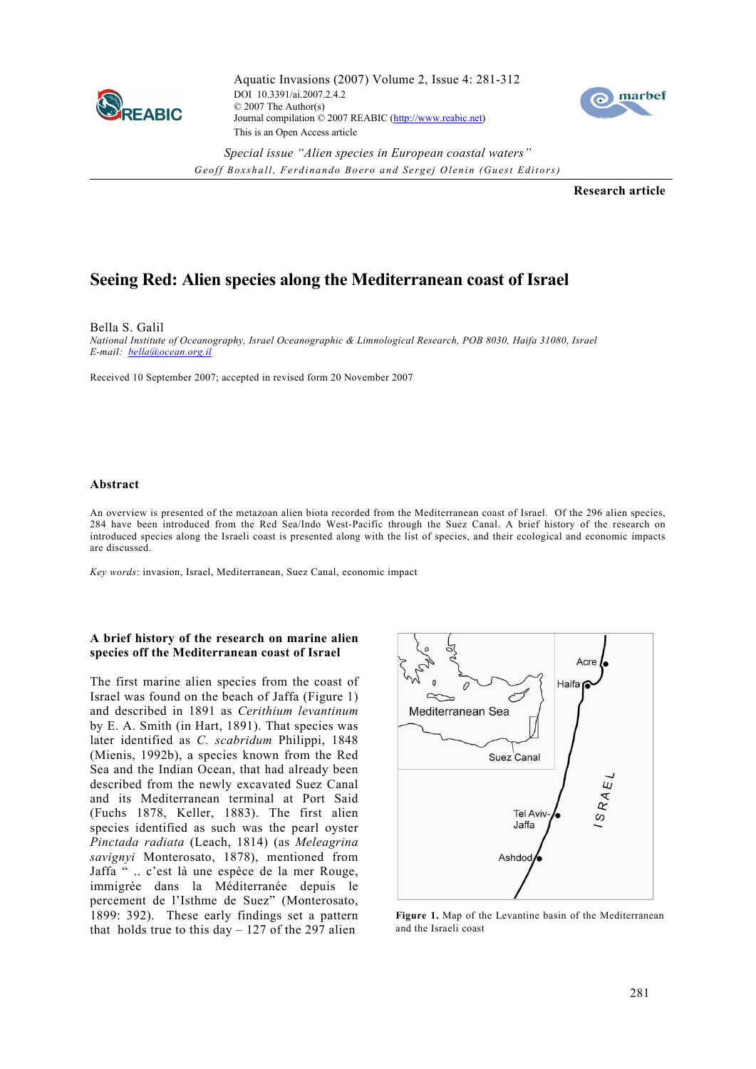

Aquatic Invasions (2007) Volume 2, Issue 4: 281-312 DOI 10.3391/ai.2007.2.4.2. © 2007 The Author(s) Journal compilation © 2007 REABIC (http://www.reabic.net) This is an Open Access article



*Special issue "Alien species in European coastal waters" Geoff Boxshall, Ferdinando Boero and Sergej Olenin (Guest Editors)*

**Research article** 

# **Seeing Red: Alien species along the Mediterranean coast of Israel**

Bella S. Galil

*National Institute of Oceanography, Israel Oceanographic & Limnological Research, POB 8030, Haifa 31080, Israel E-mail: bella@ocean.org.il* 

Received 10 September 2007; accepted in revised form 20 November 2007

#### **Abstract**

An overview is presented of the metazoan alien biota recorded from the Mediterranean coast of Israel. Of the 296 alien species, 284 have been introduced from the Red Sea/Indo West-Pacific through the Suez Canal. A brief history of the research on introduced species along the Israeli coast is presented along with the list of species, and their ecological and economic impacts are discussed.

*Key words*: invasion, Israel, Mediterranean, Suez Canal, economic impact

## **A brief history of the research on marine alien species off the Mediterranean coast of Israel**

The first marine alien species from the coast of Israel was found on the beach of Jaffa (Figure 1) and described in 1891 as *Cerithium levantinum* by E. A. Smith (in Hart, 1891). That species was later identified as *C. scabridum* Philippi, 1848 (Mienis, 1992b), a species known from the Red Sea and the Indian Ocean, that had already been described from the newly excavated Suez Canal and its Mediterranean terminal at Port Said (Fuchs 1878, Keller, 1883). The first alien species identified as such was the pearl oyster *Pinctada radiata* (Leach, 1814) (as *Meleagrina savignyi* Monterosato, 1878), mentioned from Jaffa " .. c'est là une espèce de la mer Rouge, immigrée dans la Méditerranée depuis le percement de l'Isthme de Suez" (Monterosato, 1899: 392). These early findings set a pattern that holds true to this  $day - 127$  of the 297 alien



**Figure 1.** Map of the Levantine basin of the Mediterranean and the Israeli coast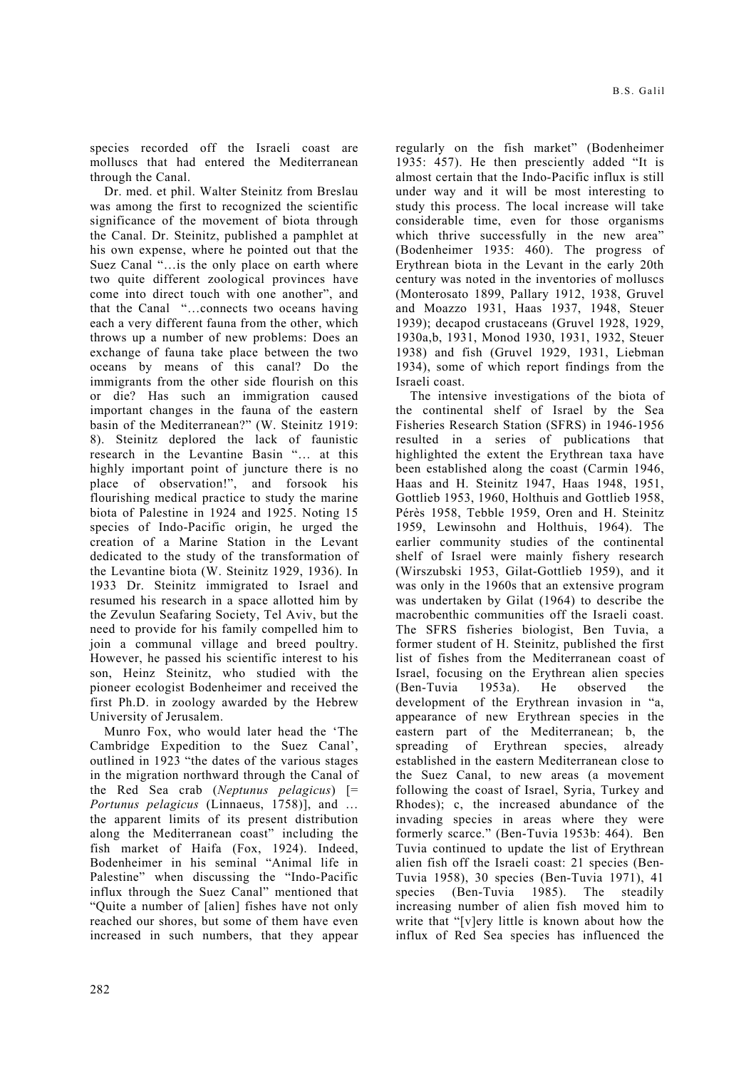species recorded off the Israeli coast are molluscs that had entered the Mediterranean through the Canal.

Dr. med. et phil. Walter Steinitz from Breslau was among the first to recognized the scientific significance of the movement of biota through the Canal. Dr. Steinitz, published a pamphlet at his own expense, where he pointed out that the Suez Canal "…is the only place on earth where two quite different zoological provinces have come into direct touch with one another", and that the Canal "…connects two oceans having each a very different fauna from the other, which throws up a number of new problems: Does an exchange of fauna take place between the two oceans by means of this canal? Do the immigrants from the other side flourish on this or die? Has such an immigration caused important changes in the fauna of the eastern basin of the Mediterranean?" (W. Steinitz 1919: 8). Steinitz deplored the lack of faunistic research in the Levantine Basin "… at this highly important point of juncture there is no place of observation!", and forsook his flourishing medical practice to study the marine biota of Palestine in 1924 and 1925. Noting 15 species of Indo-Pacific origin, he urged the creation of a Marine Station in the Levant dedicated to the study of the transformation of the Levantine biota (W. Steinitz 1929, 1936). In 1933 Dr. Steinitz immigrated to Israel and resumed his research in a space allotted him by the Zevulun Seafaring Society, Tel Aviv, but the need to provide for his family compelled him to join a communal village and breed poultry. However, he passed his scientific interest to his son, Heinz Steinitz, who studied with the pioneer ecologist Bodenheimer and received the first Ph.D. in zoology awarded by the Hebrew University of Jerusalem.

Munro Fox, who would later head the 'The Cambridge Expedition to the Suez Canal', outlined in 1923 "the dates of the various stages in the migration northward through the Canal of the Red Sea crab (*Neptunus pelagicus*) [= *Portunus pelagicus* (Linnaeus, 1758)], and … the apparent limits of its present distribution along the Mediterranean coast" including the fish market of Haifa (Fox, 1924). Indeed, Bodenheimer in his seminal "Animal life in Palestine" when discussing the "Indo-Pacific influx through the Suez Canal" mentioned that "Quite a number of [alien] fishes have not only reached our shores, but some of them have even increased in such numbers, that they appear regularly on the fish market" (Bodenheimer 1935: 457). He then presciently added "It is almost certain that the Indo-Pacific influx is still under way and it will be most interesting to study this process. The local increase will take considerable time, even for those organisms which thrive successfully in the new area" (Bodenheimer 1935: 460). The progress of Erythrean biota in the Levant in the early 20th century was noted in the inventories of molluscs (Monterosato 1899, Pallary 1912, 1938, Gruvel and Moazzo 1931, Haas 1937, 1948, Steuer 1939); decapod crustaceans (Gruvel 1928, 1929, 1930a,b, 1931, Monod 1930, 1931, 1932, Steuer 1938) and fish (Gruvel 1929, 1931, Liebman 1934), some of which report findings from the Israeli coast.

The intensive investigations of the biota of the continental shelf of Israel by the Sea Fisheries Research Station (SFRS) in 1946-1956 resulted in a series of publications that highlighted the extent the Erythrean taxa have been established along the coast (Carmin 1946, Haas and H. Steinitz 1947, Haas 1948, 1951, Gottlieb 1953, 1960, Holthuis and Gottlieb 1958, Pérès 1958, Tebble 1959, Oren and H. Steinitz 1959, Lewinsohn and Holthuis, 1964). The earlier community studies of the continental shelf of Israel were mainly fishery research (Wirszubski 1953, Gilat-Gottlieb 1959), and it was only in the 1960s that an extensive program was undertaken by Gilat (1964) to describe the macrobenthic communities off the Israeli coast. The SFRS fisheries biologist, Ben Tuvia, a former student of H. Steinitz, published the first list of fishes from the Mediterranean coast of Israel, focusing on the Erythrean alien species (Ben-Tuvia 1953a). He observed the development of the Erythrean invasion in "a, appearance of new Erythrean species in the eastern part of the Mediterranean; b, the spreading of Erythrean species, already established in the eastern Mediterranean close to the Suez Canal, to new areas (a movement following the coast of Israel, Syria, Turkey and Rhodes); c, the increased abundance of the invading species in areas where they were formerly scarce." (Ben-Tuvia 1953b: 464). Ben Tuvia continued to update the list of Erythrean alien fish off the Israeli coast: 21 species (Ben-Tuvia 1958), 30 species (Ben-Tuvia 1971), 41 species (Ben-Tuvia 1985). The steadily increasing number of alien fish moved him to write that "[v]ery little is known about how the influx of Red Sea species has influenced the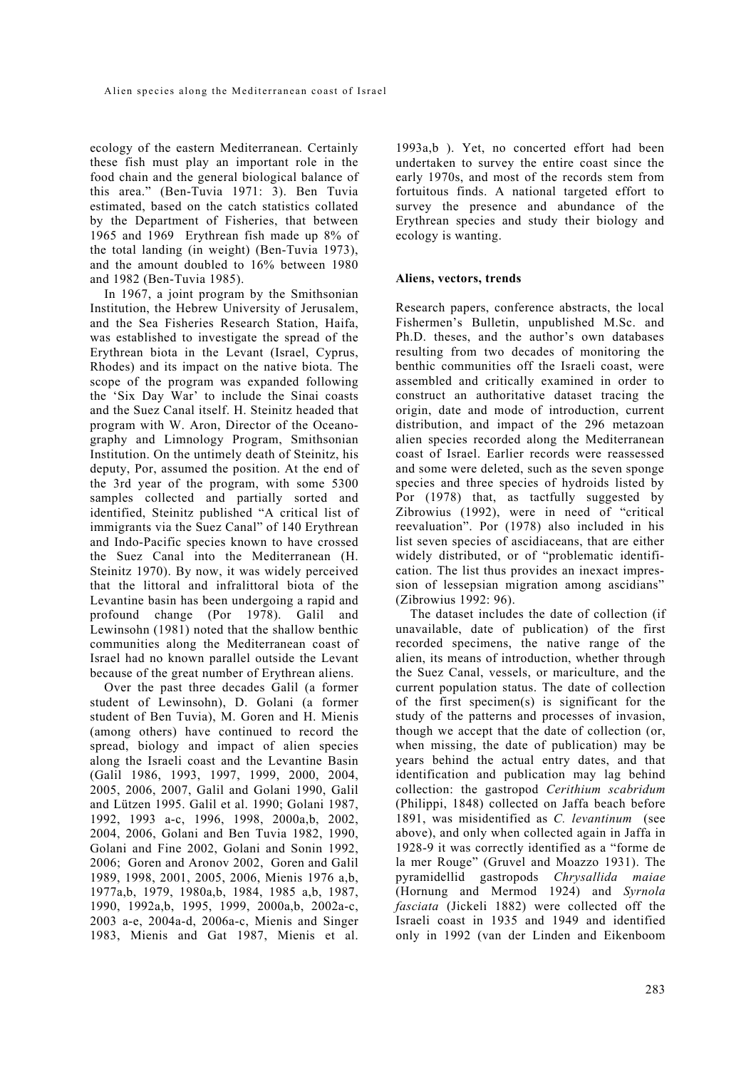ecology of the eastern Mediterranean. Certainly these fish must play an important role in the food chain and the general biological balance of this area." (Ben-Tuvia 1971: 3). Ben Tuvia estimated, based on the catch statistics collated by the Department of Fisheries, that between 1965 and 1969 Erythrean fish made up 8% of the total landing (in weight) (Ben-Tuvia 1973), and the amount doubled to 16% between 1980 and 1982 (Ben-Tuvia 1985).

In 1967, a joint program by the Smithsonian Institution, the Hebrew University of Jerusalem, and the Sea Fisheries Research Station, Haifa, was established to investigate the spread of the Erythrean biota in the Levant (Israel, Cyprus, Rhodes) and its impact on the native biota. The scope of the program was expanded following the 'Six Day War' to include the Sinai coasts and the Suez Canal itself. H. Steinitz headed that program with W. Aron, Director of the Oceanography and Limnology Program, Smithsonian Institution. On the untimely death of Steinitz, his deputy, Por, assumed the position. At the end of the 3rd year of the program, with some 5300 samples collected and partially sorted and identified, Steinitz published "A critical list of immigrants via the Suez Canal" of 140 Erythrean and Indo-Pacific species known to have crossed the Suez Canal into the Mediterranean (H. Steinitz 1970). By now, it was widely perceived that the littoral and infralittoral biota of the Levantine basin has been undergoing a rapid and profound change (Por 1978). Galil and Lewinsohn (1981) noted that the shallow benthic communities along the Mediterranean coast of Israel had no known parallel outside the Levant because of the great number of Erythrean aliens.

Over the past three decades Galil (a former student of Lewinsohn), D. Golani (a former student of Ben Tuvia), M. Goren and H. Mienis (among others) have continued to record the spread, biology and impact of alien species along the Israeli coast and the Levantine Basin (Galil 1986, 1993, 1997, 1999, 2000, 2004, 2005, 2006, 2007, Galil and Golani 1990, Galil and Lützen 1995. Galil et al. 1990; Golani 1987, 1992, 1993 a-c, 1996, 1998, 2000a,b, 2002, 2004, 2006, Golani and Ben Tuvia 1982, 1990, Golani and Fine 2002, Golani and Sonin 1992, 2006; Goren and Aronov 2002, Goren and Galil 1989, 1998, 2001, 2005, 2006, Mienis 1976 a,b, 1977a,b, 1979, 1980a,b, 1984, 1985 a,b, 1987, 1990, 1992a,b, 1995, 1999, 2000a,b, 2002a-c, 2003 a-e, 2004a-d, 2006a-c, Mienis and Singer 1983, Mienis and Gat 1987, Mienis et al. 1993a,b ). Yet, no concerted effort had been undertaken to survey the entire coast since the early 1970s, and most of the records stem from fortuitous finds. A national targeted effort to survey the presence and abundance of the Erythrean species and study their biology and ecology is wanting.

## **Aliens, vectors, trends**

Research papers, conference abstracts, the local Fishermen's Bulletin, unpublished M.Sc. and Ph.D. theses, and the author's own databases resulting from two decades of monitoring the benthic communities off the Israeli coast, were assembled and critically examined in order to construct an authoritative dataset tracing the origin, date and mode of introduction, current distribution, and impact of the 296 metazoan alien species recorded along the Mediterranean coast of Israel. Earlier records were reassessed and some were deleted, such as the seven sponge species and three species of hydroids listed by Por (1978) that, as tactfully suggested by Zibrowius (1992), were in need of "critical reevaluation". Por (1978) also included in his list seven species of ascidiaceans, that are either widely distributed, or of "problematic identification. The list thus provides an inexact impression of lessepsian migration among ascidians" (Zibrowius 1992: 96).

The dataset includes the date of collection (if unavailable, date of publication) of the first recorded specimens, the native range of the alien, its means of introduction, whether through the Suez Canal, vessels, or mariculture, and the current population status. The date of collection of the first specimen(s) is significant for the study of the patterns and processes of invasion, though we accept that the date of collection (or, when missing, the date of publication) may be years behind the actual entry dates, and that identification and publication may lag behind collection: the gastropod *Cerithium scabridum* (Philippi, 1848) collected on Jaffa beach before 1891, was misidentified as *C. levantinum* (see above), and only when collected again in Jaffa in 1928-9 it was correctly identified as a "forme de la mer Rouge" (Gruvel and Moazzo 1931). The pyramidellid gastropods *Chrysallida maiae* (Hornung and Mermod 1924) and *Syrnola fasciata* (Jickeli 1882) were collected off the Israeli coast in 1935 and 1949 and identified only in 1992 (van der Linden and Eikenboom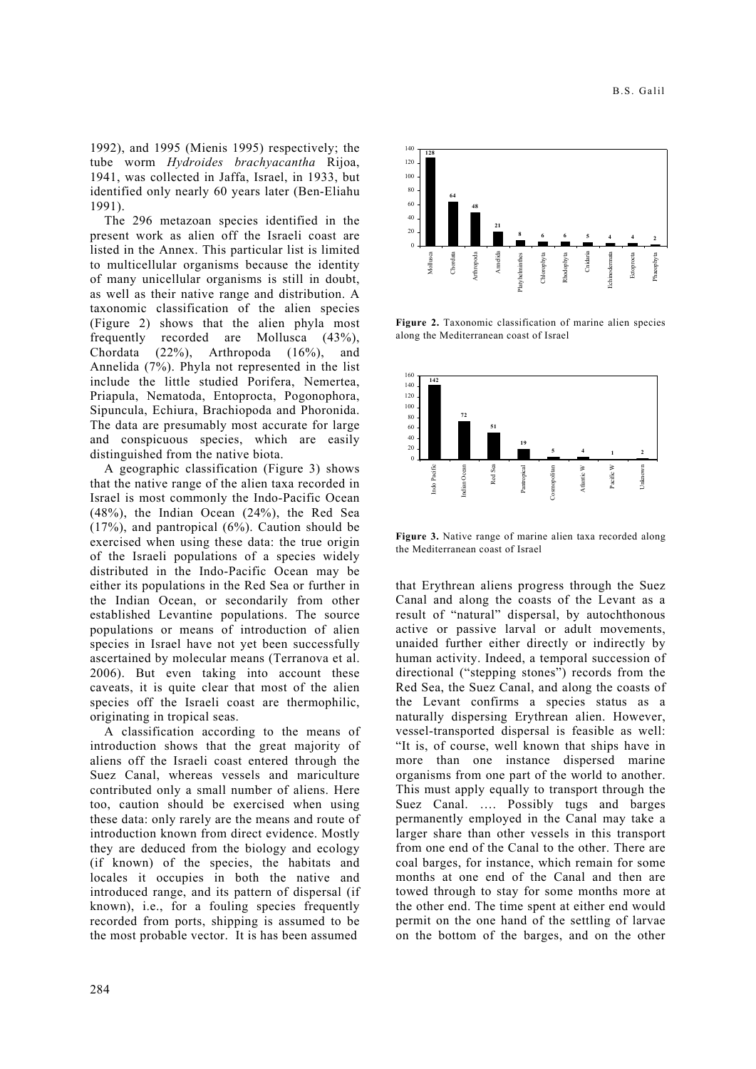1992), and 1995 (Mienis 1995) respectively; the tube worm *Hydroides brachyacantha* Rijoa, 1941, was collected in Jaffa, Israel, in 1933, but identified only nearly 60 years later (Ben-Eliahu 1991).

The 296 metazoan species identified in the present work as alien off the Israeli coast are listed in the Annex. This particular list is limited to multicellular organisms because the identity of many unicellular organisms is still in doubt, as well as their native range and distribution. A taxonomic classification of the alien species (Figure 2) shows that the alien phyla most frequently recorded are Mollusca (43%), Chordata (22%), Arthropoda (16%), and Annelida (7%). Phyla not represented in the list include the little studied Porifera, Nemertea, Priapula, Nematoda, Entoprocta, Pogonophora, Sipuncula, Echiura, Brachiopoda and Phoronida. The data are presumably most accurate for large and conspicuous species, which are easily distinguished from the native biota.

A geographic classification (Figure 3) shows that the native range of the alien taxa recorded in Israel is most commonly the Indo-Pacific Ocean (48%), the Indian Ocean (24%), the Red Sea (17%), and pantropical (6%). Caution should be exercised when using these data: the true origin of the Israeli populations of a species widely distributed in the Indo-Pacific Ocean may be either its populations in the Red Sea or further in the Indian Ocean, or secondarily from other established Levantine populations. The source populations or means of introduction of alien species in Israel have not yet been successfully ascertained by molecular means (Terranova et al. 2006). But even taking into account these caveats, it is quite clear that most of the alien species off the Israeli coast are thermophilic, originating in tropical seas.

A classification according to the means of introduction shows that the great majority of aliens off the Israeli coast entered through the Suez Canal, whereas vessels and mariculture contributed only a small number of aliens. Here too, caution should be exercised when using these data: only rarely are the means and route of introduction known from direct evidence. Mostly they are deduced from the biology and ecology (if known) of the species, the habitats and locales it occupies in both the native and introduced range, and its pattern of dispersal (if known), i.e., for a fouling species frequently recorded from ports, shipping is assumed to be the most probable vector. It is has been assumed



**Figure 2.** Taxonomic classification of marine alien species along the Mediterranean coast of Israel



**Figure 3.** Native range of marine alien taxa recorded along the Mediterranean coast of Israel

that Erythrean aliens progress through the Suez Canal and along the coasts of the Levant as a result of "natural" dispersal, by autochthonous active or passive larval or adult movements, unaided further either directly or indirectly by human activity. Indeed, a temporal succession of directional ("stepping stones") records from the Red Sea, the Suez Canal, and along the coasts of the Levant confirms a species status as a naturally dispersing Erythrean alien. However, vessel-transported dispersal is feasible as well: "It is, of course, well known that ships have in more than one instance dispersed marine organisms from one part of the world to another. This must apply equally to transport through the Suez Canal. …. Possibly tugs and barges permanently employed in the Canal may take a larger share than other vessels in this transport from one end of the Canal to the other. There are coal barges, for instance, which remain for some months at one end of the Canal and then are towed through to stay for some months more at the other end. The time spent at either end would permit on the one hand of the settling of larvae on the bottom of the barges, and on the other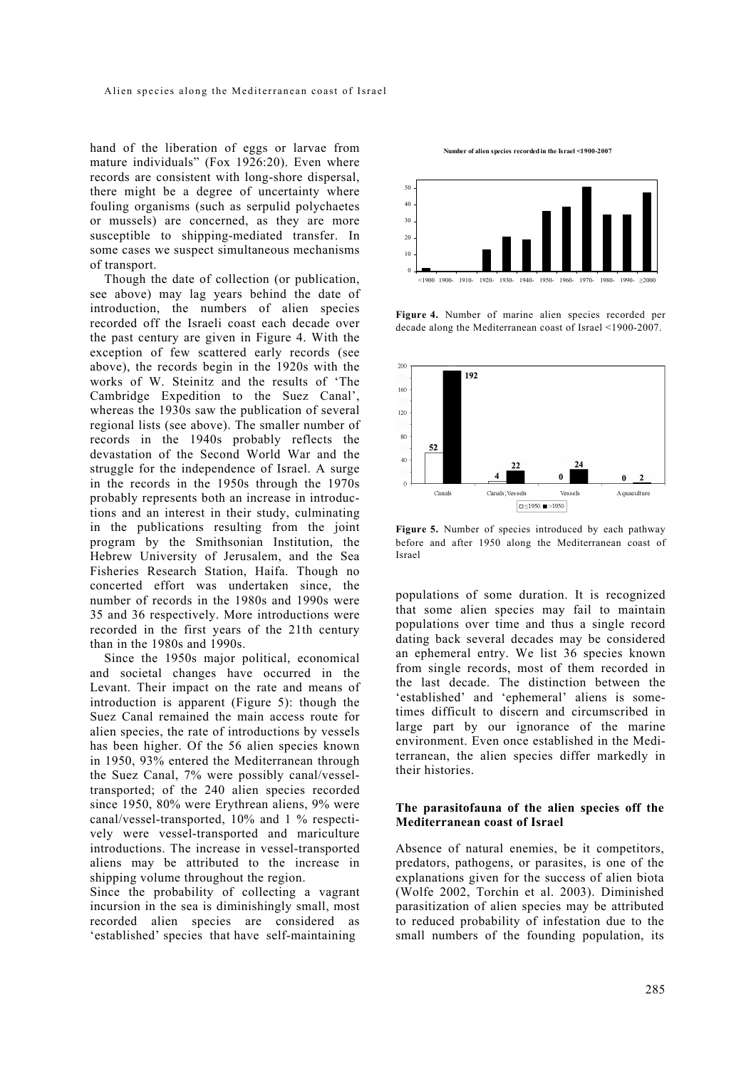hand of the liberation of eggs or larvae from mature individuals" (Fox 1926:20). Even where records are consistent with long-shore dispersal, there might be a degree of uncertainty where fouling organisms (such as serpulid polychaetes or mussels) are concerned, as they are more susceptible to shipping-mediated transfer. In some cases we suspect simultaneous mechanisms of transport.

Though the date of collection (or publication, see above) may lag years behind the date of introduction, the numbers of alien species recorded off the Israeli coast each decade over the past century are given in Figure 4. With the exception of few scattered early records (see above), the records begin in the 1920s with the works of W. Steinitz and the results of 'The Cambridge Expedition to the Suez Canal', whereas the 1930s saw the publication of several regional lists (see above). The smaller number of records in the 1940s probably reflects the devastation of the Second World War and the struggle for the independence of Israel. A surge in the records in the 1950s through the 1970s probably represents both an increase in introductions and an interest in their study, culminating in the publications resulting from the joint program by the Smithsonian Institution, the Hebrew University of Jerusalem, and the Sea Fisheries Research Station, Haifa. Though no concerted effort was undertaken since, the number of records in the 1980s and 1990s were 35 and 36 respectively. More introductions were recorded in the first years of the 21th century than in the 1980s and 1990s.

Since the 1950s major political, economical and societal changes have occurred in the Levant. Their impact on the rate and means of introduction is apparent (Figure 5): though the Suez Canal remained the main access route for alien species, the rate of introductions by vessels has been higher. Of the 56 alien species known in 1950, 93% entered the Mediterranean through the Suez Canal, 7% were possibly canal/vesseltransported; of the 240 alien species recorded since 1950, 80% were Erythrean aliens, 9% were canal/vessel-transported, 10% and 1 % respectively were vessel-transported and mariculture introductions. The increase in vessel-transported aliens may be attributed to the increase in shipping volume throughout the region.

Since the probability of collecting a vagrant incursion in the sea is diminishingly small, most recorded alien species are considered as 'established' species that have self-maintaining

**Number of alien species recorded in the Israel <1900-2007**



**Figure 4.** Number of marine alien species recorded per decade along the Mediterranean coast of Israel <1900-2007.



**Figure 5.** Number of species introduced by each pathway before and after 1950 along the Mediterranean coast of Israel

populations of some duration. It is recognized that some alien species may fail to maintain populations over time and thus a single record dating back several decades may be considered an ephemeral entry. We list 36 species known from single records, most of them recorded in the last decade. The distinction between the 'established' and 'ephemeral' aliens is sometimes difficult to discern and circumscribed in large part by our ignorance of the marine environment. Even once established in the Mediterranean, the alien species differ markedly in their histories.

#### **The parasitofauna of the alien species off the Mediterranean coast of Israel**

Absence of natural enemies, be it competitors, predators, pathogens, or parasites, is one of the explanations given for the success of alien biota (Wolfe 2002, Torchin et al. 2003). Diminished parasitization of alien species may be attributed to reduced probability of infestation due to the small numbers of the founding population, its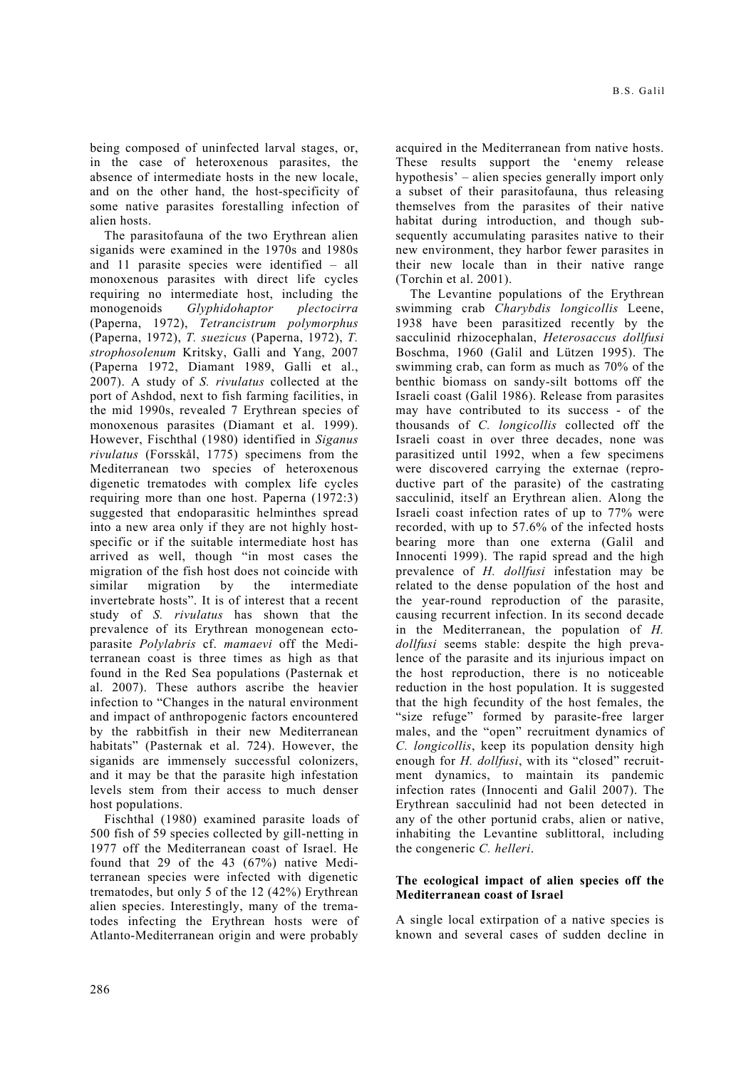being composed of uninfected larval stages, or, in the case of heteroxenous parasites, the absence of intermediate hosts in the new locale, and on the other hand, the host-specificity of some native parasites forestalling infection of alien hosts.

The parasitofauna of the two Erythrean alien siganids were examined in the 1970s and 1980s and 11 parasite species were identified – all monoxenous parasites with direct life cycles requiring no intermediate host, including the monogenoids *Glyphidohaptor plectocirra* (Paperna, 1972), *Tetrancistrum polymorphus* (Paperna, 1972), *T. suezicus* (Paperna, 1972), *T. strophosolenum* Kritsky, Galli and Yang, 2007 (Paperna 1972, Diamant 1989, Galli et al., 2007). A study of *S. rivulatus* collected at the port of Ashdod, next to fish farming facilities, in the mid 1990s, revealed 7 Erythrean species of monoxenous parasites (Diamant et al. 1999). However, Fischthal (1980) identified in *Siganus rivulatus* (Forsskål, 1775) specimens from the Mediterranean two species of heteroxenous digenetic trematodes with complex life cycles requiring more than one host. Paperna (1972:3) suggested that endoparasitic helminthes spread into a new area only if they are not highly hostspecific or if the suitable intermediate host has arrived as well, though "in most cases the migration of the fish host does not coincide with similar migration by the intermediate invertebrate hosts". It is of interest that a recent study of *S. rivulatus* has shown that the prevalence of its Erythrean monogenean ectoparasite *Polylabris* cf. *mamaevi* off the Mediterranean coast is three times as high as that found in the Red Sea populations (Pasternak et al. 2007). These authors ascribe the heavier infection to "Changes in the natural environment and impact of anthropogenic factors encountered by the rabbitfish in their new Mediterranean habitats" (Pasternak et al. 724). However, the siganids are immensely successful colonizers, and it may be that the parasite high infestation levels stem from their access to much denser host populations.

Fischthal (1980) examined parasite loads of 500 fish of 59 species collected by gill-netting in 1977 off the Mediterranean coast of Israel. He found that 29 of the 43 (67%) native Mediterranean species were infected with digenetic trematodes, but only 5 of the 12 (42%) Erythrean alien species. Interestingly, many of the trematodes infecting the Erythrean hosts were of Atlanto-Mediterranean origin and were probably

acquired in the Mediterranean from native hosts. These results support the 'enemy release hypothesis' – alien species generally import only a subset of their parasitofauna, thus releasing themselves from the parasites of their native habitat during introduction, and though subsequently accumulating parasites native to their new environment, they harbor fewer parasites in their new locale than in their native range (Torchin et al. 2001).

The Levantine populations of the Erythrean swimming crab *Charybdis longicollis* Leene, 1938 have been parasitized recently by the sacculinid rhizocephalan, *Heterosaccus dollfusi* Boschma, 1960 (Galil and Lützen 1995). The swimming crab, can form as much as 70% of the benthic biomass on sandy-silt bottoms off the Israeli coast (Galil 1986). Release from parasites may have contributed to its success - of the thousands of *C. longicollis* collected off the Israeli coast in over three decades, none was parasitized until 1992, when a few specimens were discovered carrying the externae (reproductive part of the parasite) of the castrating sacculinid, itself an Erythrean alien. Along the Israeli coast infection rates of up to 77% were recorded, with up to 57.6% of the infected hosts bearing more than one externa (Galil and Innocenti 1999). The rapid spread and the high prevalence of *H. dollfusi* infestation may be related to the dense population of the host and the year-round reproduction of the parasite, causing recurrent infection. In its second decade in the Mediterranean, the population of *H. dollfusi* seems stable: despite the high prevalence of the parasite and its injurious impact on the host reproduction, there is no noticeable reduction in the host population. It is suggested that the high fecundity of the host females, the "size refuge" formed by parasite-free larger males, and the "open" recruitment dynamics of *C. longicollis*, keep its population density high enough for *H. dollfusi*, with its "closed" recruitment dynamics, to maintain its pandemic infection rates (Innocenti and Galil 2007). The Erythrean sacculinid had not been detected in any of the other portunid crabs, alien or native, inhabiting the Levantine sublittoral, including the congeneric *C. helleri*.

## **The ecological impact of alien species off the Mediterranean coast of Israel**

A single local extirpation of a native species is known and several cases of sudden decline in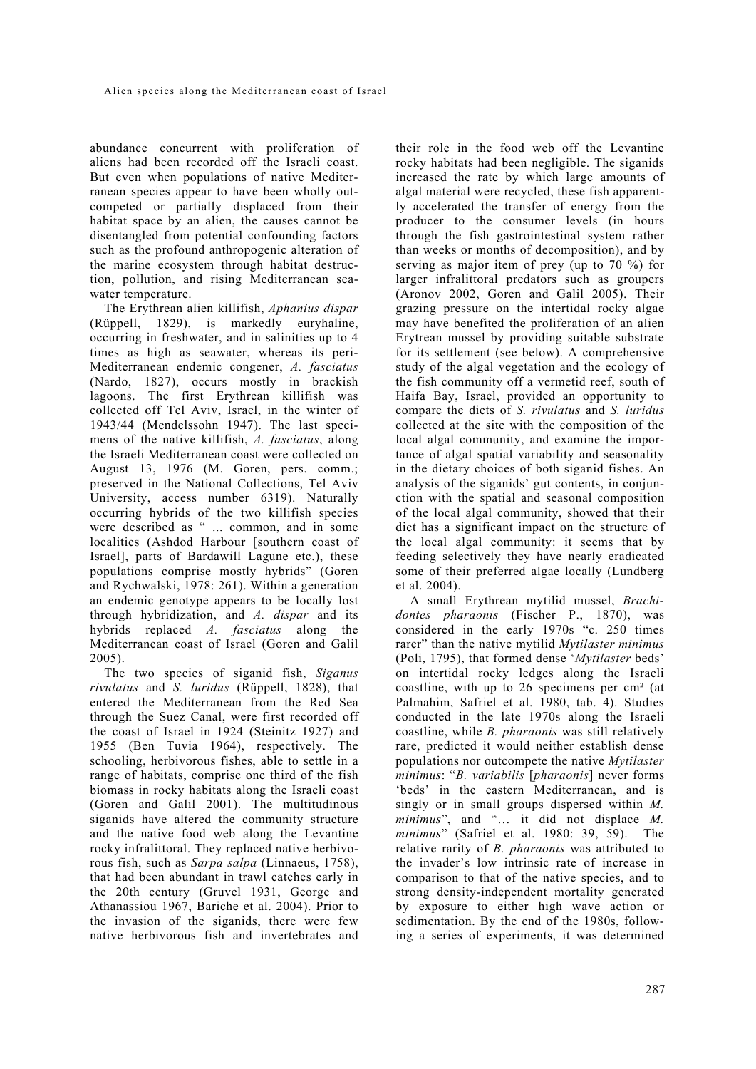abundance concurrent with proliferation of aliens had been recorded off the Israeli coast. But even when populations of native Mediterranean species appear to have been wholly outcompeted or partially displaced from their habitat space by an alien, the causes cannot be disentangled from potential confounding factors such as the profound anthropogenic alteration of the marine ecosystem through habitat destruction, pollution, and rising Mediterranean seawater temperature.

The Erythrean alien killifish, *Aphanius dispar* (Rüppell, 1829), is markedly euryhaline, occurring in freshwater, and in salinities up to 4 times as high as seawater, whereas its peri-Mediterranean endemic congener, *A. fasciatus* (Nardo, 1827), occurs mostly in brackish lagoons. The first Erythrean killifish was collected off Tel Aviv, Israel, in the winter of 1943/44 (Mendelssohn 1947). The last specimens of the native killifish, *A. fasciatus*, along the Israeli Mediterranean coast were collected on August 13, 1976 (M. Goren, pers. comm.; preserved in the National Collections, Tel Aviv University, access number 6319). Naturally occurring hybrids of the two killifish species were described as " ... common, and in some localities (Ashdod Harbour [southern coast of Israel], parts of Bardawill Lagune etc.), these populations comprise mostly hybrids" (Goren and Rychwalski, 1978: 261). Within a generation an endemic genotype appears to be locally lost through hybridization, and *A. dispar* and its hybrids replaced *A. fasciatus* along the Mediterranean coast of Israel (Goren and Galil 2005).

The two species of siganid fish, *Siganus rivulatus* and *S. luridus* (Rüppell, 1828), that entered the Mediterranean from the Red Sea through the Suez Canal, were first recorded off the coast of Israel in 1924 (Steinitz 1927) and 1955 (Ben Tuvia 1964), respectively. The schooling, herbivorous fishes, able to settle in a range of habitats, comprise one third of the fish biomass in rocky habitats along the Israeli coast (Goren and Galil 2001). The multitudinous siganids have altered the community structure and the native food web along the Levantine rocky infralittoral. They replaced native herbivorous fish, such as *Sarpa salpa* (Linnaeus, 1758), that had been abundant in trawl catches early in the 20th century (Gruvel 1931, George and Athanassiou 1967, Bariche et al. 2004). Prior to the invasion of the siganids, there were few native herbivorous fish and invertebrates and

their role in the food web off the Levantine rocky habitats had been negligible. The siganids increased the rate by which large amounts of algal material were recycled, these fish apparently accelerated the transfer of energy from the producer to the consumer levels (in hours through the fish gastrointestinal system rather than weeks or months of decomposition), and by serving as major item of prey (up to 70 %) for larger infralittoral predators such as groupers (Aronov 2002, Goren and Galil 2005). Their grazing pressure on the intertidal rocky algae may have benefited the proliferation of an alien Erytrean mussel by providing suitable substrate for its settlement (see below). A comprehensive study of the algal vegetation and the ecology of the fish community off a vermetid reef, south of Haifa Bay, Israel, provided an opportunity to compare the diets of *S. rivulatus* and *S. luridus* collected at the site with the composition of the local algal community, and examine the importance of algal spatial variability and seasonality in the dietary choices of both siganid fishes. An analysis of the siganids' gut contents, in conjunction with the spatial and seasonal composition of the local algal community, showed that their diet has a significant impact on the structure of the local algal community: it seems that by feeding selectively they have nearly eradicated some of their preferred algae locally (Lundberg et al. 2004).

A small Erythrean mytilid mussel, *Brachidontes pharaonis* (Fischer P., 1870), was considered in the early 1970s "c. 250 times rarer" than the native mytilid *Mytilaster minimus* (Poli, 1795), that formed dense '*Mytilaster* beds' on intertidal rocky ledges along the Israeli coastline, with up to 26 specimens per cm² (at Palmahim, Safriel et al. 1980, tab. 4). Studies conducted in the late 1970s along the Israeli coastline, while *B. pharaonis* was still relatively rare, predicted it would neither establish dense populations nor outcompete the native *Mytilaster minimus*: "*B. variabilis* [*pharaonis*] never forms 'beds' in the eastern Mediterranean, and is singly or in small groups dispersed within *M. minimus*", and "… it did not displace *M. minimus*" (Safriel et al. 1980: 39, 59). The relative rarity of *B. pharaonis* was attributed to the invader's low intrinsic rate of increase in comparison to that of the native species, and to strong density-independent mortality generated by exposure to either high wave action or sedimentation. By the end of the 1980s, following a series of experiments, it was determined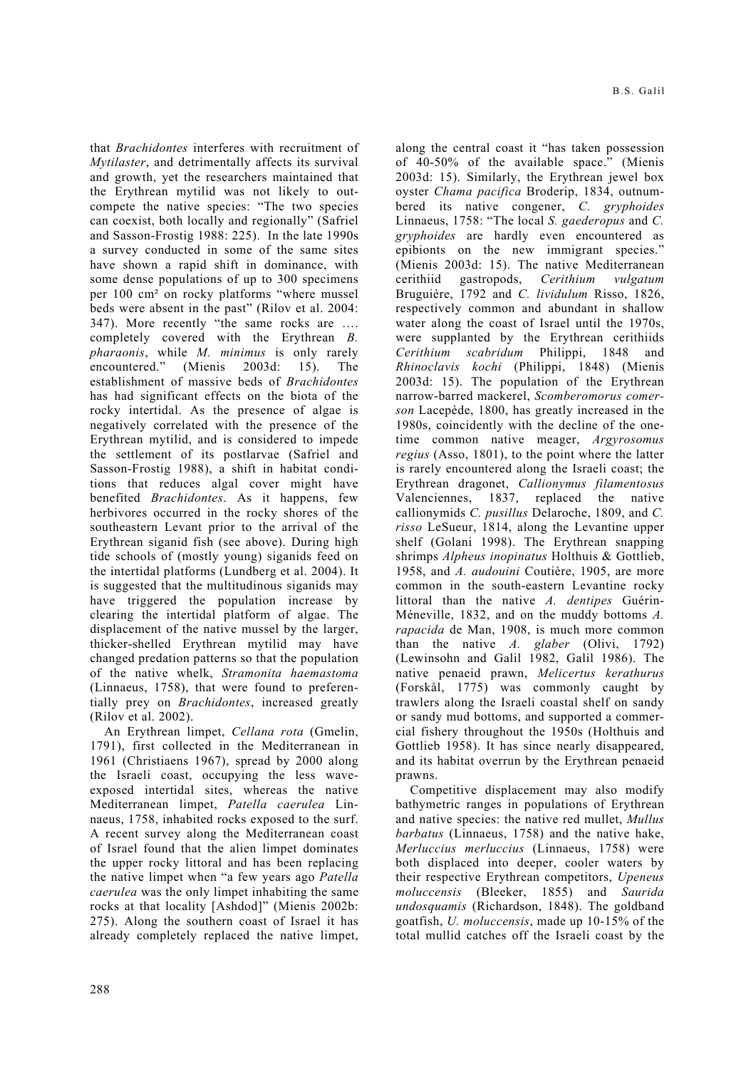that *Brachidontes* interferes with recruitment of *Mytilaster*, and detrimentally affects its survival and growth, yet the researchers maintained that the Erythrean mytilid was not likely to outcompete the native species: "The two species can coexist, both locally and regionally" (Safriel and Sasson-Frostig 1988: 225). In the late 1990s a survey conducted in some of the same sites have shown a rapid shift in dominance, with some dense populations of up to 300 specimens per 100 cm² on rocky platforms "where mussel beds were absent in the past" (Rilov et al. 2004: 347). More recently "the same rocks are …. completely covered with the Erythrean *B. pharaonis*, while *M. minimus* is only rarely encountered." (Mienis 2003d: 15). The establishment of massive beds of *Brachidontes* has had significant effects on the biota of the rocky intertidal. As the presence of algae is negatively correlated with the presence of the Erythrean mytilid, and is considered to impede the settlement of its postlarvae (Safriel and Sasson-Frostig 1988), a shift in habitat conditions that reduces algal cover might have benefited *Brachidontes*. As it happens, few herbivores occurred in the rocky shores of the southeastern Levant prior to the arrival of the Erythrean siganid fish (see above). During high tide schools of (mostly young) siganids feed on the intertidal platforms (Lundberg et al. 2004). It is suggested that the multitudinous siganids may have triggered the population increase by clearing the intertidal platform of algae. The displacement of the native mussel by the larger, thicker-shelled Erythrean mytilid may have changed predation patterns so that the population of the native whelk, *Stramonita haemastoma* (Linnaeus, 1758), that were found to preferentially prey on *Brachidontes*, increased greatly (Rilov et al. 2002).

An Erythrean limpet, *Cellana rota* (Gmelin, 1791), first collected in the Mediterranean in 1961 (Christiaens 1967), spread by 2000 along the Israeli coast, occupying the less waveexposed intertidal sites, whereas the native Mediterranean limpet, *Patella caerulea* Linnaeus, 1758, inhabited rocks exposed to the surf. A recent survey along the Mediterranean coast of Israel found that the alien limpet dominates the upper rocky littoral and has been replacing the native limpet when "a few years ago *Patella caerulea* was the only limpet inhabiting the same rocks at that locality [Ashdod]" (Mienis 2002b: 275). Along the southern coast of Israel it has already completely replaced the native limpet, along the central coast it "has taken possession of 40-50% of the available space." (Mienis 2003d: 15). Similarly, the Erythrean jewel box oyster *Chama pacifica* Broderip, 1834, outnumbered its native congener, *C. gryphoides* Linnaeus, 1758: "The local *S. gaederopus* and *C. gryphoides* are hardly even encountered as epibionts on the new immigrant species." (Mienis 2003d: 15). The native Mediterranean cerithiid gastropods, *Cerithium vulgatum* Bruguière, 1792 and *C. lividulum* Risso, 1826, respectively common and abundant in shallow water along the coast of Israel until the 1970s, were supplanted by the Erythrean cerithiids *Cerithium scabridum* Philippi, 1848 and *Rhinoclavis kochi* (Philippi, 1848) (Mienis 2003d: 15). The population of the Erythrean narrow-barred mackerel, *Scomberomorus comerson* Lacepède, 1800, has greatly increased in the 1980s, coincidently with the decline of the onetime common native meager, *Argyrosomus regius* (Asso, 1801), to the point where the latter is rarely encountered along the Israeli coast; the Erythrean dragonet, *Callionymus filamentosus* Valenciennes, 1837, replaced the native callionymids *C. pusillus* Delaroche, 1809, and *C. risso* LeSueur, 1814, along the Levantine upper shelf (Golani 1998). The Erythrean snapping shrimps *Alpheus inopinatus* Holthuis & Gottlieb, 1958, and *A. audouini* Coutière, 1905, are more common in the south-eastern Levantine rocky littoral than the native *A. dentipes* Guérin-Méneville, 1832, and on the muddy bottoms *A. rapacida* de Man, 1908, is much more common than the native *A. glaber* (Olivi, 1792) (Lewinsohn and Galil 1982, Galil 1986). The native penaeid prawn, *Melicertus kerathurus* (Forskål, 1775) was commonly caught by trawlers along the Israeli coastal shelf on sandy or sandy mud bottoms, and supported a commercial fishery throughout the 1950s (Holthuis and Gottlieb 1958). It has since nearly disappeared, and its habitat overrun by the Erythrean penaeid prawns.

Competitive displacement may also modify bathymetric ranges in populations of Erythrean and native species: the native red mullet, *Mullus barbatus* (Linnaeus, 1758) and the native hake, *Merluccius merluccius* (Linnaeus, 1758) were both displaced into deeper, cooler waters by their respective Erythrean competitors, *Upeneus moluccensis* (Bleeker, 1855) and *Saurida undosquamis* (Richardson, 1848). The goldband goatfish, *U. moluccensis*, made up 10-15% of the total mullid catches off the Israeli coast by the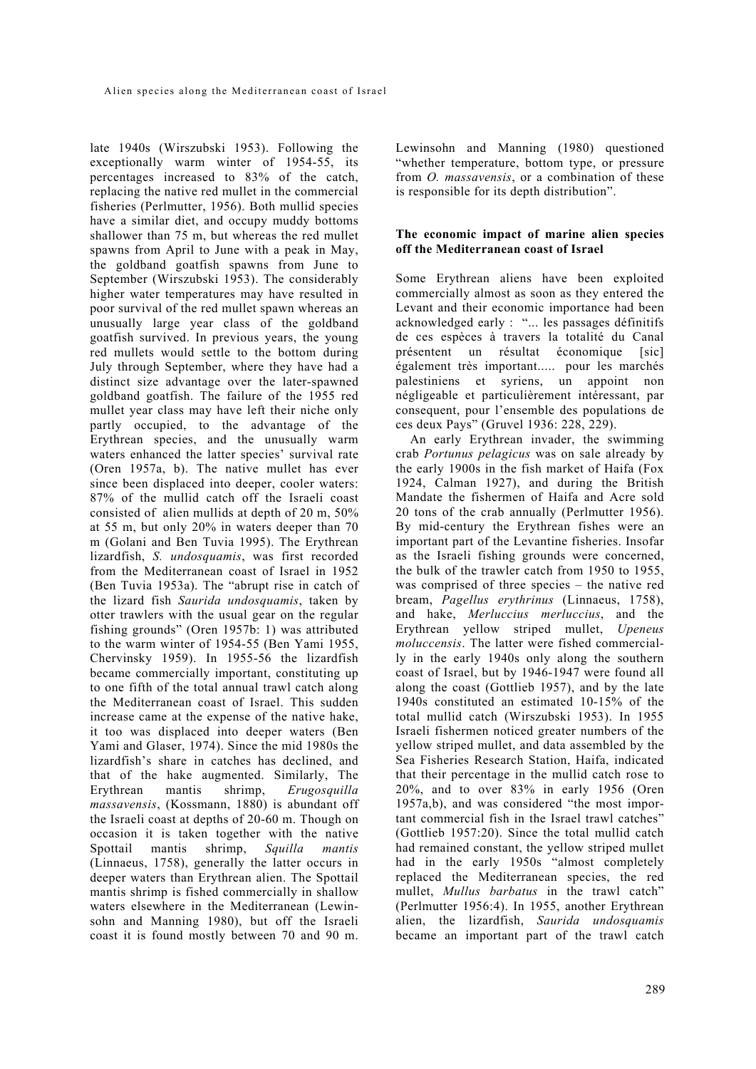late 1940s (Wirszubski 1953). Following the exceptionally warm winter of 1954-55, its percentages increased to 83% of the catch, replacing the native red mullet in the commercial fisheries (Perlmutter, 1956). Both mullid species have a similar diet, and occupy muddy bottoms shallower than 75 m, but whereas the red mullet spawns from April to June with a peak in May, the goldband goatfish spawns from June to September (Wirszubski 1953). The considerably higher water temperatures may have resulted in poor survival of the red mullet spawn whereas an unusually large year class of the goldband goatfish survived. In previous years, the young red mullets would settle to the bottom during July through September, where they have had a distinct size advantage over the later-spawned goldband goatfish. The failure of the 1955 red mullet year class may have left their niche only partly occupied, to the advantage of the Erythrean species, and the unusually warm waters enhanced the latter species' survival rate (Oren 1957a, b). The native mullet has ever since been displaced into deeper, cooler waters: 87% of the mullid catch off the Israeli coast consisted of alien mullids at depth of 20 m, 50% at 55 m, but only 20% in waters deeper than 70 m (Golani and Ben Tuvia 1995). The Erythrean lizardfish, *S. undosquamis*, was first recorded from the Mediterranean coast of Israel in 1952 (Ben Tuvia 1953a). The "abrupt rise in catch of the lizard fish *Saurida undosquamis*, taken by otter trawlers with the usual gear on the regular fishing grounds" (Oren 1957b: 1) was attributed to the warm winter of 1954-55 (Ben Yami 1955, Chervinsky 1959). In 1955-56 the lizardfish became commercially important, constituting up to one fifth of the total annual trawl catch along the Mediterranean coast of Israel. This sudden increase came at the expense of the native hake, it too was displaced into deeper waters (Ben Yami and Glaser, 1974). Since the mid 1980s the lizardfish's share in catches has declined, and that of the hake augmented. Similarly, The Erythrean mantis shrimp, *Erugosquilla massavensis*, (Kossmann, 1880) is abundant off the Israeli coast at depths of 20-60 m. Though on occasion it is taken together with the native Spottail mantis shrimp, *Squilla mantis* (Linnaeus, 1758), generally the latter occurs in deeper waters than Erythrean alien. The Spottail mantis shrimp is fished commercially in shallow waters elsewhere in the Mediterranean (Lewinsohn and Manning 1980), but off the Israeli coast it is found mostly between 70 and 90 m.

Lewinsohn and Manning (1980) questioned "whether temperature, bottom type, or pressure from *O. massavensis*, or a combination of these is responsible for its depth distribution".

## **The economic impact of marine alien species off the Mediterranean coast of Israel**

Some Erythrean aliens have been exploited commercially almost as soon as they entered the Levant and their economic importance had been acknowledged early : "... les passages définitifs de ces espèces à travers la totalité du Canal présentent un résultat économique [sic] également très important..... pour les marchés palestiniens et syriens, un appoint non négligeable et particulièrement intéressant, par consequent, pour l'ensemble des populations de ces deux Pays" (Gruvel 1936: 228, 229).

An early Erythrean invader, the swimming crab *Portunus pelagicus* was on sale already by the early 1900s in the fish market of Haifa (Fox 1924, Calman 1927), and during the British Mandate the fishermen of Haifa and Acre sold 20 tons of the crab annually (Perlmutter 1956). By mid-century the Erythrean fishes were an important part of the Levantine fisheries. Insofar as the Israeli fishing grounds were concerned, the bulk of the trawler catch from 1950 to 1955, was comprised of three species – the native red bream, *Pagellus erythrinus* (Linnaeus, 1758), and hake, *Merluccius merluccius*, and the Erythrean yellow striped mullet, *Upeneus moluccensis*. The latter were fished commercially in the early 1940s only along the southern coast of Israel, but by 1946-1947 were found all along the coast (Gottlieb 1957), and by the late 1940s constituted an estimated 10-15% of the total mullid catch (Wirszubski 1953). In 1955 Israeli fishermen noticed greater numbers of the yellow striped mullet, and data assembled by the Sea Fisheries Research Station, Haifa, indicated that their percentage in the mullid catch rose to 20%, and to over 83% in early 1956 (Oren 1957a,b), and was considered "the most important commercial fish in the Israel trawl catches" (Gottlieb 1957:20). Since the total mullid catch had remained constant, the yellow striped mullet had in the early 1950s "almost completely replaced the Mediterranean species, the red mullet, *Mullus barbatus* in the trawl catch" (Perlmutter 1956:4). In 1955, another Erythrean alien, the lizardfish, *Saurida undosquamis* became an important part of the trawl catch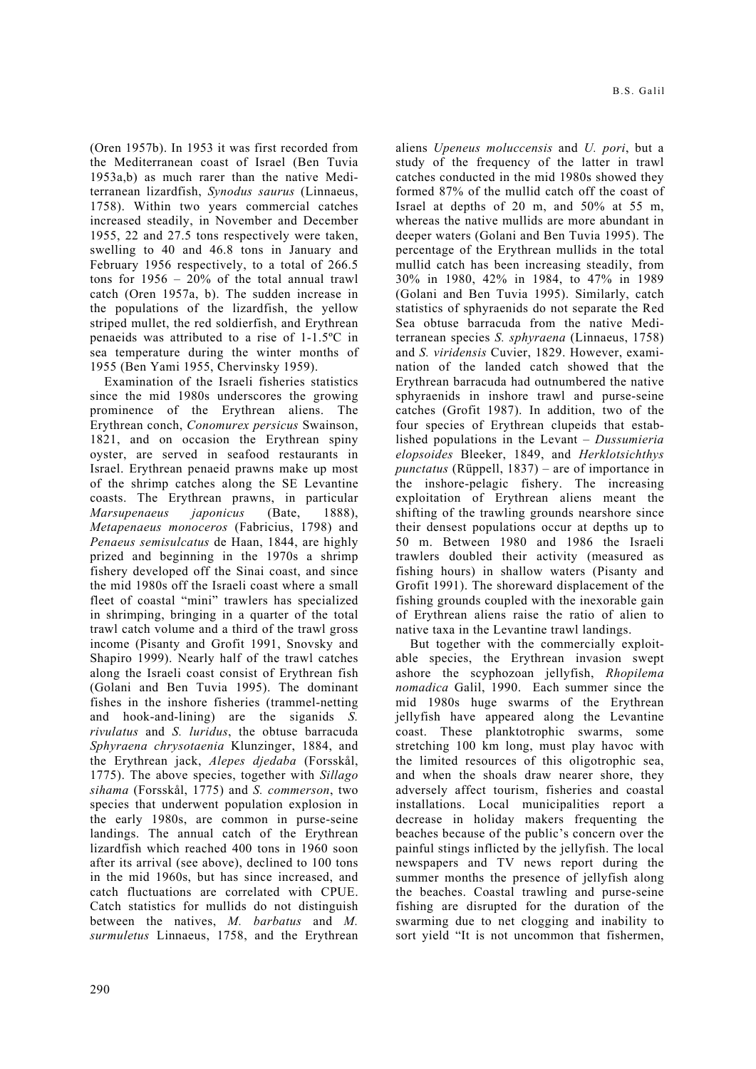(Oren 1957b). In 1953 it was first recorded from the Mediterranean coast of Israel (Ben Tuvia 1953a,b) as much rarer than the native Mediterranean lizardfish, *Synodus saurus* (Linnaeus, 1758). Within two years commercial catches increased steadily, in November and December 1955, 22 and 27.5 tons respectively were taken, swelling to 40 and 46.8 tons in January and February 1956 respectively, to a total of 266.5 tons for 1956 – 20% of the total annual trawl catch (Oren 1957a, b). The sudden increase in the populations of the lizardfish, the yellow striped mullet, the red soldierfish, and Erythrean penaeids was attributed to a rise of 1-1.5ºC in sea temperature during the winter months of 1955 (Ben Yami 1955, Chervinsky 1959).

Examination of the Israeli fisheries statistics since the mid 1980s underscores the growing prominence of the Erythrean aliens. The Erythrean conch, *Conomurex persicus* Swainson, 1821, and on occasion the Erythrean spiny oyster, are served in seafood restaurants in Israel. Erythrean penaeid prawns make up most of the shrimp catches along the SE Levantine coasts. The Erythrean prawns, in particular *Marsupenaeus japonicus* (Bate, 1888), *Metapenaeus monoceros* (Fabricius, 1798) and *Penaeus semisulcatus* de Haan, 1844, are highly prized and beginning in the 1970s a shrimp fishery developed off the Sinai coast, and since the mid 1980s off the Israeli coast where a small fleet of coastal "mini" trawlers has specialized in shrimping, bringing in a quarter of the total trawl catch volume and a third of the trawl gross income (Pisanty and Grofit 1991, Snovsky and Shapiro 1999). Nearly half of the trawl catches along the Israeli coast consist of Erythrean fish (Golani and Ben Tuvia 1995). The dominant fishes in the inshore fisheries (trammel-netting and hook-and-lining) are the siganids *S. rivulatus* and *S. luridus*, the obtuse barracuda *Sphyraena chrysotaenia* Klunzinger, 1884, and the Erythrean jack, *Alepes djedaba* (Forsskål, 1775). The above species, together with *Sillago sihama* (Forsskål, 1775) and *S. commerson*, two species that underwent population explosion in the early 1980s, are common in purse-seine landings. The annual catch of the Erythrean lizardfish which reached 400 tons in 1960 soon after its arrival (see above), declined to 100 tons in the mid 1960s, but has since increased, and catch fluctuations are correlated with CPUE. Catch statistics for mullids do not distinguish between the natives, *M. barbatus* and *M. surmuletus* Linnaeus, 1758, and the Erythrean aliens *Upeneus moluccensis* and *U. pori*, but a study of the frequency of the latter in trawl catches conducted in the mid 1980s showed they formed 87% of the mullid catch off the coast of Israel at depths of 20 m, and 50% at 55 m, whereas the native mullids are more abundant in deeper waters (Golani and Ben Tuvia 1995). The percentage of the Erythrean mullids in the total mullid catch has been increasing steadily, from 30% in 1980, 42% in 1984, to 47% in 1989 (Golani and Ben Tuvia 1995). Similarly, catch statistics of sphyraenids do not separate the Red Sea obtuse barracuda from the native Mediterranean species *S. sphyraena* (Linnaeus, 1758) and *S. viridensis* Cuvier, 1829. However, examination of the landed catch showed that the Erythrean barracuda had outnumbered the native sphyraenids in inshore trawl and purse-seine catches (Grofit 1987). In addition, two of the four species of Erythrean clupeids that established populations in the Levant – *Dussumieria elopsoides* Bleeker, 1849, and *Herklotsichthys punctatus* (Rüppell, 1837) – are of importance in the inshore-pelagic fishery. The increasing exploitation of Erythrean aliens meant the shifting of the trawling grounds nearshore since their densest populations occur at depths up to 50 m. Between 1980 and 1986 the Israeli trawlers doubled their activity (measured as fishing hours) in shallow waters (Pisanty and Grofit 1991). The shoreward displacement of the fishing grounds coupled with the inexorable gain of Erythrean aliens raise the ratio of alien to native taxa in the Levantine trawl landings.

But together with the commercially exploitable species, the Erythrean invasion swept ashore the scyphozoan jellyfish, *Rhopilema nomadica* Galil, 1990. Each summer since the mid 1980s huge swarms of the Erythrean jellyfish have appeared along the Levantine coast. These planktotrophic swarms, some stretching 100 km long, must play havoc with the limited resources of this oligotrophic sea, and when the shoals draw nearer shore, they adversely affect tourism, fisheries and coastal installations. Local municipalities report a decrease in holiday makers frequenting the beaches because of the public's concern over the painful stings inflicted by the jellyfish. The local newspapers and TV news report during the summer months the presence of jellyfish along the beaches. Coastal trawling and purse-seine fishing are disrupted for the duration of the swarming due to net clogging and inability to sort yield "It is not uncommon that fishermen,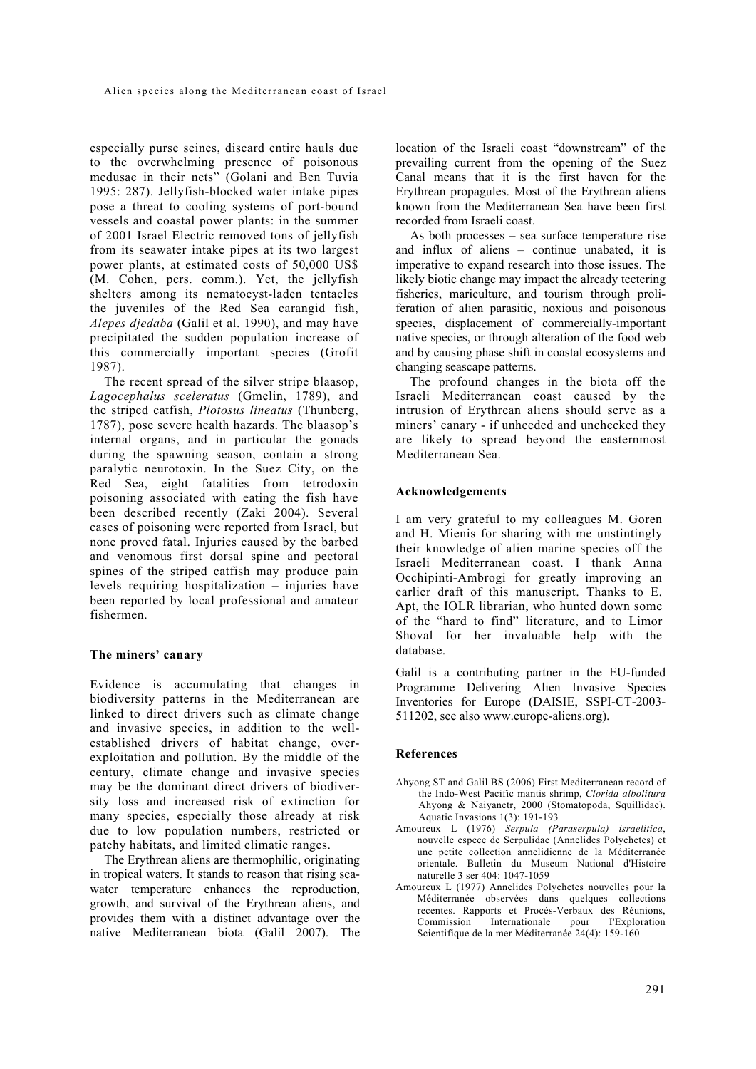especially purse seines, discard entire hauls due to the overwhelming presence of poisonous medusae in their nets" (Golani and Ben Tuvia 1995: 287). Jellyfish-blocked water intake pipes pose a threat to cooling systems of port-bound vessels and coastal power plants: in the summer of 2001 Israel Electric removed tons of jellyfish from its seawater intake pipes at its two largest power plants, at estimated costs of 50,000 US\$ (M. Cohen, pers. comm.). Yet, the jellyfish shelters among its nematocyst-laden tentacles the juveniles of the Red Sea carangid fish, *Alepes djedaba* (Galil et al. 1990), and may have precipitated the sudden population increase of this commercially important species (Grofit 1987).

The recent spread of the silver stripe blaasop, *Lagocephalus sceleratus* (Gmelin, 1789), and the striped catfish, *Plotosus lineatus* (Thunberg, 1787), pose severe health hazards. The blaasop's internal organs, and in particular the gonads during the spawning season, contain a strong paralytic neurotoxin. In the Suez City, on the Red Sea, eight fatalities from tetrodoxin poisoning associated with eating the fish have been described recently (Zaki 2004). Several cases of poisoning were reported from Israel, but none proved fatal. Injuries caused by the barbed and venomous first dorsal spine and pectoral spines of the striped catfish may produce pain levels requiring hospitalization – injuries have been reported by local professional and amateur fishermen.

## **The miners' canary**

Evidence is accumulating that changes in biodiversity patterns in the Mediterranean are linked to direct drivers such as climate change and invasive species, in addition to the wellestablished drivers of habitat change, overexploitation and pollution. By the middle of the century, climate change and invasive species may be the dominant direct drivers of biodiversity loss and increased risk of extinction for many species, especially those already at risk due to low population numbers, restricted or patchy habitats, and limited climatic ranges.

The Erythrean aliens are thermophilic, originating in tropical waters. It stands to reason that rising seawater temperature enhances the reproduction, growth, and survival of the Erythrean aliens, and provides them with a distinct advantage over the native Mediterranean biota (Galil 2007). The location of the Israeli coast "downstream" of the prevailing current from the opening of the Suez Canal means that it is the first haven for the Erythrean propagules. Most of the Erythrean aliens known from the Mediterranean Sea have been first recorded from Israeli coast.

As both processes – sea surface temperature rise and influx of aliens – continue unabated, it is imperative to expand research into those issues. The likely biotic change may impact the already teetering fisheries, mariculture, and tourism through proliferation of alien parasitic, noxious and poisonous species, displacement of commercially-important native species, or through alteration of the food web and by causing phase shift in coastal ecosystems and changing seascape patterns.

The profound changes in the biota off the Israeli Mediterranean coast caused by the intrusion of Erythrean aliens should serve as a miners' canary - if unheeded and unchecked they are likely to spread beyond the easternmost Mediterranean Sea.

#### **Acknowledgements**

I am very grateful to my colleagues M. Goren and H. Mienis for sharing with me unstintingly their knowledge of alien marine species off the Israeli Mediterranean coast. I thank Anna Occhipinti-Ambrogi for greatly improving an earlier draft of this manuscript. Thanks to E. Apt, the IOLR librarian, who hunted down some of the "hard to find" literature, and to Limor Shoval for her invaluable help with the database.

Galil is a contributing partner in the EU-funded Programme Delivering Alien Invasive Species Inventories for Europe (DAISIE, SSPI-CT-2003- 511202, see also www.europe-aliens.org).

## **References**

- Ahyong ST and Galil BS (2006) First Mediterranean record of the Indo-West Pacific mantis shrimp, *Clorida albolitura* Ahyong & Naiyanetr, 2000 (Stomatopoda, Squillidae). Aquatic Invasions 1(3): 191-193
- Amoureux L (1976) *Serpula (Paraserpula) israelitica*, nouvelle espece de Serpulidae (Annelides Polychetes) et une petite collection annelidienne de la Méditerranée orientale. Bulletin du Museum National d'Histoire naturelle 3 ser 404: 1047-1059
- Amoureux L (1977) Annelides Polychetes nouvelles pour la Méditerranée observées dans quelques collections recentes. Rapports et Procès-Verbaux des Réunions,<br>Commission Internationale pour l'Exploration Internationale pour Scientifique de la mer Méditerranée 24(4): 159-160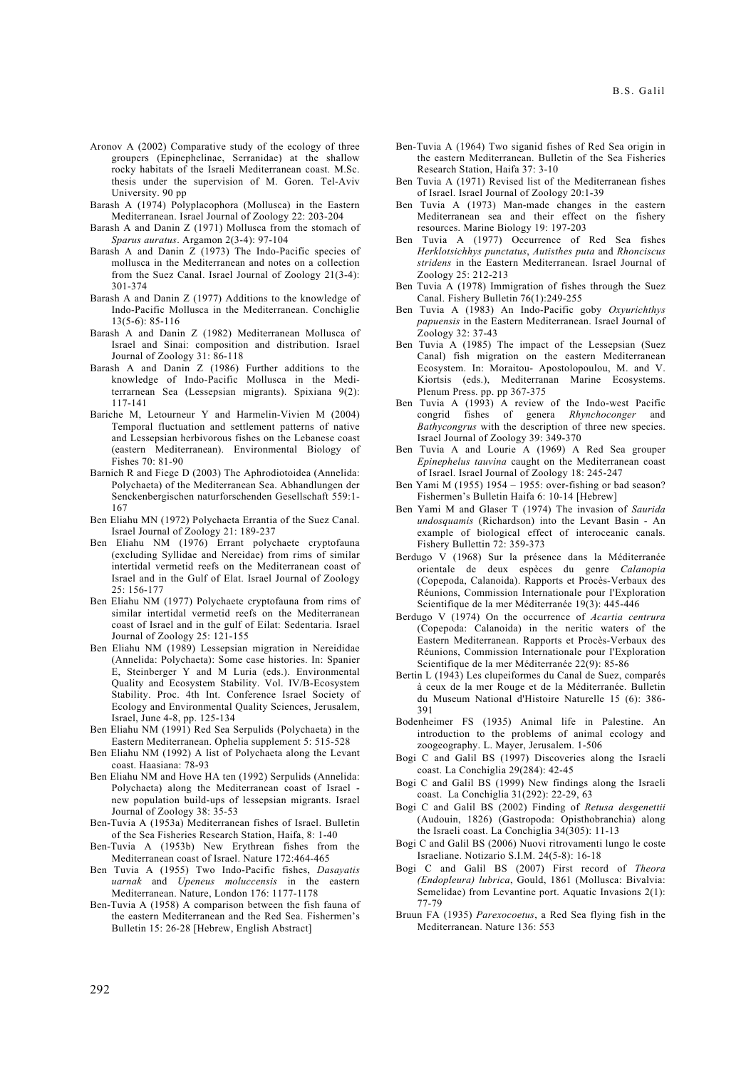- Aronov A (2002) Comparative study of the ecology of three groupers (Epinephelinae, Serranidae) at the shallow rocky habitats of the Israeli Mediterranean coast. M.Sc. thesis under the supervision of M. Goren. Tel-Aviv University. 90 pp
- Barash A (1974) Polyplacophora (Mollusca) in the Eastern Mediterranean. Israel Journal of Zoology 22: 203-204
- Barash A and Danin Z (1971) Mollusca from the stomach of *Sparus auratus*. Argamon 2(3-4): 97-104
- Barash A and Danin Z (1973) The Indo-Pacific species of mollusca in the Mediterranean and notes on a collection from the Suez Canal. Israel Journal of Zoology 21(3-4): 301-374
- Barash A and Danin Z (1977) Additions to the knowledge of Indo-Pacific Mollusca in the Mediterranean. Conchiglie  $13(5-6)$ : 85-116
- Barash A and Danin Z (1982) Mediterranean Mollusca of Israel and Sinai: composition and distribution. Israel Journal of Zoology 31: 86-118
- Barash A and Danin Z (1986) Further additions to the knowledge of Indo-Pacific Mollusca in the Mediterrarnean Sea (Lessepsian migrants). Spixiana 9(2): 117-141
- Bariche M, Letourneur Y and Harmelin-Vivien M (2004) Temporal fluctuation and settlement patterns of native and Lessepsian herbivorous fishes on the Lebanese coast (eastern Mediterranean). Environmental Biology of Fishes 70: 81-90
- Barnich R and Fiege D (2003) The Aphrodiotoidea (Annelida: Polychaeta) of the Mediterranean Sea. Abhandlungen der Senckenbergischen naturforschenden Gesellschaft 559:1- 167
- Ben Eliahu MN (1972) Polychaeta Errantia of the Suez Canal. Israel Journal of Zoology 21: 189-237
- Ben Eliahu NM (1976) Errant polychaete cryptofauna (excluding Syllidae and Nereidae) from rims of similar intertidal vermetid reefs on the Mediterranean coast of Israel and in the Gulf of Elat. Israel Journal of Zoology 25: 156-177
- Ben Eliahu NM (1977) Polychaete cryptofauna from rims of similar intertidal vermetid reefs on the Mediterranean coast of Israel and in the gulf of Eilat: Sedentaria. Israel Journal of Zoology 25: 121-155
- Ben Eliahu NM (1989) Lessepsian migration in Nereididae (Annelida: Polychaeta): Some case histories. In: Spanier E, Steinberger Y and M Luria (eds.). Environmental Quality and Ecosystem Stability. Vol. IV/B-Ecosystem Stability. Proc. 4th Int. Conference Israel Society of Ecology and Environmental Quality Sciences, Jerusalem, Israel, June 4-8, pp. 125-134
- Ben Eliahu NM (1991) Red Sea Serpulids (Polychaeta) in the Eastern Mediterranean. Ophelia supplement 5: 515-528
- Ben Eliahu NM (1992) A list of Polychaeta along the Levant coast. Haasiana: 78-93
- Ben Eliahu NM and Hove HA ten (1992) Serpulids (Annelida: Polychaeta) along the Mediterranean coast of Israel new population build-ups of lessepsian migrants. Israel Journal of Zoology 38: 35-53
- Ben-Tuvia A (1953a) Mediterranean fishes of Israel. Bulletin of the Sea Fisheries Research Station, Haifa, 8: 1-40
- Ben-Tuvia A (1953b) New Erythrean fishes from the Mediterranean coast of Israel. Nature 172:464-465
- Ben Tuvia A (1955) Two Indo-Pacific fishes, *Dasayatis uarnak* and *Upeneus moluccensis* in the eastern Mediterranean. Nature, London 176: 1177-1178
- Ben-Tuvia A (1958) A comparison between the fish fauna of the eastern Mediterranean and the Red Sea. Fishermen's Bulletin 15: 26-28 [Hebrew, English Abstract]
- Ben-Tuvia A (1964) Two siganid fishes of Red Sea origin in the eastern Mediterranean. Bulletin of the Sea Fisheries Research Station, Haifa 37: 3-10
- Ben Tuvia A (1971) Revised list of the Mediterranean fishes of Israel. Israel Journal of Zoology 20:1-39
- Ben Tuvia A (1973) Man-made changes in the eastern Mediterranean sea and their effect on the fishery resources. Marine Biology 19: 197-203
- Ben Tuvia A (1977) Occurrence of Red Sea fishes *Herklotsichhys punctatus*, *Autisthes puta* and *Rhonciscus stridens* in the Eastern Mediterranean. Israel Journal of Zoology 25: 212-213
- Ben Tuvia A (1978) Immigration of fishes through the Suez Canal. Fishery Bulletin 76(1):249-255
- Ben Tuvia A (1983) An Indo-Pacific goby *Oxyurichthys papuensis* in the Eastern Mediterranean. Israel Journal of Zoology 32: 37-43
- Ben Tuvia A (1985) The impact of the Lessepsian (Suez Canal) fish migration on the eastern Mediterranean Ecosystem. In: Moraitou- Apostolopoulou, M. and V. Kiortsis (eds.), Mediterranan Marine Ecosystems. Plenum Press. pp. pp 367-375
- Ben Tuvia A (1993) A review of the Indo-west Pacific congrid fishes of genera *Rhynchoconger* and *Bathycongrus* with the description of three new species. Israel Journal of Zoology 39: 349-370
- Ben Tuvia A and Lourie A (1969) A Red Sea grouper *Epinephelus tauvina* caught on the Mediterranean coast of Israel. Israel Journal of Zoology 18: 245-247
- Ben Yami M (1955) 1954 1955: over-fishing or bad season? Fishermen's Bulletin Haifa 6: 10-14 [Hebrew]
- Ben Yami M and Glaser T (1974) The invasion of *Saurida undosquamis* (Richardson) into the Levant Basin - An example of biological effect of interoceanic canals. Fishery Bullettin 72: 359-373
- Berdugo V (1968) Sur la présence dans la Méditerranée orientale de deux espèces du genre *Calanopia* (Copepoda, Calanoida). Rapports et Procès-Verbaux des Réunions, Commission Internationale pour I'Exploration Scientifique de la mer Méditerranée 19(3): 445-446
- Berdugo V (1974) On the occurrence of *Acartia centrura* (Copepoda: Calanoida) in the neritic waters of the Eastern Mediterranean. Rapports et Procès-Verbaux des Réunions, Commission Internationale pour I'Exploration Scientifique de la mer Méditerranée 22(9): 85-86
- Bertin L (1943) Les clupeiformes du Canal de Suez, comparés à ceux de la mer Rouge et de la Méditerranée. Bulletin du Museum National d'Histoire Naturelle 15 (6): 386- 391
- Bodenheimer FS (1935) Animal life in Palestine. An introduction to the problems of animal ecology and zoogeography. L. Mayer, Jerusalem. 1-506
- Bogi C and Galil BS (1997) Discoveries along the Israeli coast. La Conchiglia 29(284): 42-45
- Bogi C and Galil BS (1999) New findings along the Israeli coast. La Conchiglia 31(292): 22-29, 63
- Bogi C and Galil BS (2002) Finding of *Retusa desgenettii* (Audouin, 1826) (Gastropoda: Opisthobranchia) along the Israeli coast. La Conchiglia 34(305): 11-13
- Bogi C and Galil BS (2006) Nuovi ritrovamenti lungo le coste Israeliane. Notizario S.I.M. 24(5-8): 16-18
- Bogi C and Galil BS (2007) First record of *Theora (Endopleura) lubrica*, Gould, 1861 (Mollusca: Bivalvia: Semelidae) from Levantine port. Aquatic Invasions 2(1): 77-79
- Bruun FA (1935) *Parexocoetus*, a Red Sea flying fish in the Mediterranean. Nature 136: 553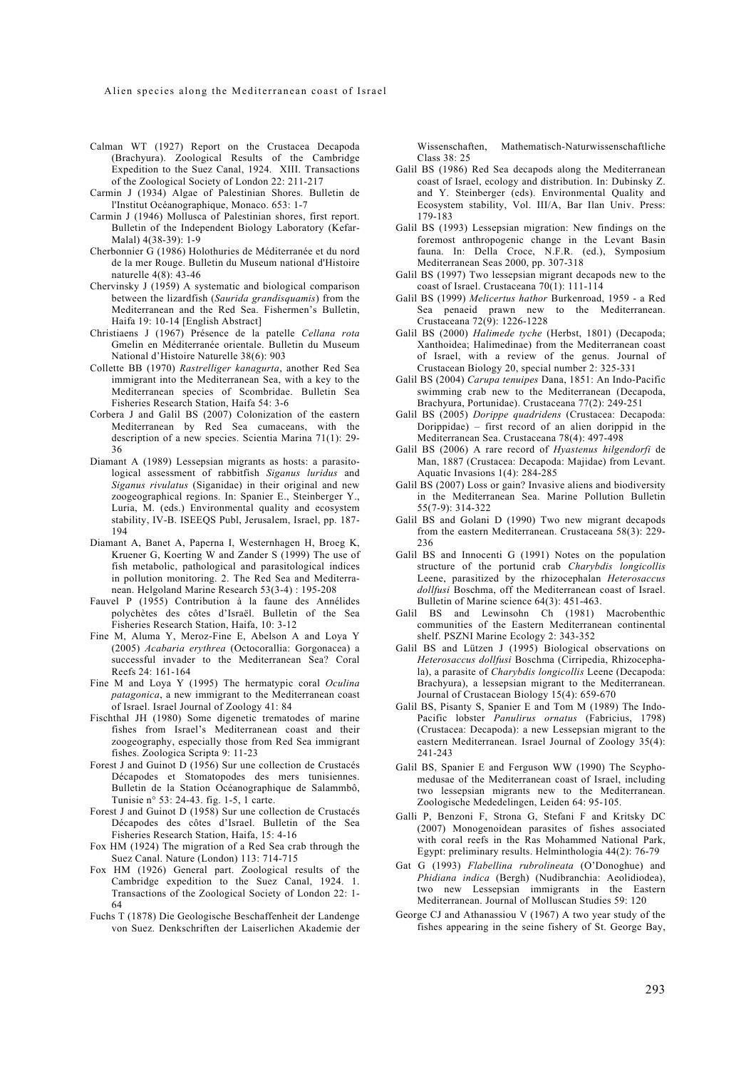- Calman WT (1927) Report on the Crustacea Decapoda (Brachyura). Zoological Results of the Cambridge Expedition to the Suez Canal, 1924. XIII. Transactions of the Zoological Society of London 22: 211-217
- Carmin J (1934) Algae of Palestinian Shores. Bulletin de l'Institut Océanographique, Monaco. 653: 1-7
- Carmin J (1946) Mollusca of Palestinian shores, first report. Bulletin of the Independent Biology Laboratory (Kefar-Malal) 4(38-39): 1-9
- Cherbonnier G (1986) Holothuries de Méditerranée et du nord de la mer Rouge. Bulletin du Museum national d'Histoire naturelle 4(8): 43-46
- Chervinsky J (1959) A systematic and biological comparison between the lizardfish (*Saurida grandisquamis*) from the Mediterranean and the Red Sea. Fishermen's Bulletin, Haifa 19: 10-14 [English Abstract]
- Christiaens J (1967) Présence de la patelle *Cellana rota* Gmelin en Méditerranée orientale. Bulletin du Museum National d'Histoire Naturelle 38(6): 903
- Collette BB (1970) *Rastrelliger kanagurta*, another Red Sea immigrant into the Mediterranean Sea, with a key to the Mediterranean species of Scombridae. Bulletin Sea Fisheries Research Station, Haifa 54: 3-6
- Corbera J and Galil BS (2007) Colonization of the eastern Mediterranean by Red Sea cumaceans, with the description of a new species. Scientia Marina 71(1): 29- 36
- Diamant A (1989) Lessepsian migrants as hosts: a parasitological assessment of rabbitfish *Siganus luridus* and *Siganus rivulatus* (Siganidae) in their original and new zoogeographical regions. In: Spanier E., Steinberger Y., Luria, M. (eds.) Environmental quality and ecosystem stability, IV-B. ISEEQS Publ, Jerusalem, Israel, pp. 187- 194
- Diamant A, Banet A, Paperna I, Westernhagen H, Broeg K, Kruener G, Koerting W and Zander S (1999) The use of fish metabolic, pathological and parasitological indices in pollution monitoring. 2. The Red Sea and Mediterranean. Helgoland Marine Research 53(3-4) : 195-208
- Fauvel P (1955) Contribution à la faune des Annélides polychètes des côtes d'Israël. Bulletin of the Sea Fisheries Research Station, Haifa, 10: 3-12
- Fine M, Aluma Y, Meroz-Fine E, Abelson A and Loya Y (2005) *Acabaria erythrea* (Octocorallia: Gorgonacea) a successful invader to the Mediterranean Sea? Coral Reefs 24: 161-164
- Fine M and Loya Y (1995) The hermatypic coral *Oculina patagonica*, a new immigrant to the Mediterranean coast of Israel. Israel Journal of Zoology 41: 84
- Fischthal JH (1980) Some digenetic trematodes of marine fishes from Israel's Mediterranean coast and their zoogeography, especially those from Red Sea immigrant fishes. Zoologica Scripta 9: 11-23
- Forest J and Guinot D (1956) Sur une collection de Crustacés Décapodes et Stomatopodes des mers tunisiennes. Bulletin de la Station Océanographique de Salammbô, Tunisie n° 53: 24-43. fig. 1-5, 1 carte.
- Forest J and Guinot D (1958) Sur une collection de Crustacés Décapodes des côtes d'Israel. Bulletin of the Sea Fisheries Research Station, Haifa, 15: 4-16
- Fox HM (1924) The migration of a Red Sea crab through the Suez Canal. Nature (London) 113: 714-715
- Fox HM (1926) General part. Zoological results of the Cambridge expedition to the Suez Canal, 1924. 1. Transactions of the Zoological Society of London 22: 1- 64
- Fuchs T (1878) Die Geologische Beschaffenheit der Landenge von Suez. Denkschriften der Laiserlichen Akademie der

Wissenschaften, Mathematisch-Naturwissenschaftliche Class 38: 25

- Galil BS (1986) Red Sea decapods along the Mediterranean coast of Israel, ecology and distribution. In: Dubinsky Z. and Y. Steinberger (eds). Environmental Quality and Ecosystem stability, Vol. III/A, Bar Ilan Univ. Press: 179-183
- Galil BS (1993) Lessepsian migration: New findings on the foremost anthropogenic change in the Levant Basin fauna. In: Della Croce, N.F.R. (ed.), Symposium Mediterranean Seas 2000, pp. 307-318
- Galil BS (1997) Two lessepsian migrant decapods new to the coast of Israel. Crustaceana 70(1): 111-114
- Galil BS (1999) *Melicertus hathor* Burkenroad, 1959 a Red Sea penaeid prawn new to the Mediterranean. Crustaceana 72(9): 1226-1228
- Galil BS (2000) *Halimede tyche* (Herbst, 1801) (Decapoda; Xanthoidea; Halimedinae) from the Mediterranean coast of Israel, with a review of the genus. Journal of Crustacean Biology 20, special number 2: 325-331
- Galil BS (2004) *Carupa tenuipes* Dana, 1851: An Indo-Pacific swimming crab new to the Mediterranean (Decapoda, Brachyura, Portunidae). Crustaceana 77(2): 249-251
- Galil BS (2005) *Dorippe quadridens* (Crustacea: Decapoda: Dorippidae) – first record of an alien dorippid in the Mediterranean Sea. Crustaceana 78(4): 497-498
- Galil BS (2006) A rare record of *Hyastenus hilgendorfi* de Man, 1887 (Crustacea: Decapoda: Majidae) from Levant. Aquatic Invasions 1(4): 284-285
- Galil BS (2007) Loss or gain? Invasive aliens and biodiversity in the Mediterranean Sea. Marine Pollution Bulletin 55(7-9): 314-322
- Galil BS and Golani D (1990) Two new migrant decapods from the eastern Mediterranean. Crustaceana 58(3): 229- 236
- Galil BS and Innocenti G (1991) Notes on the population structure of the portunid crab *Charybdis longicollis* Leene, parasitized by the rhizocephalan *Heterosaccus dollfusi* Boschma, off the Mediterranean coast of Israel. Bulletin of Marine science 64(3): 451-463.
- Galil BS and Lewinsohn Ch (1981) Macrobenthic communities of the Eastern Mediterranean continental shelf. PSZNI Marine Ecology 2: 343-352
- Galil BS and Lützen J (1995) Biological observations on *Heterosaccus dollfusi* Boschma (Cirripedia, Rhizocephala), a parasite of *Charybdis longicollis* Leene (Decapoda: Brachyura), a lessepsian migrant to the Mediterranean. Journal of Crustacean Biology 15(4): 659-670
- Galil BS, Pisanty S, Spanier E and Tom M (1989) The Indo-Pacific lobster *Panulirus ornatus* (Fabricius, 1798) (Crustacea: Decapoda): a new Lessepsian migrant to the eastern Mediterranean. Israel Journal of Zoology 35(4): 241-243
- Galil BS, Spanier E and Ferguson WW (1990) The Scyphomedusae of the Mediterranean coast of Israel, including two lessepsian migrants new to the Mediterranean. Zoologische Mededelingen, Leiden 64: 95-105.
- Galli P, Benzoni F, Strona G, Stefani F and Kritsky DC (2007) Monogenoidean parasites of fishes associated with coral reefs in the Ras Mohammed National Park, Egypt: preliminary results. Helminthologia 44(2): 76-79
- Gat G (1993) *Flabellina rubrolineata* (O'Donoghue) and *Phidiana indica* (Bergh) (Nudibranchia: Aeolidiodea), two new Lessepsian immigrants in the Eastern Mediterranean. Journal of Molluscan Studies 59: 120
- George CJ and Athanassiou V (1967) A two year study of the fishes appearing in the seine fishery of St. George Bay,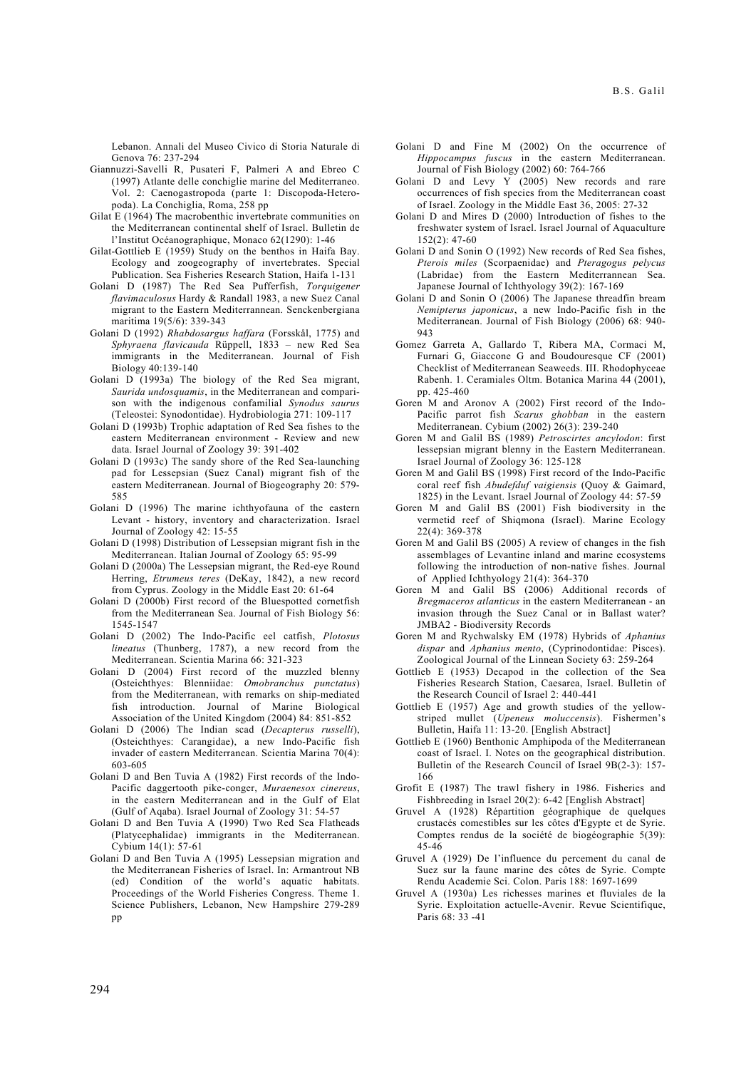Lebanon. Annali del Museo Civico di Storia Naturale di Genova 76: 237-294

- Giannuzzi-Savelli R, Pusateri F, Palmeri A and Ebreo C (1997) Atlante delle conchiglie marine del Mediterraneo. Vol. 2: Caenogastropoda (parte 1: Discopoda-Heteropoda). La Conchiglia, Roma, 258 pp
- Gilat E (1964) The macrobenthic invertebrate communities on the Mediterranean continental shelf of Israel. Bulletin de l'Institut Océanographique, Monaco 62(1290): 1-46
- Gilat-Gottlieb E (1959) Study on the benthos in Haifa Bay. Ecology and zoogeography of invertebrates. Special Publication. Sea Fisheries Research Station, Haifa 1-131
- Golani D (1987) The Red Sea Pufferfish, *Torquigener flavimaculosus* Hardy & Randall 1983, a new Suez Canal migrant to the Eastern Mediterrannean. Senckenbergiana maritima 19(5/6): 339-343
- Golani D (1992) *Rhabdosargus haffara* (Forsskål, 1775) and *Sphyraena flavicauda* Rüppell, 1833 – new Red Sea immigrants in the Mediterranean. Journal of Fish Biology 40:139-140
- Golani D (1993a) The biology of the Red Sea migrant, *Saurida undosquamis*, in the Mediterranean and comparison with the indigenous confamilial *Synodus saurus* (Teleostei: Synodontidae). Hydrobiologia 271: 109-117
- Golani D (1993b) Trophic adaptation of Red Sea fishes to the eastern Mediterranean environment - Review and new data. Israel Journal of Zoology 39: 391-402
- Golani D (1993c) The sandy shore of the Red Sea-launching pad for Lessepsian (Suez Canal) migrant fish of the eastern Mediterranean. Journal of Biogeography 20: 579- 585
- Golani D (1996) The marine ichthyofauna of the eastern Levant - history, inventory and characterization. Israel Journal of Zoology 42: 15-55
- Golani D (1998) Distribution of Lessepsian migrant fish in the Mediterranean. Italian Journal of Zoology 65: 95-99
- Golani D (2000a) The Lessepsian migrant, the Red-eye Round Herring, *Etrumeus teres* (DeKay, 1842), a new record from Cyprus. Zoology in the Middle East 20: 61-64
- Golani D (2000b) First record of the Bluespotted cornetfish from the Mediterranean Sea. Journal of Fish Biology 56: 1545-1547
- Golani D (2002) The Indo-Pacific eel catfish, *Plotosus lineatus* (Thunberg, 1787), a new record from the Mediterranean. Scientia Marina 66: 321-323
- Golani D (2004) First record of the muzzled blenny (Osteichthyes: Blenniidae: *Omobranchus punctatus*) from the Mediterranean, with remarks on ship-mediated fish introduction. Journal of Marine Biological Association of the United Kingdom (2004) 84: 851-852
- Golani D (2006) The Indian scad (*Decapterus russelli*), (Osteichthyes: Carangidae), a new Indo-Pacific fish invader of eastern Mediterranean. Scientia Marina 70(4): 603-605
- Golani D and Ben Tuvia A (1982) First records of the Indo-Pacific daggertooth pike-conger, *Muraenesox cinereus*, in the eastern Mediterranean and in the Gulf of Elat (Gulf of Aqaba). Israel Journal of Zoology 31: 54-57
- Golani D and Ben Tuvia A (1990) Two Red Sea Flatheads (Platycephalidae) immigrants in the Mediterranean. Cybium 14(1): 57-61
- Golani D and Ben Tuvia A (1995) Lessepsian migration and the Mediterranean Fisheries of Israel. In: Armantrout NB (ed) Condition of the world's aquatic habitats. Proceedings of the World Fisheries Congress. Theme 1. Science Publishers, Lebanon, New Hampshire 279-289 pp
- Golani D and Fine M (2002) On the occurrence of *Hippocampus fuscus* in the eastern Mediterranean. Journal of Fish Biology (2002) 60: 764-766
- Golani D and Levy Y (2005) New records and rare occurrences of fish species from the Mediterranean coast of Israel. Zoology in the Middle East 36, 2005: 27-32
- Golani D and Mires D (2000) Introduction of fishes to the freshwater system of Israel. Israel Journal of Aquaculture  $152(2)$ : 47-60
- Golani D and Sonin O (1992) New records of Red Sea fishes, *Pterois miles* (Scorpaenidae) and *Pteragogus pelycus* (Labridae) from the Eastern Mediterrannean Sea. Japanese Journal of Ichthyology 39(2): 167-169
- Golani D and Sonin O (2006) The Japanese threadfin bream *Nemipterus japonicus*, a new Indo-Pacific fish in the Mediterranean. Journal of Fish Biology (2006) 68: 940- 943
- Gomez Garreta A, Gallardo T, Ribera MA, Cormaci M, Furnari G, Giaccone G and Boudouresque CF (2001) Checklist of Mediterranean Seaweeds. III. Rhodophyceae Rabenh. 1. Ceramiales Oltm. Botanica Marina 44 (2001), pp. 425-460
- Goren M and Aronov A (2002) First record of the Indo-Pacific parrot fish *Scarus ghobban* in the eastern Mediterranean. Cybium (2002) 26(3): 239-240
- Goren M and Galil BS (1989) *Petroscirtes ancylodon*: first lessepsian migrant blenny in the Eastern Mediterranean. Israel Journal of Zoology 36: 125-128
- Goren M and Galil BS (1998) First record of the Indo-Pacific coral reef fish *Abudefduf vaigiensis* (Quoy & Gaimard, 1825) in the Levant. Israel Journal of Zoology 44: 57-59
- Goren M and Galil BS (2001) Fish biodiversity in the vermetid reef of Shiqmona (Israel). Marine Ecology 22(4): 369-378
- Goren M and Galil BS (2005) A review of changes in the fish assemblages of Levantine inland and marine ecosystems following the introduction of non-native fishes. Journal of Applied Ichthyology 21(4): 364-370
- Goren M and Galil BS (2006) Additional records of *Bregmaceros atlanticus* in the eastern Mediterranean - an invasion through the Suez Canal or in Ballast water? JMBA2 - Biodiversity Records
- Goren M and Rychwalsky EM (1978) Hybrids of *Aphanius dispar* and *Aphanius mento*, (Cyprinodontidae: Pisces). Zoological Journal of the Linnean Society 63: 259-264
- Gottlieb E (1953) Decapod in the collection of the Sea Fisheries Research Station, Caesarea, Israel. Bulletin of the Research Council of Israel 2: 440-441
- Gottlieb E (1957) Age and growth studies of the yellowstriped mullet (*Upeneus moluccensis*). Fishermen's Bulletin, Haifa 11: 13-20. [English Abstract]
- Gottlieb E (1960) Benthonic Amphipoda of the Mediterranean coast of Israel. I. Notes on the geographical distribution. Bulletin of the Research Council of Israel 9B(2-3): 157- 166
- Grofit E (1987) The trawl fishery in 1986. Fisheries and Fishbreeding in Israel 20(2): 6-42 [English Abstract]
- Gruvel A (1928) Répartition géographique de quelques crustacés comestibles sur les côtes d'Egypte et de Syrie. Comptes rendus de la société de biogéographie 5(39): 45-46
- Gruvel A (1929) De l'influence du percement du canal de Suez sur la faune marine des côtes de Syrie. Compte Rendu Academie Sci. Colon. Paris 188: 1697-1699
- Gruvel A (1930a) Les richesses marines et fluviales de la Syrie. Exploitation actuelle-Avenir. Revue Scientifique, Paris 68: 33 -41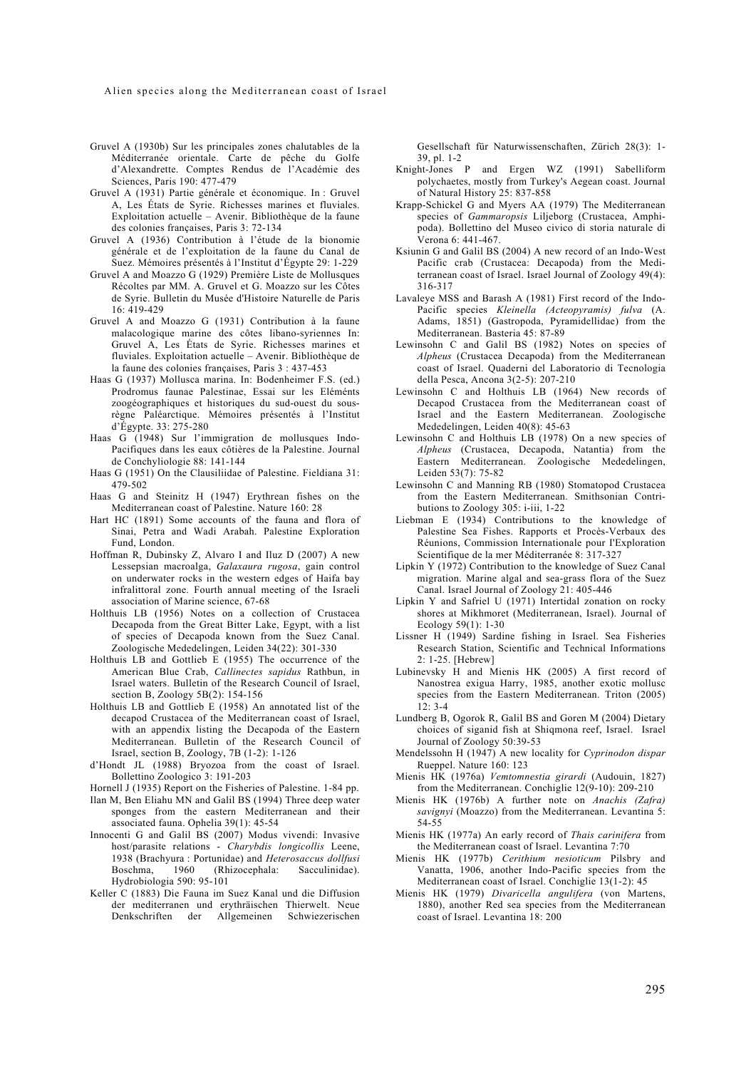- Gruvel A (1930b) Sur les principales zones chalutables de la Méditerranée orientale. Carte de pêche du Golfe d'Alexandrette. Comptes Rendus de l'Académie des Sciences, Paris 190: 477-479
- Gruvel A (1931) Partie générale et économique. In : Gruvel A, Les États de Syrie. Richesses marines et fluviales. Exploitation actuelle – Avenir. Bibliothèque de la faune des colonies françaises, Paris 3: 72-134
- Gruvel A (1936) Contribution à l'étude de la bionomie générale et de l'exploitation de la faune du Canal de Suez. Mémoires présentés à l'Institut d'Égypte 29: 1-229
- Gruvel A and Moazzo G (1929) Première Liste de Mollusques Récoltes par MM. A. Gruvel et G. Moazzo sur les Côtes de Syrie. Bulletin du Musée d'Histoire Naturelle de Paris 16: 419-429
- Gruvel A and Moazzo G (1931) Contribution à la faune malacologique marine des côtes libano-syriennes In: Gruvel A, Les États de Syrie. Richesses marines et fluviales. Exploitation actuelle – Avenir. Bibliothèque de la faune des colonies françaises, Paris 3 : 437-453
- Haas G (1937) Mollusca marina. In: Bodenheimer F.S. (ed.) Prodromus faunae Palestinae, Essai sur les Eléménts zoogéographiques et historiques du sud-ouest du sousrègne Paléarctique. Mémoires présentés à l'Institut d'Égypte. 33: 275-280
- Haas G (1948) Sur l'immigration de mollusques Indo-Pacifiques dans les eaux côtières de la Palestine. Journal de Conchyliologie 88: 141-144
- Haas G (1951) On the Clausiliidae of Palestine. Fieldiana 31: 479-502
- Haas G and Steinitz H (1947) Erythrean fishes on the Mediterranean coast of Palestine. Nature 160: 28
- Hart HC (1891) Some accounts of the fauna and flora of Sinai, Petra and Wadi Arabah. Palestine Exploration Fund, London.
- Hoffman R, Dubinsky Z, Alvaro I and Iluz D (2007) A new Lessepsian macroalga, *Galaxaura rugosa*, gain control on underwater rocks in the western edges of Haifa bay infralittoral zone. Fourth annual meeting of the Israeli association of Marine science, 67-68
- Holthuis LB (1956) Notes on a collection of Crustacea Decapoda from the Great Bitter Lake, Egypt, with a list of species of Decapoda known from the Suez Canal. Zoologische Mededelingen, Leiden 34(22): 301-330
- Holthuis LB and Gottlieb E (1955) The occurrence of the American Blue Crab, *Callinectes sapidus* Rathbun, in Israel waters. Bulletin of the Research Council of Israel, section B, Zoology 5B(2): 154-156
- Holthuis LB and Gottlieb E (1958) An annotated list of the decapod Crustacea of the Mediterranean coast of Israel, with an appendix listing the Decapoda of the Eastern Mediterranean. Bulletin of the Research Council of Israel, section B, Zoology, 7B (1-2): 1-126
- d'Hondt JL (1988) Bryozoa from the coast of Israel. Bollettino Zoologico 3: 191-203
- Hornell J (1935) Report on the Fisheries of Palestine. 1-84 pp.
- Ilan M, Ben Eliahu MN and Galil BS (1994) Three deep water sponges from the eastern Mediterranean and their associated fauna. Ophelia 39(1): 45-54
- Innocenti G and Galil BS (2007) Modus vivendi: Invasive host/parasite relations - *Charybdis longicollis* Leene, 1938 (Brachyura : Portunidae) and *Heterosaccus dollfusi* Boschma, 1960 (Rhizocephala: Hydrobiologia 590: 95-101
- Keller C (1883) Die Fauna im Suez Kanal und die Diffusion der mediterranen und erythräischen Thierwelt. Neue Denkschriften der Allgemeinen Schwiezerischen

Gesellschaft für Naturwissenschaften, Zürich 28(3): 1- 39, pl. 1-2

- Knight-Jones P and Ergen WZ (1991) Sabelliform polychaetes, mostly from Turkey's Aegean coast. Journal of Natural History 25: 837-858
- Krapp-Schickel G and Myers AA (1979) The Mediterranean species of *Gammaropsis* Liljeborg (Crustacea, Amphipoda). Bollettino del Museo civico di storia naturale di Verona 6: 441-467.
- Ksiunin G and Galil BS (2004) A new record of an Indo-West Pacific crab (Crustacea: Decapoda) from the Mediterranean coast of Israel. Israel Journal of Zoology 49(4): 316-317
- Lavaleye MSS and Barash A (1981) First record of the Indo-Pacific species *Kleinella (Acteopyramis) fulva* (A. Adams, 1851) (Gastropoda, Pyramidellidae) from the Mediterranean. Basteria 45: 87-89
- Lewinsohn C and Galil BS (1982) Notes on species of *Alpheus* (Crustacea Decapoda) from the Mediterranean coast of Israel. Quaderni del Laboratorio di Tecnologia della Pesca, Ancona 3(2-5): 207-210
- Lewinsohn C and Holthuis LB (1964) New records of Decapod Crustacea from the Mediterranean coast of Israel and the Eastern Mediterranean. Zoologische Mededelingen, Leiden 40(8): 45-63
- Lewinsohn C and Holthuis LB (1978) On a new species of *Alpheus* (Crustacea, Decapoda, Natantia) from the Eastern Mediterranean. Zoologische Mededelingen, Leiden 53(7): 75-82
- Lewinsohn C and Manning RB (1980) Stomatopod Crustacea from the Eastern Mediterranean. Smithsonian Contributions to Zoology 305: i-iii, 1-22
- Liebman E (1934) Contributions to the knowledge of Palestine Sea Fishes. Rapports et Procès-Verbaux des Réunions, Commission Internationale pour I'Exploration Scientifique de la mer Méditerranée 8: 317-327
- Lipkin Y (1972) Contribution to the knowledge of Suez Canal migration. Marine algal and sea-grass flora of the Suez Canal. Israel Journal of Zoology 21: 405-446
- Lipkin Y and Safriel U (1971) Intertidal zonation on rocky shores at Mikhmoret (Mediterranean, Israel). Journal of Ecology 59(1): 1-30
- Lissner H (1949) Sardine fishing in Israel. Sea Fisheries Research Station, Scientific and Technical Informations 2: 1-25. [Hebrew]
- Lubinevsky H and Mienis HK (2005) A first record of Nanostrea exigua Harry, 1985, another exotic mollusc species from the Eastern Mediterranean. Triton (2005)  $12 \cdot 3 - 4$
- Lundberg B, Ogorok R, Galil BS and Goren M (2004) Dietary choices of siganid fish at Shiqmona reef, Israel. Israel Journal of Zoology 50:39-53
- Mendelssohn H (1947) A new locality for *Cyprinodon dispar* Rueppel. Nature 160: 123
- Mienis HK (1976a) *Vemtomnestia girardi* (Audouin, 1827) from the Mediterranean. Conchiglie 12(9-10): 209-210
- Mienis HK (1976b) A further note on *Anachis (Zafra) savignyi* (Moazzo) from the Mediterranean. Levantina 5: 54-55
- Mienis HK (1977a) An early record of *Thais carinifera* from the Mediterranean coast of Israel. Levantina 7:70
- Mienis HK (1977b) *Cerithium nesioticum* Pilsbry and Vanatta, 1906, another Indo-Pacific species from the Mediterranean coast of Israel. Conchiglie 13(1-2): 45
- Mienis HK (1979) *Divaricella angulifera* (von Martens, 1880), another Red sea species from the Mediterranean coast of Israel. Levantina 18: 200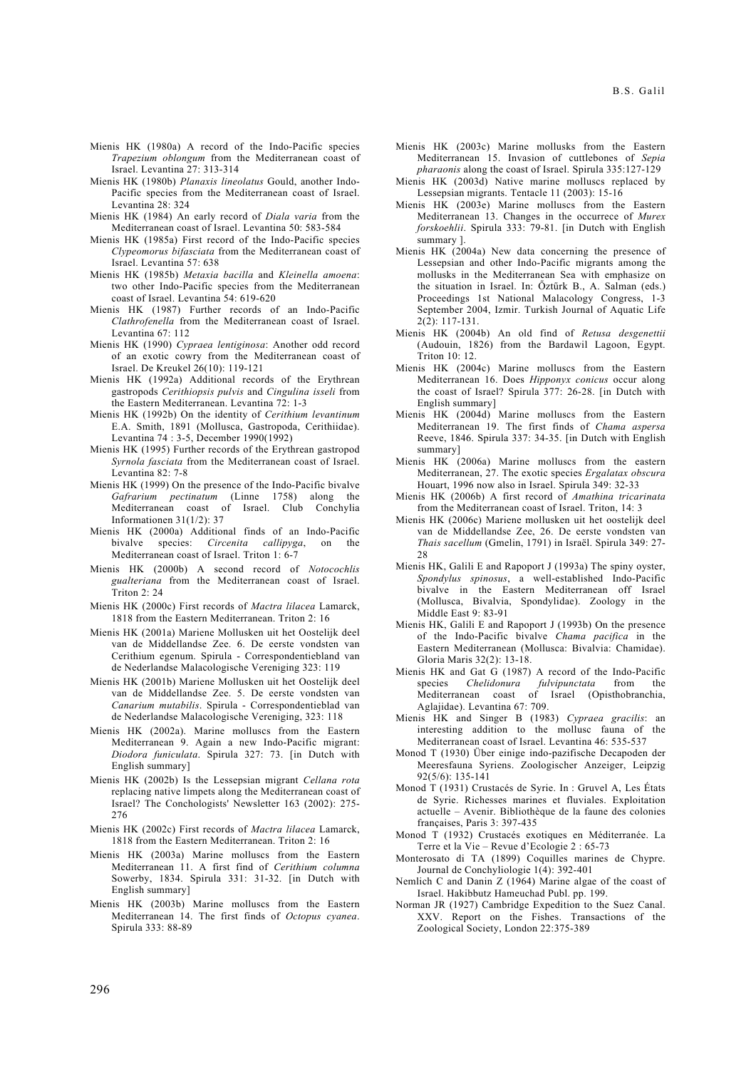- Mienis HK (1980a) A record of the Indo-Pacific species *Trapezium oblongum* from the Mediterranean coast of Israel. Levantina 27: 313-314
- Mienis HK (1980b) *Planaxis lineolatus* Gould, another Indo-Pacific species from the Mediterranean coast of Israel. Levantina 28: 324
- Mienis HK (1984) An early record of *Diala varia* from the Mediterranean coast of Israel. Levantina 50: 583-584
- Mienis HK (1985a) First record of the Indo-Pacific species *Clypeomorus bifasciata* from the Mediterranean coast of Israel. Levantina 57: 638
- Mienis HK (1985b) *Metaxia bacilla* and *Kleinella amoena*: two other Indo-Pacific species from the Mediterranean coast of Israel. Levantina 54: 619-620
- Mienis HK (1987) Further records of an Indo-Pacific *Clathrofenella* from the Mediterranean coast of Israel. Levantina 67: 112
- Mienis HK (1990) *Cypraea lentiginosa*: Another odd record of an exotic cowry from the Mediterranean coast of Israel. De Kreukel 26(10): 119-121
- Mienis HK (1992a) Additional records of the Erythrean gastropods *Cerithiopsis pulvis* and *Cingulina isseli* from the Eastern Mediterranean. Levantina 72: 1-3
- Mienis HK (1992b) On the identity of *Cerithium levantinum* E.A. Smith, 1891 (Mollusca, Gastropoda, Cerithiidae). Levantina 74 : 3-5, December 1990(1992)
- Mienis HK (1995) Further records of the Erythrean gastropod *Syrnola fasciata* from the Mediterranean coast of Israel. Levantina 82: 7-8
- Mienis HK (1999) On the presence of the Indo-Pacific bivalve *Gafrarium pectinatum* (Linne 1758) along the Mediterranean coast of Israel. Club Conchylia Informationen 31(1/2): 37
- Mienis HK (2000a) Additional finds of an Indo-Pacific bivalve species: *Circenita callipyga*, on the Mediterranean coast of Israel. Triton 1: 6-7
- Mienis HK (2000b) A second record of *Notocochlis gualteriana* from the Mediterranean coast of Israel. Triton 2: 24
- Mienis HK (2000c) First records of *Mactra lilacea* Lamarck, 1818 from the Eastern Mediterranean. Triton 2: 16
- Mienis HK (2001a) Mariene Mollusken uit het Oostelijk deel van de Middellandse Zee. 6. De eerste vondsten van Cerithium egenum. Spirula - Correspondentiebland van de Nederlandse Malacologische Vereniging 323: 119
- Mienis HK (2001b) Mariene Mollusken uit het Oostelijk deel van de Middellandse Zee. 5. De eerste vondsten van *Canarium mutabilis*. Spirula - Correspondentieblad van de Nederlandse Malacologische Vereniging, 323: 118
- Mienis HK (2002a). Marine molluscs from the Eastern Mediterranean 9. Again a new Indo-Pacific migrant: *Diodora funiculata*. Spirula 327: 73. [in Dutch with English summary]
- Mienis HK (2002b) Is the Lessepsian migrant *Cellana rota* replacing native limpets along the Mediterranean coast of Israel? The Conchologists' Newsletter 163 (2002): 275- 276
- Mienis HK (2002c) First records of *Mactra lilacea* Lamarck, 1818 from the Eastern Mediterranean. Triton 2: 16
- Mienis HK (2003a) Marine molluscs from the Eastern Mediterranean 11. A first find of *Cerithium columna* Sowerby, 1834. Spirula 331: 31-32. [in Dutch with English summary]
- Mienis HK (2003b) Marine molluscs from the Eastern Mediterranean 14. The first finds of *Octopus cyanea*. Spirula 333: 88-89
- Mienis HK (2003c) Marine mollusks from the Eastern Mediterranean 15. Invasion of cuttlebones of *Sepia pharaonis* along the coast of Israel. Spirula 335:127-129
- Mienis HK (2003d) Native marine molluscs replaced by Lessepsian migrants. Tentacle 11 (2003): 15-16
- Mienis HK (2003e) Marine molluscs from the Eastern Mediterranean 13. Changes in the occurrece of *Murex forskoehlii*. Spirula 333: 79-81. [in Dutch with English summary ].
- Mienis HK (2004a) New data concerning the presence of Lessepsian and other Indo-Pacific migrants among the mollusks in the Mediterranean Sea with emphasize on the situation in Israel. In: Őztűrk B., A. Salman (eds.) Proceedings 1st National Malacology Congress, 1-3 September 2004, Izmir. Turkish Journal of Aquatic Life  $2(2)$ : 117-131.
- Mienis HK (2004b) An old find of *Retusa desgenettii* (Audouin, 1826) from the Bardawil Lagoon, Egypt. Triton 10: 12.
- Mienis HK (2004c) Marine molluscs from the Eastern Mediterranean 16. Does *Hipponyx conicus* occur along the coast of Israel? Spirula 377: 26-28. [in Dutch with English summary]
- Mienis HK (2004d) Marine molluscs from the Eastern Mediterranean 19. The first finds of *Chama aspersa* Reeve, 1846. Spirula 337: 34-35. [in Dutch with English summary]
- Mienis HK (2006a) Marine molluscs from the eastern Mediterranean, 27. The exotic species *Ergalatax obscura* Houart, 1996 now also in Israel. Spirula 349: 32-33
- Mienis HK (2006b) A first record of *Amathina tricarinata* from the Mediterranean coast of Israel. Triton, 14: 3
- Mienis HK (2006c) Mariene mollusken uit het oostelijk deel van de Middellandse Zee, 26. De eerste vondsten van *Thais sacellum* (Gmelin, 1791) in Israël. Spirula 349: 27-  $28$
- Mienis HK, Galili E and Rapoport J (1993a) The spiny oyster, *Spondylus spinosus*, a well-established Indo-Pacific bivalve in the Eastern Mediterranean off Israel (Mollusca, Bivalvia, Spondylidae). Zoology in the Middle East 9: 83-91
- Mienis HK, Galili E and Rapoport J (1993b) On the presence of the Indo-Pacific bivalve *Chama pacifica* in the Eastern Mediterranean (Mollusca: Bivalvia: Chamidae). Gloria Maris 32(2): 13-18.
- Mienis HK and Gat G (1987) A record of the Indo-Pacific species *Chelidonura fulvipunctata* from the Mediterranean coast of Israel (Opisthobranchia, Aglajidae). Levantina 67: 709.
- Mienis HK and Singer B (1983) *Cypraea gracilis*: an interesting addition to the mollusc fauna of the Mediterranean coast of Israel. Levantina 46: 535-537
- Monod T (1930) Über einige indo-pazifische Decapoden der Meeresfauna Syriens. Zoologischer Anzeiger, Leipzig 92(5/6): 135-141
- Monod T (1931) Crustacés de Syrie. In : Gruvel A, Les États de Syrie. Richesses marines et fluviales. Exploitation actuelle – Avenir. Bibliothèque de la faune des colonies françaises, Paris 3: 397-435
- Monod T (1932) Crustacés exotiques en Méditerranée. La Terre et la Vie – Revue d'Ecologie 2 : 65-73
- Monterosato di TA (1899) Coquilles marines de Chypre. Journal de Conchyliologie 1(4): 392-401
- Nemlich C and Danin Z (1964) Marine algae of the coast of Israel. Hakibbutz Hameuchad Publ. pp. 199.
- Norman JR (1927) Cambridge Expedition to the Suez Canal. XXV. Report on the Fishes. Transactions of the Zoological Society, London 22:375-389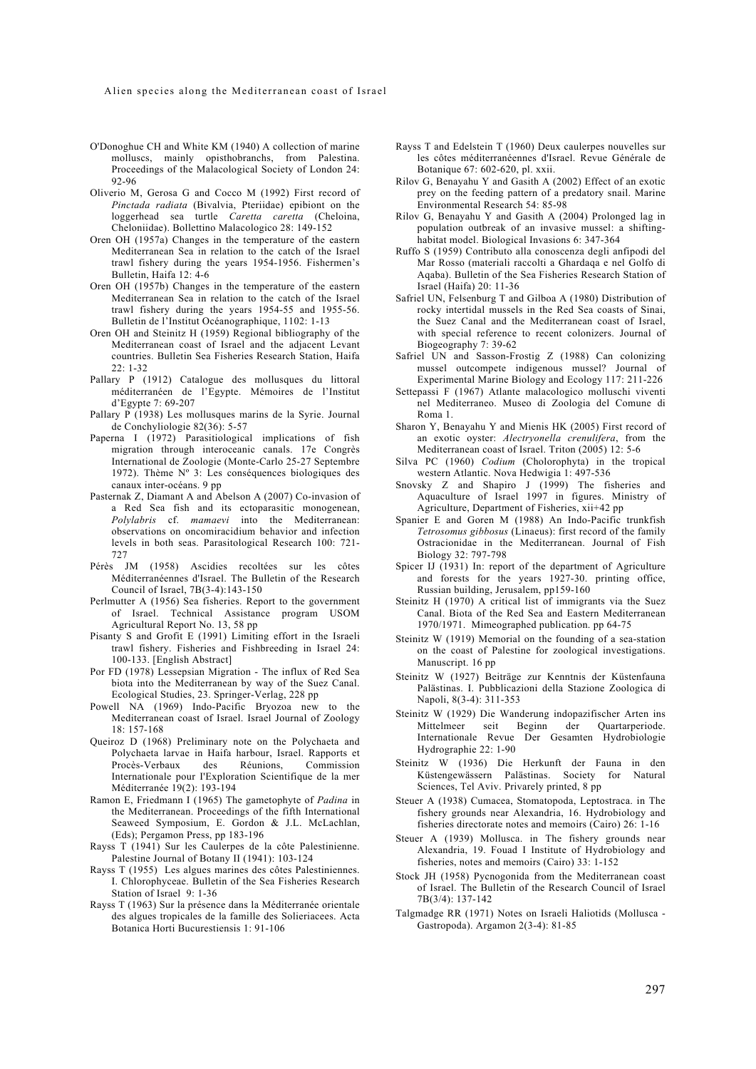- O'Donoghue CH and White KM (1940) A collection of marine molluscs, mainly opisthobranchs, from Palestina. Proceedings of the Malacological Society of London 24: 92-96
- Oliverio M, Gerosa G and Cocco M (1992) First record of *Pinctada radiata* (Bivalvia, Pteriidae) epibiont on the loggerhead sea turtle *Caretta caretta* (Cheloina, Cheloniidae). Bollettino Malacologico 28: 149-152
- Oren OH (1957a) Changes in the temperature of the eastern Mediterranean Sea in relation to the catch of the Israel trawl fishery during the years 1954-1956. Fishermen's Bulletin, Haifa 12: 4-6
- Oren OH (1957b) Changes in the temperature of the eastern Mediterranean Sea in relation to the catch of the Israel trawl fishery during the years 1954-55 and 1955-56. Bulletin de l'Institut Océanographique, 1102: 1-13
- Oren OH and Steinitz H (1959) Regional bibliography of the Mediterranean coast of Israel and the adjacent Levant countries. Bulletin Sea Fisheries Research Station, Haifa 22: 1-32
- Pallary P (1912) Catalogue des mollusques du littoral méditerranéen de l'Egypte. Mémoires de l'Institut d'Egypte 7: 69-207
- Pallary P (1938) Les mollusques marins de la Syrie. Journal de Conchyliologie 82(36): 5-57
- Paperna I (1972) Parasitiological implications of fish migration through interoceanic canals. 17e Congrès International de Zoologie (Monte-Carlo 25-27 Septembre 1972). Thème Nº 3: Les conséquences biologiques des canaux inter-océans. 9 pp
- Pasternak Z, Diamant A and Abelson A (2007) Co-invasion of a Red Sea fish and its ectoparasitic monogenean, *Polylabris* cf. *mamaevi* into the Mediterranean: observations on oncomiracidium behavior and infection levels in both seas. Parasitological Research 100: 721- 727
- Pérès JM (1958) Ascidies recoltées sur les côtes Méditerranéennes d'Israel. The Bulletin of the Research Council of Israel, 7B(3-4):143-150
- Perlmutter A (1956) Sea fisheries. Report to the government of Israel. Technical Assistance program USOM Agricultural Report No. 13, 58 pp
- Pisanty S and Grofit E (1991) Limiting effort in the Israeli trawl fishery. Fisheries and Fishbreeding in Israel 24: 100-133. [English Abstract]
- Por FD (1978) Lessepsian Migration The influx of Red Sea biota into the Mediterranean by way of the Suez Canal. Ecological Studies, 23. Springer-Verlag, 228 pp
- Powell NA (1969) Indo-Pacific Bryozoa new to the Mediterranean coast of Israel. Israel Journal of Zoology 18: 157-168
- Queiroz D (1968) Preliminary note on the Polychaeta and Polychaeta larvae in Haifa harbour, Israel. Rapports et Procès-Verbaux des Réunions, Commission Internationale pour I'Exploration Scientifique de la mer Méditerranée 19(2): 193-194
- Ramon E, Friedmann I (1965) The gametophyte of *Padina* in the Mediterranean. Proceedings of the fifth International Seaweed Symposium, E. Gordon & J.L. McLachlan, (Eds); Pergamon Press, pp 183-196
- Rayss T (1941) Sur les Caulerpes de la côte Palestinienne. Palestine Journal of Botany II (1941): 103-124
- Rayss T (1955) Les algues marines des côtes Palestiniennes. I. Chlorophyceae. Bulletin of the Sea Fisheries Research Station of Israel 9: 1-36
- Rayss T (1963) Sur la présence dans la Méditerranée orientale des algues tropicales de la famille des Solieriacees. Acta Botanica Horti Bucurestiensis 1: 91-106
- Rayss T and Edelstein T (1960) Deux caulerpes nouvelles sur les côtes méditerranéennes d'Israel. Revue Générale de Botanique 67: 602-620, pl. xxii.
- Rilov G, Benayahu Y and Gasith A (2002) Effect of an exotic prey on the feeding pattern of a predatory snail. Marine Environmental Research 54: 85-98
- Rilov G, Benayahu Y and Gasith A (2004) Prolonged lag in population outbreak of an invasive mussel: a shiftinghabitat model. Biological Invasions 6: 347-364
- Ruffo S (1959) Contributo alla conoscenza degli anfipodi del Mar Rosso (materiali raccolti a Ghardaqa e nel Golfo di Aqaba). Bulletin of the Sea Fisheries Research Station of Israel (Haifa) 20: 11-36
- Safriel UN, Felsenburg T and Gilboa A (1980) Distribution of rocky intertidal mussels in the Red Sea coasts of Sinai, the Suez Canal and the Mediterranean coast of Israel, with special reference to recent colonizers. Journal of Biogeography 7: 39-62
- Safriel UN and Sasson-Frostig Z (1988) Can colonizing mussel outcompete indigenous mussel? Journal of Experimental Marine Biology and Ecology 117: 211-226
- Settepassi F (1967) Atlante malacologico molluschi viventi nel Mediterraneo. Museo di Zoologia del Comune di Roma 1.
- Sharon Y, Benayahu Y and Mienis HK (2005) First record of an exotic oyster: *Alectryonella crenulifera*, from the Mediterranean coast of Israel. Triton (2005) 12: 5-6
- Silva PC (1960) *Codium* (Cholorophyta) in the tropical western Atlantic. Nova Hedwigia 1: 497-536
- Snovsky Z and Shapiro J (1999) The fisheries and Aquaculture of Israel 1997 in figures. Ministry of Agriculture, Department of Fisheries, xii+42 pp
- Spanier E and Goren M (1988) An Indo-Pacific trunkfish *Tetrosomus gibbosus* (Linaeus): first record of the family Ostracionidae in the Mediterranean. Journal of Fish Biology 32: 797-798
- Spicer IJ (1931) In: report of the department of Agriculture and forests for the years 1927-30. printing office, Russian building, Jerusalem, pp159-160
- Steinitz H (1970) A critical list of immigrants via the Suez Canal. Biota of the Red Sea and Eastern Mediterranean 1970/1971. Mimeographed publication. pp 64-75
- Steinitz W (1919) Memorial on the founding of a sea-station on the coast of Palestine for zoological investigations. Manuscript. 16 pp
- Steinitz W (1927) Beiträge zur Kenntnis der Küstenfauna Palästinas. I. Pubblicazioni della Stazione Zoologica di Napoli, 8(3-4): 311-353
- Steinitz W (1929) Die Wanderung indopazifischer Arten ins Mittelmeer seit Beginn der Quartarperiode. Internationale Revue Der Gesamten Hydrobiologie Hydrographie 22: 1-90
- Steinitz W (1936) Die Herkunft der Fauna in den Küstengewässern Palästinas. Society for Natural Sciences, Tel Aviv. Privarely printed, 8 pp
- Steuer A (1938) Cumacea, Stomatopoda, Leptostraca. in The fishery grounds near Alexandria, 16. Hydrobiology and fisheries directorate notes and memoirs (Cairo) 26: 1-16
- Steuer A (1939) Mollusca. in The fishery grounds near Alexandria, 19. Fouad I Institute of Hydrobiology and fisheries, notes and memoirs (Cairo) 33: 1-152
- Stock JH (1958) Pycnogonida from the Mediterranean coast of Israel. The Bulletin of the Research Council of Israel 7B(3/4): 137-142
- Talgmadge RR (1971) Notes on Israeli Haliotids (Mollusca Gastropoda). Argamon 2(3-4): 81-85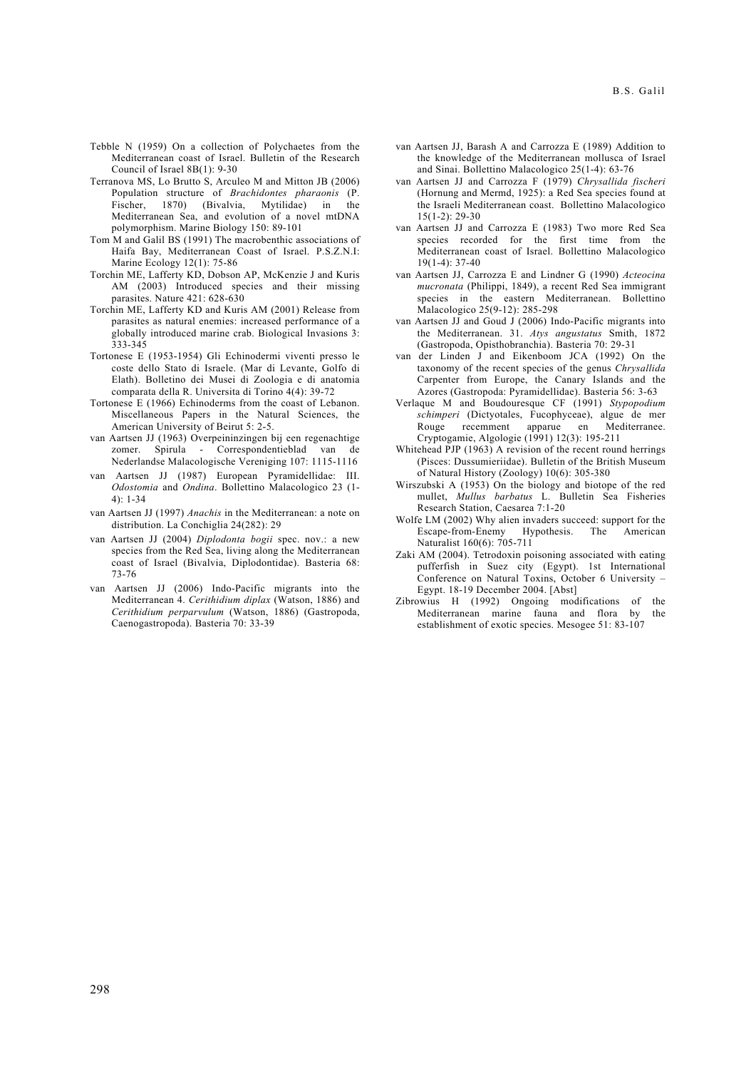- Tebble N (1959) On a collection of Polychaetes from the Mediterranean coast of Israel. Bulletin of the Research Council of Israel 8B(1): 9-30
- Terranova MS, Lo Brutto S, Arculeo M and Mitton JB (2006) Population structure of *Brachidontes pharaonis* (P. Fischer, 1870) (Bivalvia, Mytilidae) in the Mediterranean Sea, and evolution of a novel mtDNA polymorphism. Marine Biology 150: 89-101
- Tom M and Galil BS (1991) The macrobenthic associations of Haifa Bay, Mediterranean Coast of Israel. P.S.Z.N.I: Marine Ecology 12(1): 75-86
- Torchin ME, Lafferty KD, Dobson AP, McKenzie J and Kuris AM (2003) Introduced species and their missing parasites. Nature 421: 628-630
- Torchin ME, Lafferty KD and Kuris AM (2001) Release from parasites as natural enemies: increased performance of a globally introduced marine crab. Biological Invasions 3: 333-345
- Tortonese E (1953-1954) Gli Echinodermi viventi presso le coste dello Stato di Israele. (Mar di Levante, Golfo di Elath). Bolletino dei Musei di Zoologia e di anatomia comparata della R. Universita di Torino 4(4): 39-72
- Tortonese E (1966) Echinoderms from the coast of Lebanon. Miscellaneous Papers in the Natural Sciences, the American University of Beirut 5: 2-5.
- van Aartsen JJ (1963) Overpeininzingen bij een regenachtige zomer. Spirula - Correspondentieblad van de Nederlandse Malacologische Vereniging 107: 1115-1116
- van Aartsen JJ (1987) European Pyramidellidae: III. *Odostomia* and *Ondina*. Bollettino Malacologico 23 (1- 4): 1-34
- van Aartsen JJ (1997) *Anachis* in the Mediterranean: a note on distribution. La Conchiglia 24(282): 29
- van Aartsen JJ (2004) *Diplodonta bogii* spec. nov.: a new species from the Red Sea, living along the Mediterranean coast of Israel (Bivalvia, Diplodontidae). Basteria 68: 73-76
- van Aartsen JJ (2006) Indo-Pacific migrants into the Mediterranean 4. *Cerithidium diplax* (Watson, 1886) and *Cerithidium perparvulum* (Watson, 1886) (Gastropoda, Caenogastropoda). Basteria 70: 33-39
- van Aartsen JJ, Barash A and Carrozza E (1989) Addition to the knowledge of the Mediterranean mollusca of Israel and Sinai. Bollettino Malacologico 25(1-4): 63-76
- van Aartsen JJ and Carrozza F (1979) *Chrysallida fischeri* (Hornung and Mermd, 1925): a Red Sea species found at the Israeli Mediterranean coast. Bollettino Malacologico 15(1-2): 29-30
- van Aartsen JJ and Carrozza E (1983) Two more Red Sea species recorded for the first time from the Mediterranean coast of Israel. Bollettino Malacologico 19(1-4): 37-40
- van Aartsen JJ, Carrozza E and Lindner G (1990) *Acteocina mucronata* (Philippi, 1849), a recent Red Sea immigrant species in the eastern Mediterranean. Bollettino Malacologico 25(9-12): 285-298
- van Aartsen JJ and Goud J (2006) Indo-Pacific migrants into the Mediterranean. 31. *Atys angustatus* Smith, 1872 (Gastropoda, Opisthobranchia). Basteria 70: 29-31
- van der Linden J and Eikenboom JCA (1992) On the taxonomy of the recent species of the genus *Chrysallida* Carpenter from Europe, the Canary Islands and the Azores (Gastropoda: Pyramidellidae). Basteria 56: 3-63
- Verlaque M and Boudouresque CF (1991) *Stypopodium schimperi* (Dictyotales, Fucophyceae), algue de mer Rouge recemment apparue en Mediterranee. Cryptogamie, Algologie (1991) 12(3): 195-211
- Whitehead PJP (1963) A revision of the recent round herrings (Pisces: Dussumieriidae). Bulletin of the British Museum of Natural History (Zoology) 10(6): 305-380
- Wirszubski A (1953) On the biology and biotope of the red mullet, *Mullus barbatus* L. Bulletin Sea Fisheries Research Station, Caesarea 7:1-20
- Wolfe LM (2002) Why alien invaders succeed: support for the Escape-from-Enemy Hypothesis. The American Naturalist 160(6): 705-711
- Zaki AM (2004). Tetrodoxin poisoning associated with eating pufferfish in Suez city (Egypt). 1st International Conference on Natural Toxins, October 6 University – Egypt. 18-19 December 2004. [Abst]
- Zibrowius H (1992) Ongoing modifications of the Mediterranean marine fauna and flora by the establishment of exotic species. Mesogee 51: 83-107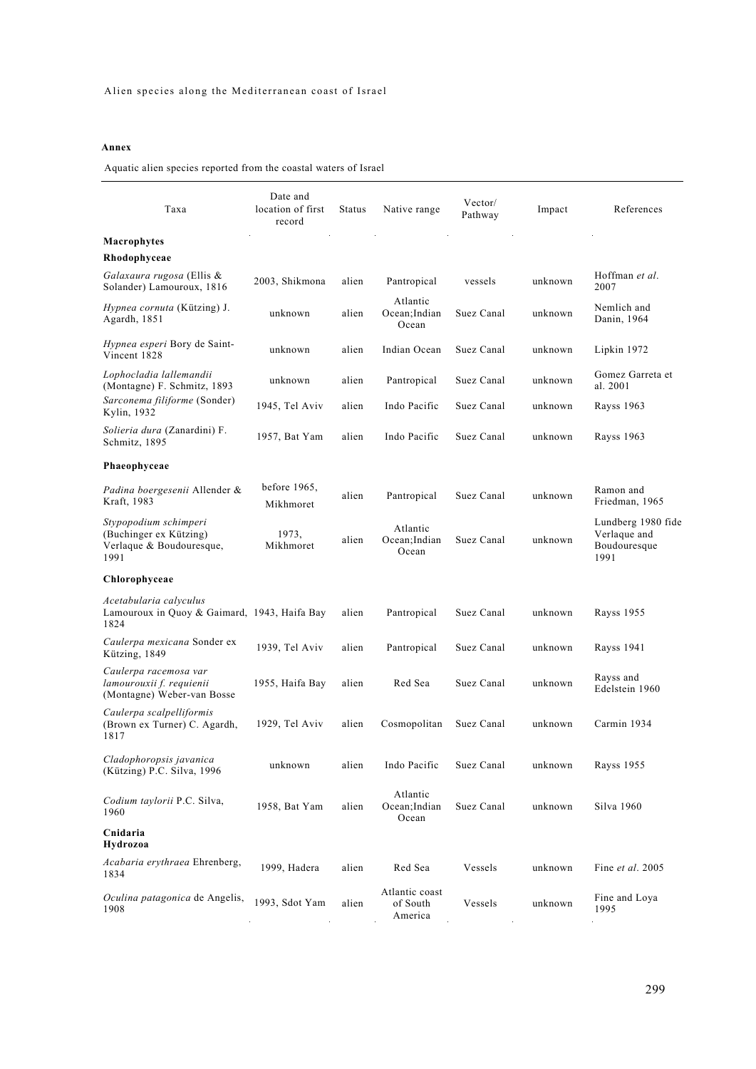#### **Annex**

Aquatic alien species reported from the coastal waters of Israel

| Taxa                                                                                | Date and<br>location of first<br>record | <b>Status</b> | Native range                          | Vector/<br>Pathway | Impact  | References                                                 |
|-------------------------------------------------------------------------------------|-----------------------------------------|---------------|---------------------------------------|--------------------|---------|------------------------------------------------------------|
| Macrophytes                                                                         |                                         |               |                                       |                    |         |                                                            |
| Rhodophyceae                                                                        |                                         |               |                                       |                    |         |                                                            |
| <i>Galaxaura rugosa</i> (Ellis &<br>Solander) Lamouroux, 1816                       | 2003, Shikmona                          | alien         | Pantropical                           | vessels            | unknown | Hoffman et al.<br>2007                                     |
| Hypnea cornuta (Kützing) J.<br>Agardh, 1851                                         | unknown                                 | alien         | Atlantic<br>Ocean; Indian<br>Ocean    | Suez Canal         | unknown | Nemlich and<br>Danin, 1964                                 |
| <i>Hypnea esperi</i> Bory de Saint-<br>Vincent 1828                                 | unknown                                 | alien         | Indian Ocean                          | Suez Canal         | unknown | Lipkin 1972                                                |
| Lophocladia lallemandii<br>(Montagne) F. Schmitz, 1893                              | unknown                                 | alien         | Pantropical                           | Suez Canal         | unknown | Gomez Garreta et<br>al. 2001                               |
| Sarconema filiforme (Sonder)<br>Kylin, 1932                                         | 1945, Tel Aviv                          | alien         | Indo Pacific                          | Suez Canal         | unknown | Rayss 1963                                                 |
| <i>Solieria dura</i> (Zanardini) F.<br>Schmitz, 1895                                | 1957, Bat Yam                           | alien         | Indo Pacific                          | Suez Canal         | unknown | <b>Rayss 1963</b>                                          |
| Phaeophyceae                                                                        |                                         |               |                                       |                    |         |                                                            |
| Padina boergesenii Allender &<br>Kraft, 1983                                        | before 1965,<br>Mikhmoret               | alien         | Pantropical                           | Suez Canal         | unknown | Ramon and<br>Friedman, 1965                                |
| Stypopodium schimperi<br>(Buchinger ex Kützing)<br>Verlaque & Boudouresque,<br>1991 | 1973,<br>Mikhmoret                      | alien         | Atlantic<br>Ocean; Indian<br>Ocean    | Suez Canal         | unknown | Lundberg 1980 fide<br>Verlaque and<br>Boudouresque<br>1991 |
| Chlorophyceae                                                                       |                                         |               |                                       |                    |         |                                                            |
| Acetabularia calyculus<br>Lamouroux in Quoy & Gaimard, 1943, Haifa Bay<br>1824      |                                         | alien         | Pantropical                           | Suez Canal         | unknown | Rayss 1955                                                 |
| Caulerpa mexicana Sonder ex<br>Kützing, 1849                                        | 1939, Tel Aviv                          | alien         | Pantropical                           | Suez Canal         | unknown | Rayss 1941                                                 |
| Caulerpa racemosa var<br>lamourouxii f. requienii<br>(Montagne) Weber-van Bosse     | 1955, Haifa Bay                         | alien         | Red Sea                               | Suez Canal         | unknown | Rayss and<br>Edelstein 1960                                |
| Caulerpa scalpelliformis<br>(Brown ex Turner) C. Agardh,<br>1817                    | 1929, Tel Aviv                          | alien         | Cosmopolitan                          | Suez Canal         | unknown | Carmin 1934                                                |
| Cladophoropsis javanica<br>(Kützing) P.C. Silva, 1996                               | unknown                                 | alien         | Indo Pacific                          | Suez Canal         | unknown | Rayss 1955                                                 |
| Codium taylorii P.C. Silva,<br>1960                                                 | 1958, Bat Yam                           | alien         | Atlantic<br>Ocean; Indian<br>Ocean    | Suez Canal         | unknown | Silva 1960                                                 |
| Cnidaria<br>Hydrozoa                                                                |                                         |               |                                       |                    |         |                                                            |
| Acabaria erythraea Ehrenberg,<br>1834                                               | 1999, Hadera                            | alien         | Red Sea                               | Vessels            | unknown | Fine et al. 2005                                           |
| Oculina patagonica de Angelis,<br>1908                                              | 1993, Sdot Yam                          | alien         | Atlantic coast<br>of South<br>America | Vessels            | unknown | Fine and Loya<br>1995                                      |

 $\overline{\phantom{a}}$ 

 $\overline{\phantom{a}}$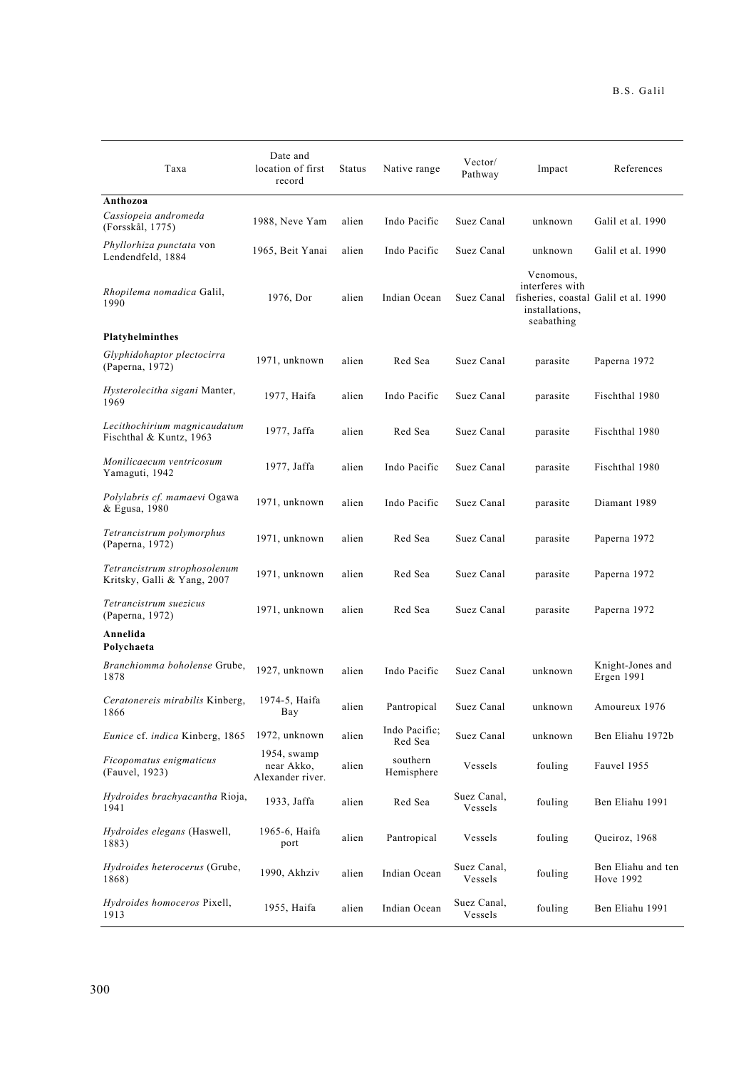| Taxa                                                        | Date and<br>location of first<br>record       | Status | Native range             | Vector/<br>Pathway     | Impact                                                                                               | References                      |
|-------------------------------------------------------------|-----------------------------------------------|--------|--------------------------|------------------------|------------------------------------------------------------------------------------------------------|---------------------------------|
| Anthozoa                                                    |                                               |        |                          |                        |                                                                                                      |                                 |
| Cassiopeia andromeda<br>(Forsskål, 1775)                    | 1988, Neve Yam                                | alien  | Indo Pacific             | Suez Canal             | unknown                                                                                              | Galil et al. 1990               |
| Phyllorhiza punctata von<br>Lendendfeld, 1884               | 1965, Beit Yanai                              | alien  | Indo Pacific             | Suez Canal             | unknown                                                                                              | Galil et al. 1990               |
| <i>Rhopilema nomadica</i> Galil,<br>1990                    | 1976, Dor                                     | alien  | Indian Ocean             | Suez Canal             | Venomous,<br>interferes with<br>fisheries, coastal Galil et al. 1990<br>installations,<br>seabathing |                                 |
| Platyhelminthes                                             |                                               |        |                          |                        |                                                                                                      |                                 |
| Glyphidohaptor plectocirra<br>(Paperna, 1972)               | 1971, unknown                                 | alien  | Red Sea                  | Suez Canal             | parasite                                                                                             | Paperna 1972                    |
| <i>Hysterolecitha sigani</i> Manter,<br>1969                | 1977, Haifa                                   | alien  | Indo Pacific             | Suez Canal             | parasite                                                                                             | Fischthal 1980                  |
| Lecithochirium magnicaudatum<br>Fischthal & Kuntz, 1963     | 1977, Jaffa                                   | alien  | Red Sea                  | Suez Canal             | parasite                                                                                             | Fischthal 1980                  |
| Monilicaecum ventricosum<br>Yamaguti, 1942                  | 1977, Jaffa                                   | alien  | Indo Pacific             | Suez Canal             | parasite                                                                                             | Fischthal 1980                  |
| Polylabris cf. mamaevi Ogawa<br>& Egusa, 1980               | 1971, unknown                                 | alien  | Indo Pacific             | Suez Canal             | parasite                                                                                             | Diamant 1989                    |
| Tetrancistrum polymorphus<br>(Paperna, 1972)                | 1971, unknown                                 | alien  | Red Sea                  | Suez Canal             | parasite                                                                                             | Paperna 1972                    |
| Tetrancistrum strophosolenum<br>Kritsky, Galli & Yang, 2007 | 1971, unknown                                 | alien  | Red Sea                  | Suez Canal             | parasite                                                                                             | Paperna 1972                    |
| Tetrancistrum suezicus<br>(Paperna, 1972)                   | 1971, unknown                                 | alien  | Red Sea                  | Suez Canal             | parasite                                                                                             | Paperna 1972                    |
| Annelida<br>Polychaeta                                      |                                               |        |                          |                        |                                                                                                      |                                 |
| <i>Branchiomma boholense</i> Grube,<br>1878                 | 1927, unknown                                 | alien  | Indo Pacific             | Suez Canal             | unknown                                                                                              | Knight-Jones and<br>Ergen 1991  |
| Ceratonereis mirabilis Kinberg,<br>1866                     | 1974-5, Haifa<br>Bay                          | alien  | Pantropical              | Suez Canal             | unknown                                                                                              | Amoureux 1976                   |
| Eunice cf. indica Kinberg, 1865                             | 1972, unknown                                 | alien  | Indo Pacific;<br>Red Sea | Suez Canal             | unknown                                                                                              | Ben Eliahu 1972b                |
| Ficopomatus enigmaticus<br>(Fauvel, 1923)                   | 1954, swamp<br>near Akko,<br>Alexander river. | alien  | southern<br>Hemisphere   | Vessels                | fouling                                                                                              | Fauvel 1955                     |
| Hydroides brachyacantha Rioja,<br>1941                      | 1933, Jaffa                                   | alien  | Red Sea                  | Suez Canal,<br>Vessels | fouling                                                                                              | Ben Eliahu 1991                 |
| Hydroides elegans (Haswell,<br>1883)                        | 1965-6, Haifa<br>port                         | alien  | Pantropical              | Vessels                | fouling                                                                                              | Queiroz, 1968                   |
| Hydroides heterocerus (Grube,<br>1868)                      | 1990, Akhziv                                  | alien  | Indian Ocean             | Suez Canal,<br>Vessels | fouling                                                                                              | Ben Eliahu and ten<br>Hove 1992 |
| Hydroides homoceros Pixell,<br>1913                         | 1955, Haifa                                   | alien  | Indian Ocean             | Suez Canal,<br>Vessels | fouling                                                                                              | Ben Eliahu 1991                 |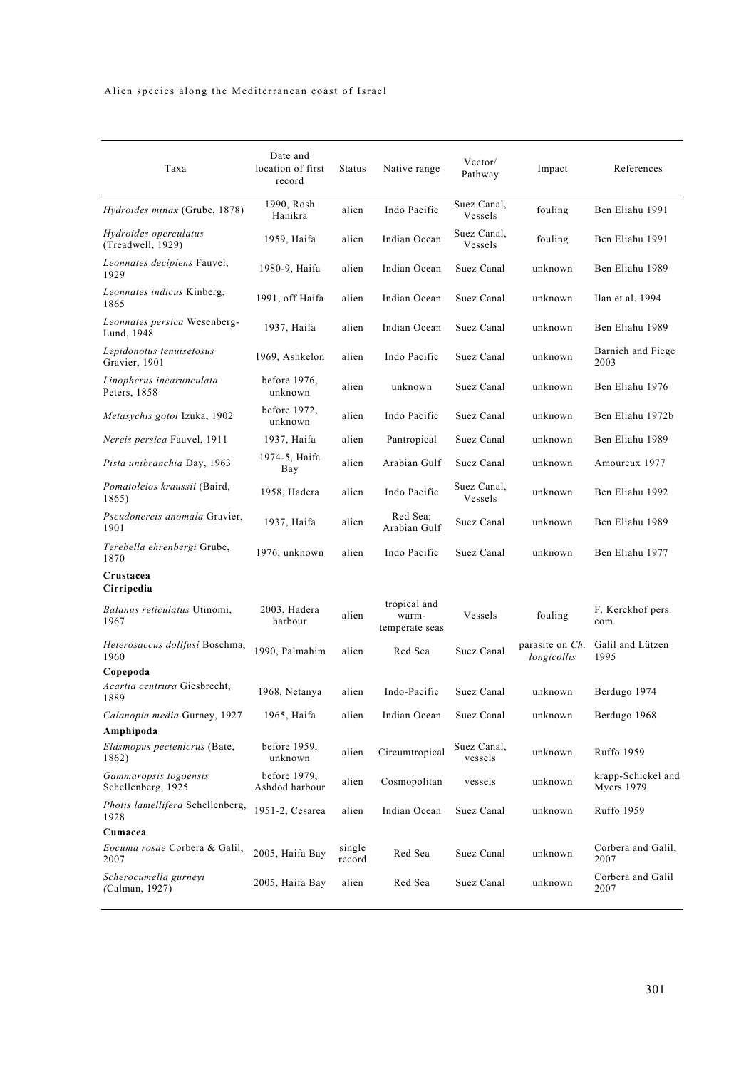| Taxa                                              | Date and<br>location of first<br>record | <b>Status</b>    | Native range                            | Vector/<br>Pathway     | Impact                         | References                              |
|---------------------------------------------------|-----------------------------------------|------------------|-----------------------------------------|------------------------|--------------------------------|-----------------------------------------|
| <i>Hydroides minax</i> (Grube, 1878)              | 1990, Rosh<br>Hanikra                   | alien            | Indo Pacific                            | Suez Canal,<br>Vessels | fouling                        | Ben Eliahu 1991                         |
| Hydroides operculatus<br>(Treadwell, 1929)        | 1959, Haifa                             | alien            | Indian Ocean                            | Suez Canal,<br>Vessels | fouling                        | Ben Eliahu 1991                         |
| Leonnates decipiens Fauvel,<br>1929               | 1980-9, Haifa                           | alien            | Indian Ocean                            | Suez Canal             | unknown                        | Ben Eliahu 1989                         |
| <i>Leonnates indicus</i> Kinberg,<br>1865         | 1991, off Haifa                         | alien            | Indian Ocean                            | Suez Canal             | unknown                        | Ilan et al. 1994                        |
| <i>Leonnates persica</i> Wesenberg-<br>Lund, 1948 | 1937, Haifa                             | alien            | Indian Ocean                            | Suez Canal             | unknown                        | Ben Eliahu 1989                         |
| Lepidonotus tenuisetosus<br>Gravier, 1901         | 1969, Ashkelon                          | alien            | Indo Pacific                            | Suez Canal             | unknown                        | Barnich and Fiege<br>2003               |
| Linopherus incarunculata<br>Peters, 1858          | before $1976$ ,<br>unknown              | alien            | unknown                                 | Suez Canal             | unknown                        | Ben Eliahu 1976                         |
| Metasychis gotoi Izuka, 1902                      | before 1972,<br>unknown                 | alien            | Indo Pacific                            | Suez Canal             | unknown                        | Ben Eliahu 1972b                        |
| Nereis persica Fauvel, 1911                       | 1937, Haifa                             | alien            | Pantropical                             | Suez Canal             | unknown                        | Ben Eliahu 1989                         |
| Pista unibranchia Day, 1963                       | 1974-5, Haifa<br>Bay                    | alien            | Arabian Gulf                            | Suez Canal             | unknown                        | Amoureux 1977                           |
| Pomatoleios kraussii (Baird,<br>1865)             | 1958, Hadera                            | alien            | Indo Pacific                            | Suez Canal,<br>Vessels | unknown                        | Ben Eliahu 1992                         |
| <i>Pseudonereis anomala</i> Gravier,<br>1901      | 1937, Haifa                             | alien            | Red Sea;<br>Arabian Gulf                | Suez Canal             | unknown                        | Ben Eliahu 1989                         |
| <i>Terebella ehrenbergi</i> Grube,<br>1870        | 1976, unknown                           | alien            | Indo Pacific                            | Suez Canal             | unknown                        | Ben Eliahu 1977                         |
| Crustacea<br>Cirripedia                           |                                         |                  |                                         |                        |                                |                                         |
| Balanus reticulatus Utinomi,<br>1967              | 2003, Hadera<br>harbour                 | alien            | tropical and<br>warm-<br>temperate seas | Vessels                | fouling                        | F. Kerckhof pers.<br>com.               |
| <i>Heterosaccus dollfusi</i> Boschma,<br>1960     | 1990, Palmahim                          | alien            | Red Sea                                 | Suez Canal             | parasite on Ch.<br>longicollis | Galil and Lützen<br>1995                |
| Copepoda                                          |                                         |                  |                                         |                        |                                |                                         |
| Acartia centrura Giesbrecht,<br>1889              | 1968, Netanya                           | alien            | Indo-Pacific                            | Suez Canal             | unknown                        | Berdugo 1974                            |
| Calanopia media Gurney, 1927<br>Amphipoda         | 1965, Haifa                             | alien            | Indian Ocean                            | Suez Canal             | unknown                        | Berdugo 1968                            |
| Elasmopus pectenicrus (Bate,<br>1862)             | before 1959,<br>unknown                 | alien            | Circumtropical                          | Suez Canal,<br>vessels | unknown                        | Ruffo 1959                              |
| Gammaropsis togoensis<br>Schellenberg, 1925       | before 1979,<br>Ashdod harbour          | alien            | Cosmopolitan                            | vessels                | unknown                        | krapp-Schickel and<br><b>Myers</b> 1979 |
| Photis lamellifera Schellenberg,<br>1928          | 1951-2, Cesarea                         | alien            | Indian Ocean                            | Suez Canal             | unknown                        | Ruffo 1959                              |
| Cumacea                                           |                                         |                  |                                         |                        |                                |                                         |
| Eocuma rosae Corbera & Galil,<br>2007             | 2005, Haifa Bay                         | single<br>record | Red Sea                                 | Suez Canal             | unknown                        | Corbera and Galil,<br>2007              |
| Scherocumella gurneyi<br>(Calman, 1927)           | 2005, Haifa Bay                         | alien            | Red Sea                                 | Suez Canal             | unknown                        | Corbera and Galil<br>2007               |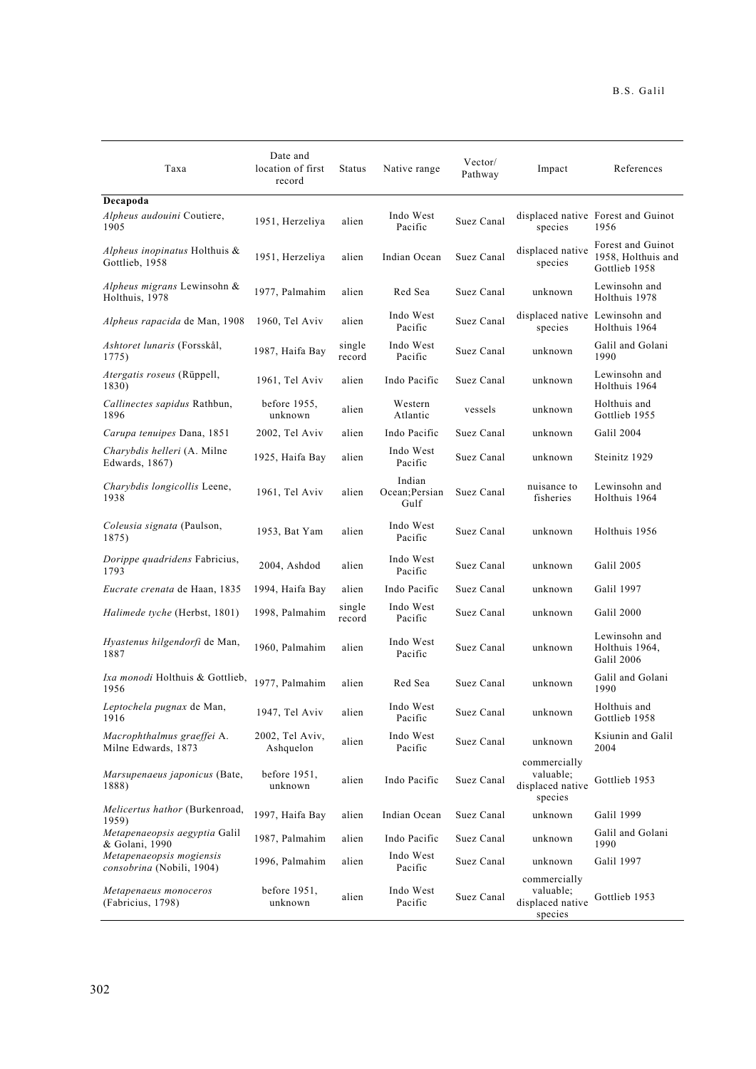| Taxa                                                     | Date and<br>location of first<br>record | Status           | Native range                     | Vector/<br>Pathway | Impact                                                   | References                                               |
|----------------------------------------------------------|-----------------------------------------|------------------|----------------------------------|--------------------|----------------------------------------------------------|----------------------------------------------------------|
| Decapoda                                                 |                                         |                  |                                  |                    |                                                          |                                                          |
| Alpheus audouini Coutiere,<br>1905                       | 1951, Herzeliya                         | alien            | Indo West<br>Pacific             | Suez Canal         | species                                                  | displaced native Forest and Guinot<br>1956               |
| Alpheus inopinatus Holthuis &<br>Gottlieb, 1958          | 1951, Herzeliya                         | alien            | Indian Ocean                     | Suez Canal         | displaced native<br>species                              | Forest and Guinot<br>1958, Holthuis and<br>Gottlieb 1958 |
| <i>Alpheus migrans</i> Lewinsohn &<br>Holthuis, 1978     | 1977, Palmahim                          | alien            | Red Sea                          | Suez Canal         | unknown                                                  | Lewinsohn and<br>Holthuis 1978                           |
| <i>Alpheus rapacida</i> de Man, 1908                     | 1960, Tel Aviv                          | alien            | Indo West<br>Pacific             | Suez Canal         | displaced native Lewinsohn and<br>species                | Holthuis 1964                                            |
| Ashtoret lunaris (Forsskål,<br>1775)                     | 1987, Haifa Bay                         | single<br>record | Indo West<br>Pacific             | Suez Canal         | unknown                                                  | Galil and Golani<br>1990                                 |
| Atergatis roseus (Rüppell,<br>1830)                      | 1961, Tel Aviv                          | alien            | Indo Pacific                     | Suez Canal         | unknown                                                  | Lewinsohn and<br>Holthuis 1964                           |
| Callinectes sapidus Rathbun,<br>1896                     | before 1955,<br>unknown                 | alien            | Western<br>Atlantic              | vessels            | unknown                                                  | Holthuis and<br>Gottlieb 1955                            |
| Carupa tenuipes Dana, 1851                               | 2002, Tel Aviv                          | alien            | Indo Pacific                     | Suez Canal         | unknown                                                  | Galil 2004                                               |
| Charybdis helleri (A. Milne<br>Edwards, 1867)            | 1925, Haifa Bay                         | alien            | Indo West<br>Pacific             | Suez Canal         | unknown                                                  | Steinitz 1929                                            |
| Charybdis longicollis Leene,<br>1938                     | 1961, Tel Aviv                          | alien            | Indian<br>Ocean; Persian<br>Gulf | Suez Canal         | nuisance to<br>fisheries                                 | Lewinsohn and<br>Holthuis 1964                           |
| Coleusia signata (Paulson,<br>1875)                      | 1953, Bat Yam                           | alien            | Indo West<br>Pacific             | Suez Canal         | unknown                                                  | Holthuis 1956                                            |
| <i>Dorippe quadridens</i> Fabricius,<br>1793             | 2004, Ashdod                            | alien            | Indo West<br>Pacific             | Suez Canal         | unknown                                                  | Galil 2005                                               |
| <i>Eucrate crenata</i> de Haan, 1835                     | 1994, Haifa Bay                         | alien            | Indo Pacific                     | Suez Canal         | unknown                                                  | Galil 1997                                               |
| <i>Halimede tyche</i> (Herbst, 1801)                     | 1998, Palmahim                          | single<br>record | Indo West<br>Pacific             | Suez Canal         | unknown                                                  | Galil 2000                                               |
| Hyastenus hilgendorfi de Man,<br>1887                    | 1960, Palmahim                          | alien            | Indo West<br>Pacific             | Suez Canal         | unknown                                                  | Lewinsohn and<br>Holthuis 1964,<br>Galil 2006            |
| Ixa monodi Holthuis & Gottlieb,<br>1956                  | 1977, Palmahim                          | alien            | Red Sea                          | Suez Canal         | unknown                                                  | Galil and Golani<br>1990                                 |
| Leptochela pugnax de Man,<br>1916                        | 1947, Tel Aviv                          | alien            | Indo West<br>Pacific             | Suez Canal         | unknown                                                  | Holthuis and<br>Gottlieb 1958                            |
| Macrophthalmus graeffei A.<br>Milne Edwards, 1873        | 2002, Tel Aviv,<br>Ashquelon            | alien            | Indo West<br>Pacific             | Suez Canal         | unknown                                                  | Ksiunin and Galil<br>2004                                |
| Marsupenaeus japonicus (Bate,<br>1888)                   | before 1951,<br>unknown                 | alien            | Indo Pacific                     | Suez Canal         | commercially<br>valuable;<br>displaced native<br>species | Gottlieb 1953                                            |
| Melicertus hathor (Burkenroad,                           | 1997, Haifa Bay                         | alien            | Indian Ocean                     | Suez Canal         | unknown                                                  | Galil 1999                                               |
| 1959)<br>Metapenaeopsis aegyptia Galil<br>& Golani, 1990 | 1987, Palmahim                          | alien            | Indo Pacific                     | Suez Canal         | unknown                                                  | Galil and Golani<br>1990                                 |
| Metapenaeopsis mogiensis<br>consobrina (Nobili, 1904)    | 1996, Palmahim                          | alien            | Indo West<br>Pacific             | Suez Canal         | unknown                                                  | Galil 1997                                               |
| Metapenaeus monoceros<br>(Fabricius, 1798)               | before 1951,<br>unknown                 | alien            | Indo West<br>Pacific             | Suez Canal         | commercially<br>valuable;<br>displaced native<br>species | Gottlieb 1953                                            |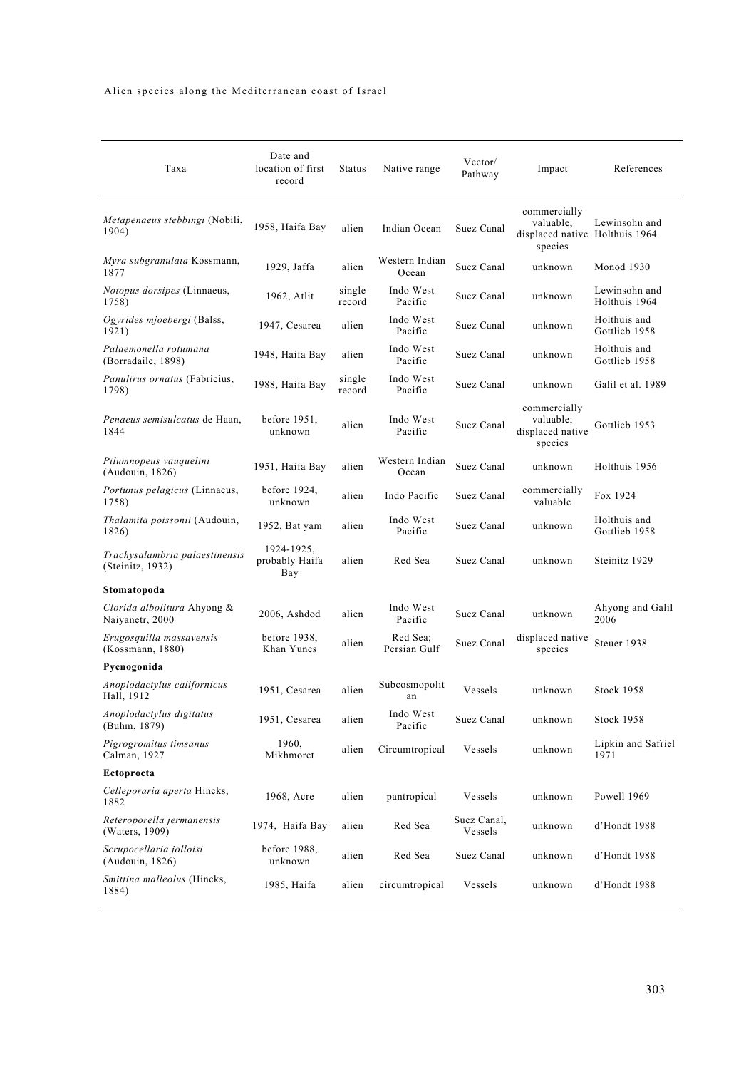| Taxa                                               | Date and<br>location of first<br>record  | Status           | Native range             | Vector/<br>Pathway     | Impact                                                                 | References                     |
|----------------------------------------------------|------------------------------------------|------------------|--------------------------|------------------------|------------------------------------------------------------------------|--------------------------------|
| Metapenaeus stebbingi (Nobili,<br>1904)            | 1958, Haifa Bay                          | alien            | Indian Ocean             | Suez Canal             | commercially<br>valuable;<br>displaced native Holthuis 1964<br>species | Lewinsohn and                  |
| <i>Myra subgranulata</i> Kossmann,<br>1877         | 1929, Jaffa                              | alien            | Western Indian<br>Ocean  | Suez Canal             | unknown                                                                | Monod 1930                     |
| <i>Notopus dorsipes</i> (Linnaeus,<br>1758)        | $1962$ , Atlit                           | single<br>record | Indo West<br>Pacific     | Suez Canal             | unknown                                                                | Lewinsohn and<br>Holthuis 1964 |
| Ogyrides mjoebergi (Balss,<br>1921)                | 1947, Cesarea                            | alien            | Indo West<br>Pacific     | Suez Canal             | unknown                                                                | Holthuis and<br>Gottlieb 1958  |
| Palaemonella rotumana<br>(Borradaile, 1898)        | 1948, Haifa Bay                          | alien            | Indo West<br>Pacific     | Suez Canal             | unknown                                                                | Holthuis and<br>Gottlieb 1958  |
| <i>Panulirus ornatus</i> (Fabricius,<br>1798)      | 1988, Haifa Bay                          | single<br>record | Indo West<br>Pacific     | Suez Canal             | unknown                                                                | Galil et al. 1989              |
| <i>Penaeus semisulcatus</i> de Haan,<br>1844       | before $1951$ ,<br>unknown               | alien            | Indo West<br>Pacific     | Suez Canal             | commercially<br>valuable;<br>displaced native<br>species               | Gottlieb 1953                  |
| Pilumnopeus vauquelini<br>(Audouin, 1826)          | 1951, Haifa Bay                          | alien            | Western Indian<br>Ocean  | Suez Canal             | unknown                                                                | Holthuis 1956                  |
| <i>Portunus pelagicus</i> (Linnaeus,<br>1758)      | before $1924$ ,<br>unknown               | alien            | Indo Pacific             | Suez Canal             | commercially<br>valuable                                               | Fox 1924                       |
| <i>Thalamita poissonii</i> (Audouin,<br>1826)      | 1952, Bat yam                            | alien            | Indo West<br>Pacific     | Suez Canal             | unknown                                                                | Holthuis and<br>Gottlieb 1958  |
| Trachysalambria palaestinensis<br>(Steinitz, 1932) | $1924 - 1925$ ,<br>probably Haifa<br>Bay | alien            | Red Sea                  | Suez Canal             | unknown                                                                | Steinitz 1929                  |
| Stomatopoda                                        |                                          |                  |                          |                        |                                                                        |                                |
| Clorida albolitura Ahyong &<br>Naiyanetr, 2000     | 2006, Ashdod                             | alien            | Indo West<br>Pacific     | Suez Canal             | unknown                                                                | Ahyong and Galil<br>2006       |
| Erugosquilla massavensis<br>(Kossmann, 1880)       | before 1938,<br>Khan Yunes               | alien            | Red Sea;<br>Persian Gulf | Suez Canal             | displaced native<br>species                                            | Steuer 1938                    |
| Pycnogonida                                        |                                          |                  |                          |                        |                                                                        |                                |
| Anoplodactylus californicus<br>Hall, 1912          | 1951, Cesarea                            | alien            | Subcosmopolit<br>an      | Vessels                | unknown                                                                | <b>Stock 1958</b>              |
| Anoplodactylus digitatus<br>(Buhm, 1879)           | 1951, Cesarea                            | alien            | Indo West<br>Pacific     | Suez Canal             | unknown                                                                | <b>Stock 1958</b>              |
| Pigrogromitus timsanus<br>Calman, 1927             | 1960,<br>Mikhmoret                       | alien            | Circumtropical           | Vessels                | unknown                                                                | Lipkin and Safriel<br>1971     |
| Ectoprocta                                         |                                          |                  |                          |                        |                                                                        |                                |
| Celleporaria aperta Hincks,<br>1882                | 1968, Acre                               | alien            | pantropical              | Vessels                | unknown                                                                | Powell 1969                    |
| Reteroporella jermanensis<br>(Waters, 1909)        | 1974, Haifa Bay                          | alien            | Red Sea                  | Suez Canal,<br>Vessels | unknown                                                                | d'Hondt 1988                   |
| Scrupocellaria jolloisi<br>(Audouin, 1826)         | before 1988.<br>unknown                  | alien            | Red Sea                  | Suez Canal             | unknown                                                                | d'Hondt 1988                   |
| Smittina malleolus (Hincks,<br>1884)               | 1985, Haifa                              | alien            | circumtropical           | Vessels                | unknown                                                                | d'Hondt 1988                   |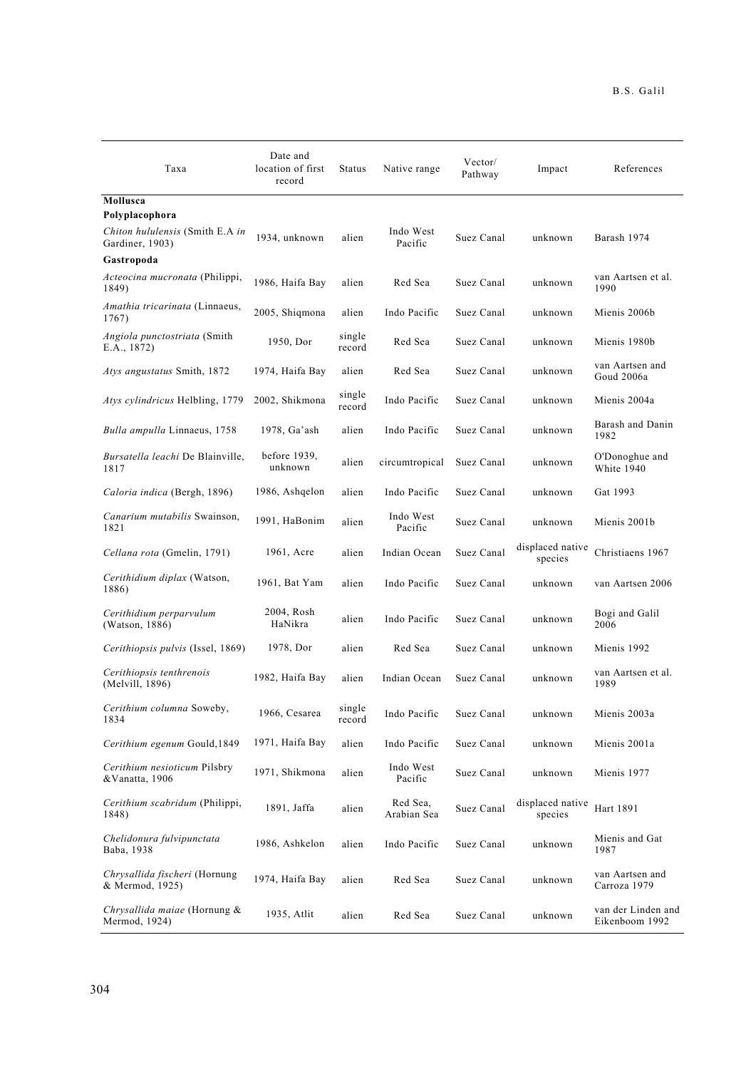| Taxa                                               | Date and<br>location of first<br>record | Status           | Native range            | Vector/<br>Pathway | Impact                      | References                           |
|----------------------------------------------------|-----------------------------------------|------------------|-------------------------|--------------------|-----------------------------|--------------------------------------|
| Mollusca                                           |                                         |                  |                         |                    |                             |                                      |
| Polyplacophora                                     |                                         |                  |                         |                    |                             |                                      |
| Chiton hululensis (Smith E.A in<br>Gardiner, 1903) | 1934, unknown                           | alien            | Indo West<br>Pacific    | Suez Canal         | unknown                     | Barash 1974                          |
| Gastropoda                                         |                                         |                  |                         |                    |                             |                                      |
| <i>Acteocina mucronata</i> (Philippi,<br>1849)     | 1986, Haifa Bay                         | alien            | Red Sea                 | Suez Canal         | unknown                     | van Aartsen et al.<br>1990           |
| Amathia tricarinata (Linnaeus,<br>1767)            | 2005, Shigmona                          | alien            | Indo Pacific            | Suez Canal         | unknown                     | Mienis 2006b                         |
| <i>Angiola punctostriata</i> (Smith<br>E.A., 1872) | 1950, Dor                               | single<br>record | Red Sea                 | Suez Canal         | unknown                     | Mienis 1980b                         |
| Atys angustatus Smith, 1872                        | 1974, Haifa Bay                         | alien            | Red Sea                 | Suez Canal         | unknown                     | van Aartsen and<br>Goud 2006a        |
| Atys cylindricus Helbling, 1779                    | 2002, Shikmona                          | single<br>record | Indo Pacific            | Suez Canal         | unknown                     | Mienis 2004a                         |
| Bulla ampulla Linnaeus, 1758                       | 1978, Ga'ash                            | alien            | Indo Pacific            | Suez Canal         | unknown                     | Barash and Danin<br>1982             |
| Bursatella leachi De Blainville,<br>1817           | before 1939,<br>unknown                 | alien            | circumtropical          | Suez Canal         | unknown                     | O'Donoghue and<br>White 1940         |
| Caloria indica (Bergh, 1896)                       | 1986, Ashqelon                          | alien            | Indo Pacific            | Suez Canal         | unknown                     | Gat 1993                             |
| <i>Canarium mutabilis</i> Swainson,<br>1821        | 1991, HaBonim                           | alien            | Indo West<br>Pacific    | Suez Canal         | unknown                     | Mienis 2001b                         |
| Cellana rota (Gmelin, 1791)                        | 1961, Acre                              | alien            | Indian Ocean            | Suez Canal         | displaced native<br>species | Christiaens 1967                     |
| Cerithidium diplax (Watson,<br>1886)               | 1961, Bat Yam                           | alien            | Indo Pacific            | Suez Canal         | unknown                     | van Aartsen 2006                     |
| Cerithidium perparvulum<br>(Watson, 1886)          | 2004, Rosh<br>HaNikra                   | alien            | Indo Pacific            | Suez Canal         | unknown                     | Bogi and Galil<br>2006               |
| <i>Cerithiopsis pulvis</i> (Issel, 1869)           | 1978, Dor                               | alien            | Red Sea                 | Suez Canal         | unknown                     | Mienis 1992                          |
| Cerithiopsis tenthrenois<br>(Melvill, 1896)        | 1982, Haifa Bay                         | alien            | Indian Ocean            | Suez Canal         | unknown                     | van Aartsen et al.<br>1989           |
| Cerithium columna Soweby,<br>1834                  | 1966, Cesarea                           | single<br>record | Indo Pacific            | Suez Canal         | unknown                     | Mienis 2003a                         |
| Cerithium egenum Gould, 1849                       | 1971, Haifa Bay                         | alien            | Indo Pacific            | Suez Canal         | unknown                     | Mienis 2001a                         |
| Cerithium nesioticum Pilsbry<br>&Vanatta, 1906     | 1971, Shikmona                          | alien            | Indo West<br>Pacific    | Suez Canal         | unknown                     | Mienis 1977                          |
| Cerithium scabridum (Philippi,<br>1848)            | 1891, Jaffa                             | alien            | Red Sea,<br>Arabian Sea | Suez Canal         | displaced native<br>species | Hart 1891                            |
| Chelidonura fulvipunctata<br>Baba, 1938            | 1986, Ashkelon                          | alien            | Indo Pacific            | Suez Canal         | unknown                     | Mienis and Gat<br>1987               |
| Chrysallida fischeri (Hornung<br>& Mermod, 1925)   | 1974, Haifa Bay                         | alien            | Red Sea                 | Suez Canal         | unknown                     | van Aartsen and<br>Carroza 1979      |
| Chrysallida maiae (Hornung &<br>Mermod, 1924)      | 1935, Atlit                             | alien            | Red Sea                 | Suez Canal         | unknown                     | van der Linden and<br>Eikenboom 1992 |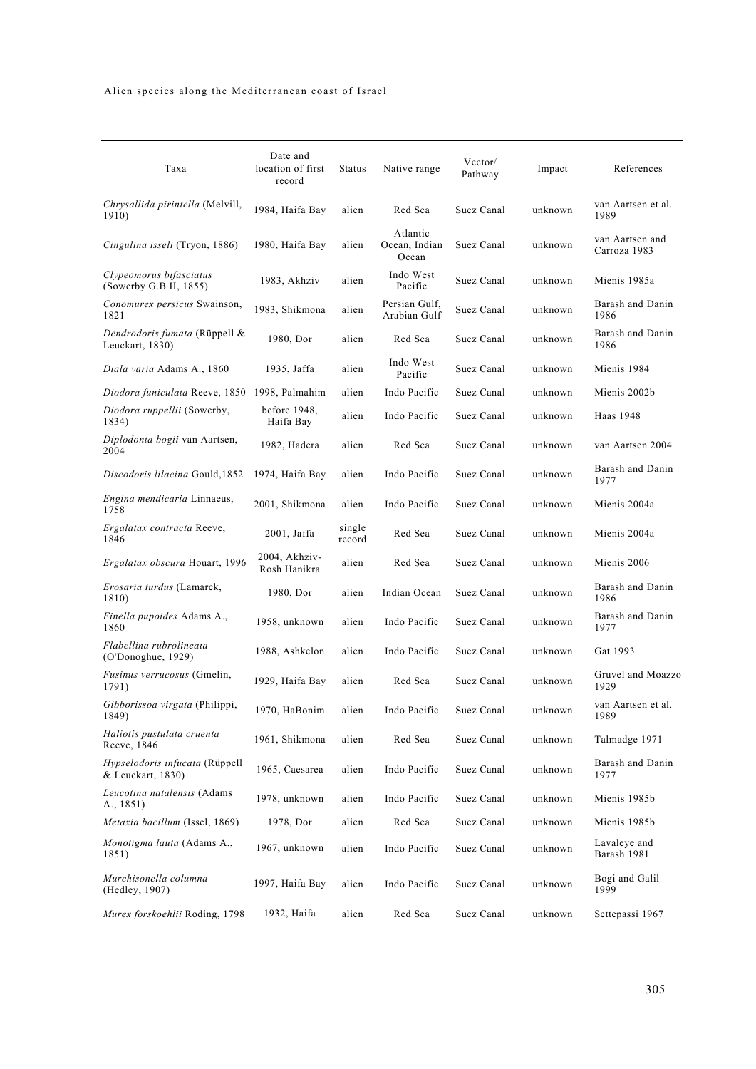| Taxa                                                | Date and<br>location of first<br>record | <b>Status</b>    | Native range                       | Vector/<br>Pathway | Impact  | References                      |
|-----------------------------------------------------|-----------------------------------------|------------------|------------------------------------|--------------------|---------|---------------------------------|
| Chrysallida pirintella (Melvill,<br>1910)           | 1984, Haifa Bay                         | alien            | Red Sea                            | Suez Canal         | unknown | van Aartsen et al.<br>1989      |
| Cingulina isseli (Tryon, 1886)                      | 1980, Haifa Bay                         | alien            | Atlantic<br>Ocean, Indian<br>Ocean | Suez Canal         | unknown | van Aartsen and<br>Carroza 1983 |
| Clypeomorus bifasciatus<br>(Sowerby G.B II, 1855)   | 1983, Akhziv                            | alien            | Indo West<br>Pacific               | Suez Canal         | unknown | Mienis 1985a                    |
| Conomurex persicus Swainson,<br>1821                | 1983, Shikmona                          | alien            | Persian Gulf,<br>Arabian Gulf      | Suez Canal         | unknown | Barash and Danin<br>1986        |
| Dendrodoris fumata (Rüppell &<br>Leuckart, 1830)    | 1980, Dor                               | alien            | Red Sea                            | Suez Canal         | unknown | Barash and Danin<br>1986        |
| Diala varia Adams A., 1860                          | 1935, Jaffa                             | alien            | Indo West<br>Pacific               | Suez Canal         | unknown | Mienis 1984                     |
| Diodora funiculata Reeve, 1850 1998, Palmahim       |                                         | alien            | Indo Pacific                       | Suez Canal         | unknown | Mienis 2002b                    |
| Diodora ruppellii (Sowerby,<br>1834)                | before 1948,<br>Haifa Bay               | alien            | Indo Pacific                       | Suez Canal         | unknown | Haas 1948                       |
| Diplodonta bogii van Aartsen,<br>2004               | 1982, Hadera                            | alien            | Red Sea                            | Suez Canal         | unknown | van Aartsen 2004                |
| Discodoris lilacina Gould, 1852                     | 1974, Haifa Bay                         | alien            | Indo Pacific                       | Suez Canal         | unknown | Barash and Danin<br>1977        |
| <i>Engina mendicaria</i> Linnaeus,<br>1758          | 2001, Shikmona                          | alien            | Indo Pacific                       | Suez Canal         | unknown | Mienis 2004a                    |
| Ergalatax contracta Reeve,<br>1846                  | 2001, Jaffa                             | single<br>record | Red Sea                            | Suez Canal         | unknown | Mienis 2004a                    |
| Ergalatax obscura Houart, 1996                      | 2004, Akhziv-<br>Rosh Hanikra           | alien            | Red Sea                            | Suez Canal         | unknown | Mienis 2006                     |
| <i>Erosaria turdus</i> (Lamarck,<br>1810)           | 1980, Dor                               | alien            | Indian Ocean                       | Suez Canal         | unknown | Barash and Danin<br>1986        |
| <i>Finella pupoides</i> Adams A.,<br>1860           | 1958, unknown                           | alien            | Indo Pacific                       | Suez Canal         | unknown | Barash and Danin<br>1977        |
| Flabellina rubrolineata<br>(O'Donoghue, 1929)       | 1988, Ashkelon                          | alien            | Indo Pacific                       | Suez Canal         | unknown | Gat 1993                        |
| <i>Fusinus verrucosus</i> (Gmelin,<br>1791)         | 1929, Haifa Bay                         | alien            | Red Sea                            | Suez Canal         | unknown | Gruvel and Moazzo<br>1929       |
| Gibborissoa virgata (Philippi,<br>1849)             | 1970, HaBonim                           | alien            | Indo Pacific                       | Suez Canal         | unknown | van Aartsen et al.<br>1989      |
| Haliotis pustulata cruenta<br>Reeve, 1846           | 1961, Shikmona                          | alien            | Red Sea                            | Suez Canal         | unknown | Talmadge 1971                   |
| Hypselodoris infucata (Rüppell<br>& Leuckart, 1830) | 1965, Caesarea                          | alien            | Indo Pacific                       | Suez Canal         | unknown | Barash and Danin<br>1977        |
| Leucotina natalensis (Adams<br>A., 1851)            | 1978, unknown                           | alien            | Indo Pacific                       | Suez Canal         | unknown | Mienis 1985b                    |
| Metaxia bacillum (Issel, 1869)                      | 1978, Dor                               | alien            | Red Sea                            | Suez Canal         | unknown | Mienis 1985b                    |
| Monotigma lauta (Adams A.,<br>1851)                 | 1967, unknown                           | alien            | Indo Pacific                       | Suez Canal         | unknown | Lavaleye and<br>Barash 1981     |
| Murchisonella columna<br>(Hedley, 1907)             | 1997, Haifa Bay                         | alien            | Indo Pacific                       | Suez Canal         | unknown | Bogi and Galil<br>1999          |
| Murex forskoehlii Roding, 1798                      | 1932, Haifa                             | alien            | Red Sea                            | Suez Canal         | unknown | Settepassi 1967                 |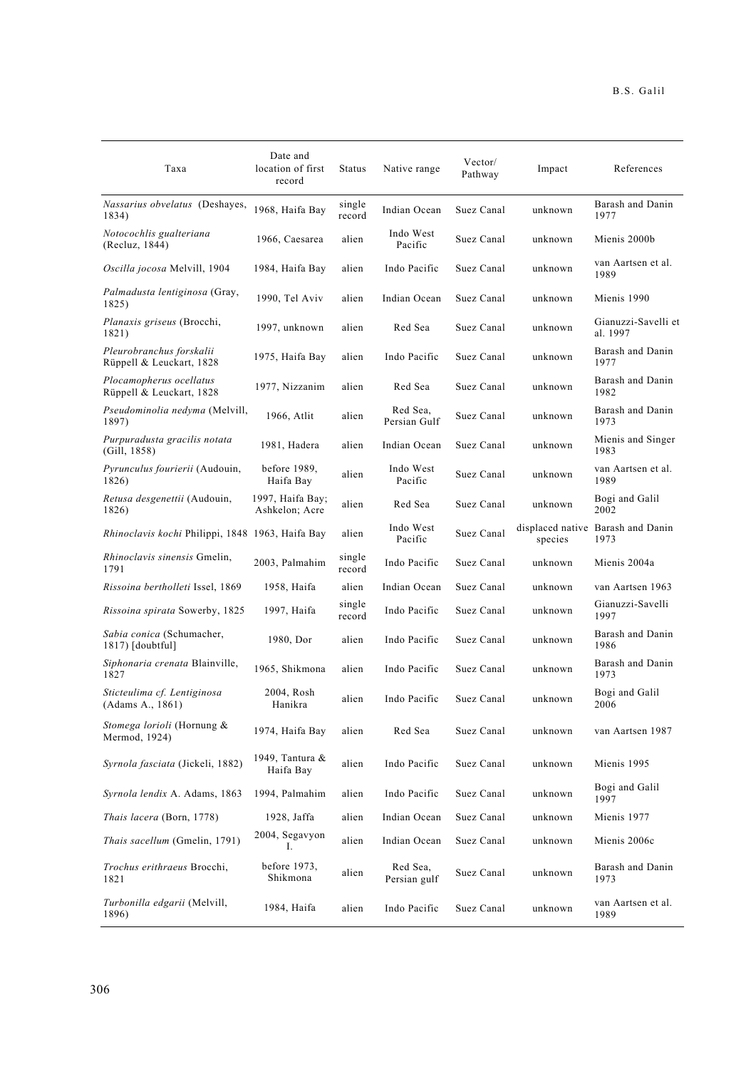| Taxa                                                 | Date and<br>location of first<br>record | <b>Status</b>    | Native range             | Vector/<br>Pathway | Impact  | References                                |
|------------------------------------------------------|-----------------------------------------|------------------|--------------------------|--------------------|---------|-------------------------------------------|
| Nassarius obvelatus (Deshayes,<br>1834)              | 1968, Haifa Bay                         | single<br>record | Indian Ocean             | Suez Canal         | unknown | Barash and Danin<br>1977                  |
| Notocochlis gualteriana<br>(Recluz, 1844)            | 1966, Caesarea                          | alien            | Indo West<br>Pacific     | Suez Canal         | unknown | Mienis 2000b                              |
| Oscilla jocosa Melvill, 1904                         | 1984, Haifa Bay                         | alien            | Indo Pacific             | Suez Canal         | unknown | van Aartsen et al.<br>1989                |
| <i>Palmadusta lentiginosa</i> (Gray,<br>1825)        | 1990, Tel Aviv                          | alien            | Indian Ocean             | Suez Canal         | unknown | Mienis 1990                               |
| <i>Planaxis griseus</i> (Brocchi,<br>1821)           | 1997, unknown                           | alien            | Red Sea                  | Suez Canal         | unknown | Gianuzzi-Savelli et<br>al. 1997           |
| Pleurobranchus forskalii<br>Rüppell & Leuckart, 1828 | 1975, Haifa Bay                         | alien            | Indo Pacific             | Suez Canal         | unknown | Barash and Danin<br>1977                  |
| Plocamopherus ocellatus<br>Rüppell & Leuckart, 1828  | 1977, Nizzanim                          | alien            | Red Sea                  | Suez Canal         | unknown | Barash and Danin<br>1982                  |
| Pseudominolia nedyma (Melvill,<br>1897)              | 1966, Atlit                             | alien            | Red Sea.<br>Persian Gulf | Suez Canal         | unknown | Barash and Danin<br>1973                  |
| Purpuradusta gracilis notata<br>(Gill, 1858)         | 1981, Hadera                            | alien            | Indian Ocean             | Suez Canal         | unknown | Mienis and Singer<br>1983                 |
| Pyrunculus fourierii (Audouin,<br>1826)              | before 1989,<br>Haifa Bay               | alien            | Indo West<br>Pacific     | Suez Canal         | unknown | van Aartsen et al.<br>1989                |
| Retusa desgenettii (Audouin,<br>1826)                | 1997, Haifa Bay;<br>Ashkelon; Acre      | alien            | Red Sea                  | Suez Canal         | unknown | Bogi and Galil<br>2002                    |
| Rhinoclavis kochi Philippi, 1848 1963, Haifa Bay     |                                         | alien            | Indo West<br>Pacific     | Suez Canal         | species | displaced native Barash and Danin<br>1973 |
| <i>Rhinoclavis sinensis</i> Gmelin,<br>1791          | 2003, Palmahim                          | single<br>record | Indo Pacific             | Suez Canal         | unknown | Mienis 2004a                              |
| Rissoina bertholleti Issel, 1869                     | 1958, Haifa                             | alien            | Indian Ocean             | Suez Canal         | unknown | van Aartsen 1963                          |
| Rissoina spirata Sowerby, 1825                       | 1997, Haifa                             | single<br>record | Indo Pacific             | Suez Canal         | unknown | Gianuzzi-Savelli<br>1997                  |
| Sabia conica (Schumacher,<br>1817) [doubtful]        | 1980, Dor                               | alien            | Indo Pacific             | Suez Canal         | unknown | Barash and Danin<br>1986                  |
| Siphonaria crenata Blainville,<br>1827               | 1965, Shikmona                          | alien            | Indo Pacific             | Suez Canal         | unknown | Barash and Danin<br>1973                  |
| Sticteulima cf. Lentiginosa<br>(Adams A., 1861)      | 2004, Rosh<br>Hanikra                   | alien            | Indo Pacific             | Suez Canal         | unknown | Bogi and Galil<br>2006                    |
| Stomega lorioli (Hornung &<br>Mermod, 1924)          | 1974, Haifa Bay                         | alien            | Red Sea                  | Suez Canal         | unknown | van Aartsen 1987                          |
| Syrnola fasciata (Jickeli, 1882)                     | 1949, Tantura &<br>Haifa Bay            | alien            | Indo Pacific             | Suez Canal         | unknown | Mienis 1995                               |
| Syrnola lendix A. Adams, 1863                        | 1994, Palmahim                          | alien            | Indo Pacific             | Suez Canal         | unknown | Bogi and Galil<br>1997                    |
| Thais lacera (Born, 1778)                            | 1928, Jaffa                             | alien            | Indian Ocean             | Suez Canal         | unknown | Mienis 1977                               |
| Thais sacellum (Gmelin, 1791)                        | 2004, Segavyon<br>Ι.                    | alien            | Indian Ocean             | Suez Canal         | unknown | Mienis 2006c                              |
| Trochus erithraeus Brocchi,<br>1821                  | before 1973,<br>Shikmona                | alien            | Red Sea,<br>Persian gulf | Suez Canal         | unknown | Barash and Danin<br>1973                  |
| Turbonilla edgarii (Melvill,<br>1896)                | 1984, Haifa                             | alien            | Indo Pacific             | Suez Canal         | unknown | van Aartsen et al.<br>1989                |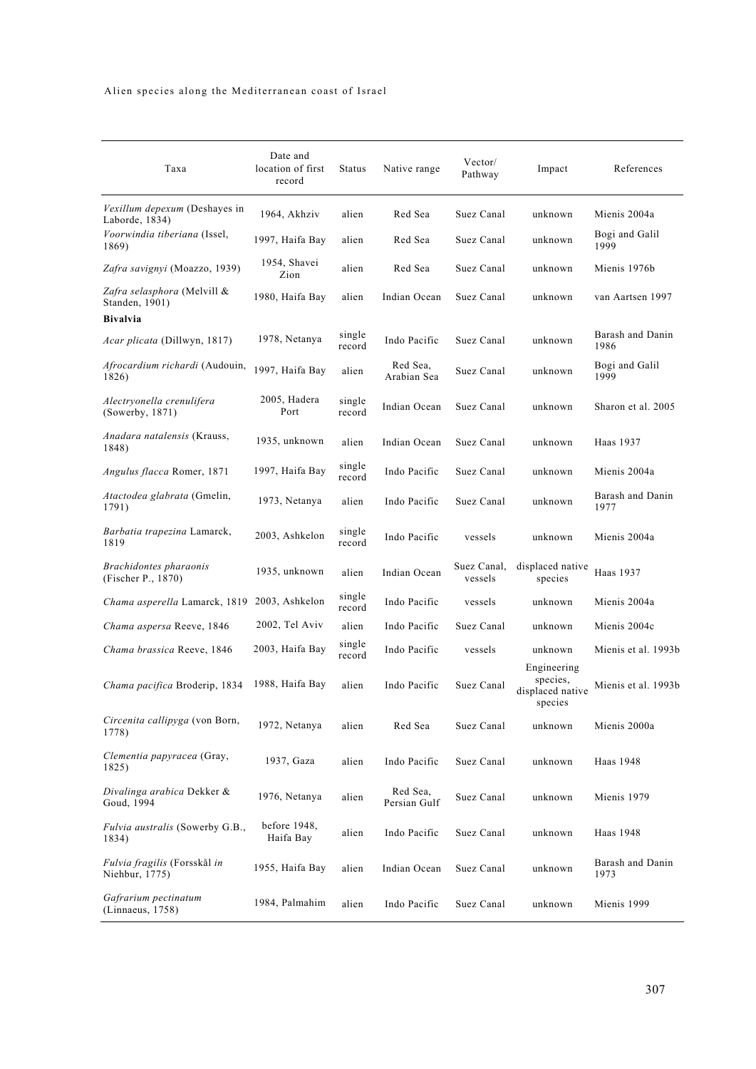| Taxa                                            | Date and<br>location of first<br>record | <b>Status</b>    | Native range             | Vector/<br>Pathway     | Impact                                                 | References               |
|-------------------------------------------------|-----------------------------------------|------------------|--------------------------|------------------------|--------------------------------------------------------|--------------------------|
| Vexillum depexum (Deshayes in<br>Laborde, 1834) | 1964, Akhziv                            | alien            | Red Sea                  | Suez Canal             | unknown                                                | Mienis 2004a             |
| Voorwindia tiberiana (Issel,<br>1869)           | 1997, Haifa Bay                         | alien            | Red Sea                  | Suez Canal             | unknown                                                | Bogi and Galil<br>1999   |
| Zafra savignyi (Moazzo, 1939)                   | 1954, Shavei<br>Zion                    | alien            | Red Sea                  | Suez Canal             | unknown                                                | Mienis 1976b             |
| Zafra selasphora (Melvill &<br>Standen, 1901)   | 1980, Haifa Bay                         | alien            | Indian Ocean             | Suez Canal             | unknown                                                | van Aartsen 1997         |
| <b>Bivalvia</b>                                 |                                         | single           |                          |                        |                                                        | Barash and Danin         |
| Acar plicata (Dillwyn, 1817)                    | 1978, Netanya                           | record           | Indo Pacific             | Suez Canal             | unknown                                                | 1986                     |
| Afrocardium richardi (Audouin,<br>1826)         | 1997, Haifa Bay                         | alien            | Red Sea,<br>Arabian Sea  | Suez Canal             | unknown                                                | Bogi and Galil<br>1999   |
| Alectryonella crenulifera<br>(Sowerby, 1871)    | 2005, Hadera<br>Port                    | single<br>record | Indian Ocean             | Suez Canal             | unknown                                                | Sharon et al. 2005       |
| Anadara natalensis (Krauss,<br>1848)            | 1935, unknown                           | alien            | Indian Ocean             | Suez Canal             | unknown                                                | Haas 1937                |
| Angulus flacca Romer, 1871                      | 1997, Haifa Bay                         | single<br>record | Indo Pacific             | Suez Canal             | unknown                                                | Mienis 2004a             |
| <i>Atactodea glabrata</i> (Gmelin,<br>1791)     | 1973, Netanya                           | alien            | Indo Pacific             | Suez Canal             | unknown                                                | Barash and Danin<br>1977 |
| <i>Barbatia trapezina</i> Lamarck,<br>1819      | 2003, Ashkelon                          | single<br>record | Indo Pacific             | vessels                | unknown                                                | Mienis 2004a             |
| Brachidontes pharaonis<br>(Fischer P., 1870)    | 1935, unknown                           | alien            | Indian Ocean             | Suez Canal,<br>vessels | displaced native<br>species                            | Haas 1937                |
| Chama asperella Lamarck, 1819                   | 2003, Ashkelon                          | single<br>record | Indo Pacific             | vessels                | unknown                                                | Mienis 2004a             |
| Chama aspersa Reeve, 1846                       | 2002, Tel Aviv                          | alien            | Indo Pacific             | Suez Canal             | unknown                                                | Mienis 2004c             |
| Chama brassica Reeve, 1846                      | 2003, Haifa Bay                         | single<br>record | Indo Pacific             | vessels                | unknown                                                | Mienis et al. 1993b      |
| Chama pacifica Broderip, 1834                   | 1988, Haifa Bay                         | alien            | Indo Pacific             | Suez Canal             | Engineering<br>species,<br>displaced native<br>species | Mienis et al. 1993b      |
| Circenita callipyga (von Born,<br>1778)         | 1972, Netanya                           | alien            | Red Sea                  | Suez Canal             | unknown                                                | Mienis 2000a             |
| Clementia papyracea (Gray,<br>1825)             | 1937, Gaza                              | alien            | Indo Pacific             | Suez Canal             | unknown                                                | Haas 1948                |
| Divalinga arabica Dekker &<br>Goud, 1994        | 1976, Netanya                           | alien            | Red Sea,<br>Persian Gulf | Suez Canal             | unknown                                                | Mienis 1979              |
| <i>Fulvia australis</i> (Sowerby G.B.,<br>1834) | before 1948,<br>Haifa Bay               | alien            | Indo Pacific             | Suez Canal             | unknown                                                | Haas 1948                |
| Fulvia fragilis (Forsskål in<br>Niehbur, 1775)  | 1955, Haifa Bay                         | alien            | Indian Ocean             | Suez Canal             | unknown                                                | Barash and Danin<br>1973 |
| Gafrarium pectinatum<br>(Linnaeus, 1758)        | 1984, Palmahim                          | alien            | Indo Pacific             | Suez Canal             | unknown                                                | Mienis 1999              |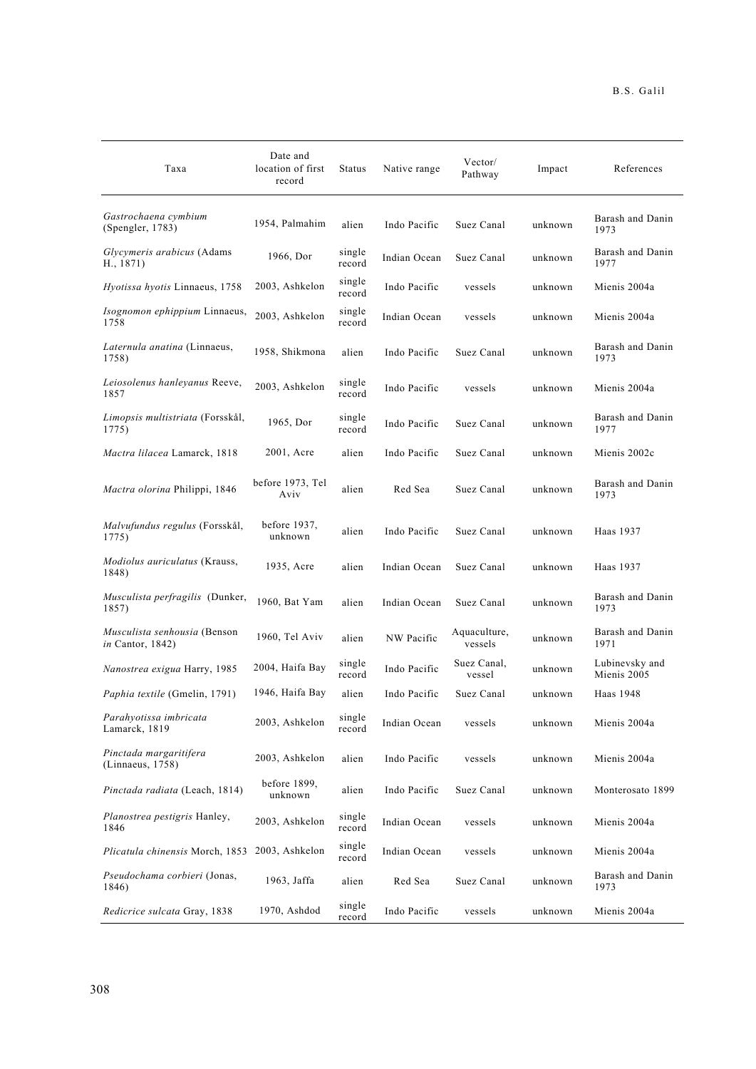| Taxa                                             | Date and<br>location of first<br>record | Status           | Native range | Vector/<br>Pathway      | Impact  | References                    |
|--------------------------------------------------|-----------------------------------------|------------------|--------------|-------------------------|---------|-------------------------------|
| Gastrochaena cymbium<br>(Spenger, 1783)          | 1954, Palmahim                          | alien            | Indo Pacific | Suez Canal              | unknown | Barash and Danin<br>1973      |
| Glycymeris arabicus (Adams<br>H., 1871)          | 1966, Dor                               | single<br>record | Indian Ocean | Suez Canal              | unknown | Barash and Danin<br>1977      |
| Hyotissa hyotis Linnaeus, 1758                   | 2003, Ashkelon                          | single<br>record | Indo Pacific | vessels                 | unknown | Mienis 2004a                  |
| Isognomon ephippium Linnaeus,<br>1758            | 2003, Ashkelon                          | single<br>record | Indian Ocean | vessels                 | unknown | Mienis 2004a                  |
| Laternula anatina (Linnaeus,<br>1758)            | 1958, Shikmona                          | alien            | Indo Pacific | Suez Canal              | unknown | Barash and Danin<br>1973      |
| Leiosolenus hanleyanus Reeve,<br>1857            | 2003, Ashkelon                          | single<br>record | Indo Pacific | vessels                 | unknown | Mienis 2004a                  |
| Limopsis multistriata (Forsskål,<br>1775)        | 1965, Dor                               | single<br>record | Indo Pacific | Suez Canal              | unknown | Barash and Danin<br>1977      |
| Mactra lilacea Lamarck, 1818                     | 2001, Acre                              | alien            | Indo Pacific | Suez Canal              | unknown | Mienis 2002c                  |
| Mactra olorina Philippi, 1846                    | before 1973, Tel<br>Aviv                | alien            | Red Sea      | Suez Canal              | unknown | Barash and Danin<br>1973      |
| Malvufundus regulus (Forsskål,<br>1775)          | before $1937$ ,<br>unknown              | alien            | Indo Pacific | Suez Canal              | unknown | Haas 1937                     |
| <i>Modiolus auriculatus</i> (Krauss,<br>1848)    | 1935, Acre                              | alien            | Indian Ocean | Suez Canal              | unknown | Haas 1937                     |
| Musculista perfragilis (Dunker,<br>1857)         | 1960, Bat Yam                           | alien            | Indian Ocean | Suez Canal              | unknown | Barash and Danin<br>1973      |
| Musculista senhousia (Benson<br>in Cantor, 1842) | 1960, Tel Aviv                          | alien            | NW Pacific   | Aquaculture,<br>vessels | unknown | Barash and Danin<br>1971      |
| Nanostrea exigua Harry, 1985                     | 2004, Haifa Bay                         | single<br>record | Indo Pacific | Suez Canal,<br>vessel   | unknown | Lubinevsky and<br>Mienis 2005 |
| <i>Paphia textile</i> (Gmelin, 1791)             | 1946, Haifa Bay                         | alien            | Indo Pacific | Suez Canal              | unknown | Haas 1948                     |
| Parahyotissa imbricata<br>Lamarck, 1819          | 2003, Ashkelon                          | single<br>record | Indian Ocean | vessels                 | unknown | Mienis 2004a                  |
| Pinctada margaritifera<br>(Linnaeus, 1758)       | 2003, Ashkelon                          | alien            | Indo Pacific | vessels                 | unknown | Mienis 2004a                  |
| Pinctada radiata (Leach, 1814)                   | before 1899,<br>unknown                 | alien            | Indo Pacific | Suez Canal              | unknown | Monterosato 1899              |
| Planostrea pestigris Hanley,<br>1846             | 2003, Ashkelon                          | single<br>record | Indian Ocean | vessels                 | unknown | Mienis 2004a                  |
| Plicatula chinensis Morch, 1853                  | 2003, Ashkelon                          | single<br>record | Indian Ocean | vessels                 | unknown | Mienis 2004a                  |
| Pseudochama corbieri (Jonas,<br>1846)            | 1963, Jaffa                             | alien            | Red Sea      | Suez Canal              | unknown | Barash and Danin<br>1973      |
| Redicrice sulcata Gray, 1838                     | 1970, Ashdod                            | single<br>record | Indo Pacific | vessels                 | unknown | Mienis 2004a                  |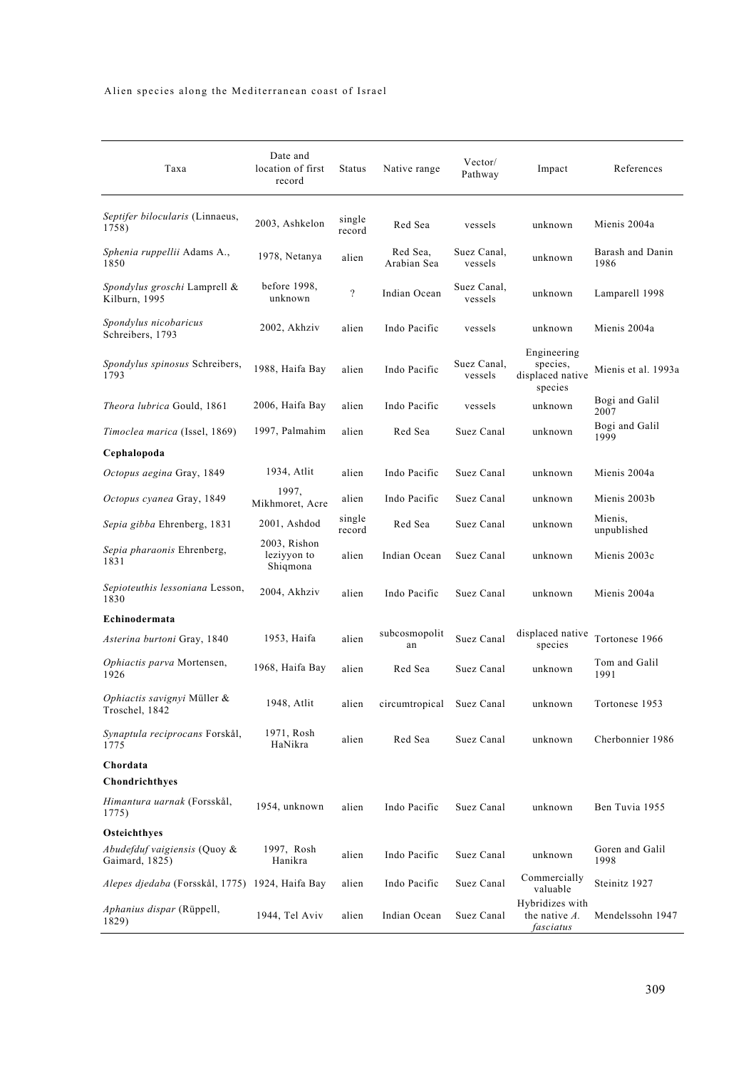| Taxa                                            | Date and<br>location of first<br>record | Status           | Native range                    | Vector/<br>Pathway     | Impact                                                 | References               |
|-------------------------------------------------|-----------------------------------------|------------------|---------------------------------|------------------------|--------------------------------------------------------|--------------------------|
| Septifer bilocularis (Linnaeus,<br>1758)        | 2003, Ashkelon                          | single<br>record | Red Sea                         | vessels                | unknown                                                | Mienis 2004a             |
| <i>Sphenia ruppellii</i> Adams A.,<br>1850      | 1978, Netanya                           | alien            | Red Sea.<br>Arabian Sea         | Suez Canal,<br>vessels | unknown                                                | Barash and Danin<br>1986 |
| Spondylus groschi Lamprell &<br>Kilburn, 1995   | before $1998$ ,<br>unknown              | $\overline{?}$   | Indian Ocean                    | Suez Canal,<br>vessels | unknown                                                | Lamparell 1998           |
| Spondylus nicobaricus<br>Schreibers, 1793       | 2002, Akhziv                            | alien            | Indo Pacific                    | vessels                | unknown                                                | Mienis 2004a             |
| Spondylus spinosus Schreibers,<br>1793          | 1988, Haifa Bay                         | alien            | Indo Pacific                    | Suez Canal,<br>vessels | Engineering<br>species,<br>displaced native<br>species | Mienis et al. 1993a      |
| <i>Theora lubrica</i> Gould, 1861               | 2006, Haifa Bay                         | alien            | Indo Pacific                    | vessels                | unknown                                                | Bogi and Galil<br>2007   |
| Timoclea marica (Issel, 1869)                   | 1997, Palmahim                          | alien            | Red Sea                         | Suez Canal             | unknown                                                | Bogi and Galil<br>1999   |
| Cephalopoda                                     |                                         |                  |                                 |                        |                                                        |                          |
| Octopus aegina Gray, 1849                       | 1934, Atlit                             | alien            | Indo Pacific                    | Suez Canal             | unknown                                                | Mienis 2004a             |
| Octopus cyanea Gray, 1849                       | 1997,<br>Mikhmoret, Acre                | alien            | Indo Pacific                    | Suez Canal             | unknown                                                | Mienis 2003b             |
| Sepia gibba Ehrenberg, 1831                     | $2001$ , Ashdod                         | single<br>record | Red Sea                         | Suez Canal             | unknown                                                | Mienis,<br>unpublished   |
| Sepia pharaonis Ehrenberg,<br>1831              | 2003, Rishon<br>leziyyon to<br>Shiqmona | alien            | Indian Ocean                    | Suez Canal             | unknown                                                | Mienis 2003c             |
| Sepioteuthis lessoniana Lesson,<br>1830         | 2004, Akhziv                            | alien            | Indo Pacific                    | Suez Canal             | unknown                                                | Mienis 2004a             |
| Echinodermata                                   |                                         |                  |                                 |                        |                                                        |                          |
| Asterina burtoni Gray, 1840                     | 1953, Haifa                             | alien            | subcosmopolit<br>an             | Suez Canal             | displaced native<br>species                            | Tortonese 1966           |
| Ophiactis parva Mortensen,<br>1926              | 1968, Haifa Bay                         | alien            | Red Sea                         | Suez Canal             | unknown                                                | Tom and Galil<br>1991    |
| Ophiactis savignyi Müller &<br>Troschel, 1842   | 1948, Atlit                             |                  | alien circumtropical Suez Canal |                        | unknown                                                | Tortonese 1953           |
| Synaptula reciprocans Forskål,<br>1775          | 1971, Rosh<br>HaNikra                   | alien            | Red Sea                         | Suez Canal             | unknown                                                | Cherbonnier 1986         |
| Chordata<br>Chondrichthyes                      |                                         |                  |                                 |                        |                                                        |                          |
| Himantura uarnak (Forsskål,<br>1775)            | 1954, unknown                           | alien            | Indo Pacific                    | Suez Canal             | unknown                                                | Ben Tuvia 1955           |
| Osteichthyes                                    |                                         |                  |                                 |                        |                                                        |                          |
| Abudefduf vaigiensis (Quoy &<br>Gaimard, 1825)  | 1997, Rosh<br>Hanikra                   | alien            | Indo Pacific                    | Suez Canal             | unknown                                                | Goren and Galil<br>1998  |
| Alepes djedaba (Forsskål, 1775) 1924, Haifa Bay |                                         | alien            | Indo Pacific                    | Suez Canal             | Commercially<br>valuable                               | Steinitz 1927            |
| Aphanius dispar (Rüppell,<br>1829)              | 1944, Tel Aviv                          | alien            | Indian Ocean                    | Suez Canal             | Hybridizes with<br>the native $A$ .<br>fasciatus       | Mendelssohn 1947         |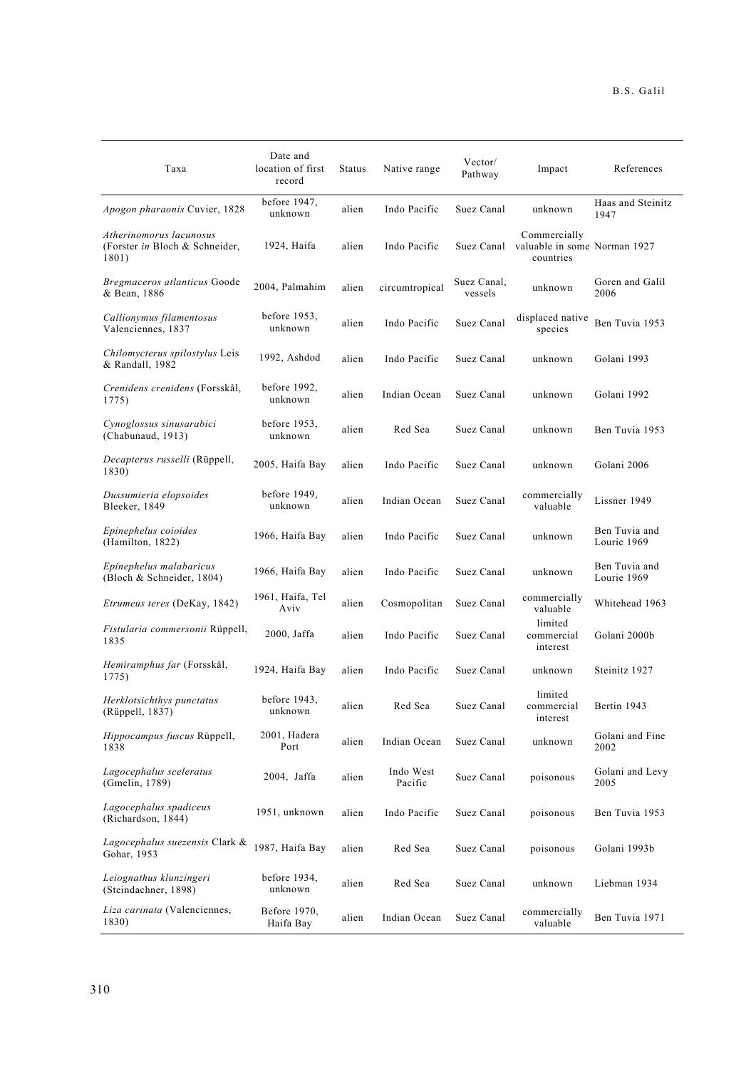| Taxa                                                               | Date and<br>location of first<br>record | Status | Native range         | Vector/<br>Pathway     | Impact                                                    | References                   |
|--------------------------------------------------------------------|-----------------------------------------|--------|----------------------|------------------------|-----------------------------------------------------------|------------------------------|
| <i>Apogon pharaonis Cuvier, 1828</i>                               | before 1947,<br>unknown                 | alien  | Indo Pacific         | Suez Canal             | unknown                                                   | Haas and Steinitz<br>1947    |
| Atherinomorus lacunosus<br>(Forster in Bloch & Schneider,<br>1801) | 1924, Haifa                             | alien  | Indo Pacific         | Suez Canal             | Commercially<br>valuable in some Norman 1927<br>countries |                              |
| Bregmaceros atlanticus Goode<br>& Bean, 1886                       | 2004, Palmahim                          | alien  | circumtropical       | Suez Canal,<br>vessels | unknown                                                   | Goren and Galil<br>2006      |
| Callionymus filamentosus<br>Valenciennes, 1837                     | before $1953$ ,<br>unknown              | alien  | Indo Pacific         | Suez Canal             | displaced native<br>species                               | Ben Tuvia 1953               |
| Chilomycterus spilostylus Leis<br>& Randall, 1982                  | 1992, Ashdod                            | alien  | Indo Pacific         | Suez Canal             | unknown                                                   | Golani 1993                  |
| <i>Crenidens crenidens</i> (Forsskål,<br>1775)                     | before $1992$ ,<br>unknown              | alien  | Indian Ocean         | Suez Canal             | unknown                                                   | Golani 1992                  |
| Cynoglossus sinusarabici<br>(Chabunaud, 1913)                      | before $1953$ ,<br>unknown              | alien  | Red Sea              | Suez Canal             | unknown                                                   | Ben Tuvia 1953               |
| Decapterus russelli (Rüppell,<br>1830)                             | 2005, Haifa Bay                         | alien  | Indo Pacific         | Suez Canal             | unknown                                                   | Golani 2006                  |
| Dussumieria elopsoides<br>Bleeker, 1849                            | before 1949,<br>unknown                 | alien  | Indian Ocean         | Suez Canal             | commercially<br>valuable                                  | Lissner 1949                 |
| Epinephelus coioides<br>(Hamilton, 1822)                           | 1966, Haifa Bay                         | alien  | Indo Pacific         | Suez Canal             | unknown                                                   | Ben Tuvia and<br>Lourie 1969 |
| Epinephelus malabaricus<br>(Bloch & Schneider, 1804)               | 1966, Haifa Bay                         | alien  | Indo Pacific         | Suez Canal             | unknown                                                   | Ben Tuvia and<br>Lourie 1969 |
| Etrumeus teres (DeKay, 1842)                                       | 1961, Haifa, Tel<br>Aviv                | alien  | Cosmopolitan         | Suez Canal             | commercially<br>valuable                                  | Whitehead 1963               |
| <i>Fistularia commersonii</i> Rüppell,<br>1835                     | 2000, Jaffa                             | alien  | Indo Pacific         | Suez Canal             | limited<br>commercial<br>interest                         | Golani 2000b                 |
| <i>Hemiramphus far</i> (Forsskål,<br>1775)                         | 1924, Haifa Bay                         | alien  | Indo Pacific         | Suez Canal             | unknown                                                   | Steinitz 1927                |
| Herklotsichthys punctatus<br>(Rüppell, 1837)                       | before $1943$ ,<br>unknown              | alien  | Red Sea              | Suez Canal             | limited<br>commercial<br>interest                         | Bertin 1943                  |
| Hippocampus fuscus Rüppell,<br>1838                                | 2001, Hadera<br>Port                    | alien  | Indian Ocean         | Suez Canal             | unknown                                                   | Golani and Fine<br>2002      |
| Lagocephalus sceleratus<br>(Gmelin, 1789)                          | 2004, Jaffa                             | alien  | Indo West<br>Pacific | Suez Canal             | poisonous                                                 | Golani and Levy<br>2005      |
| Lagocephalus spadiceus<br>(Richardson, 1844)                       | 1951, unknown                           | alien  | Indo Pacific         | Suez Canal             | poisonous                                                 | Ben Tuvia 1953               |
| Lagocephalus suezensis Clark &<br>Gohar, 1953                      | 1987, Haifa Bay                         | alien  | Red Sea              | Suez Canal             | poisonous                                                 | Golani 1993b                 |
| Leiognathus klunzingeri<br>(Steindachner, 1898)                    | before 1934,<br>unknown                 | alien  | Red Sea              | Suez Canal             | unknown                                                   | Liebman 1934                 |
| Liza carinata (Valenciennes,<br>1830)                              | Before 1970,<br>Haifa Bay               | alien  | Indian Ocean         | Suez Canal             | commercially<br>valuable                                  | Ben Tuvia 1971               |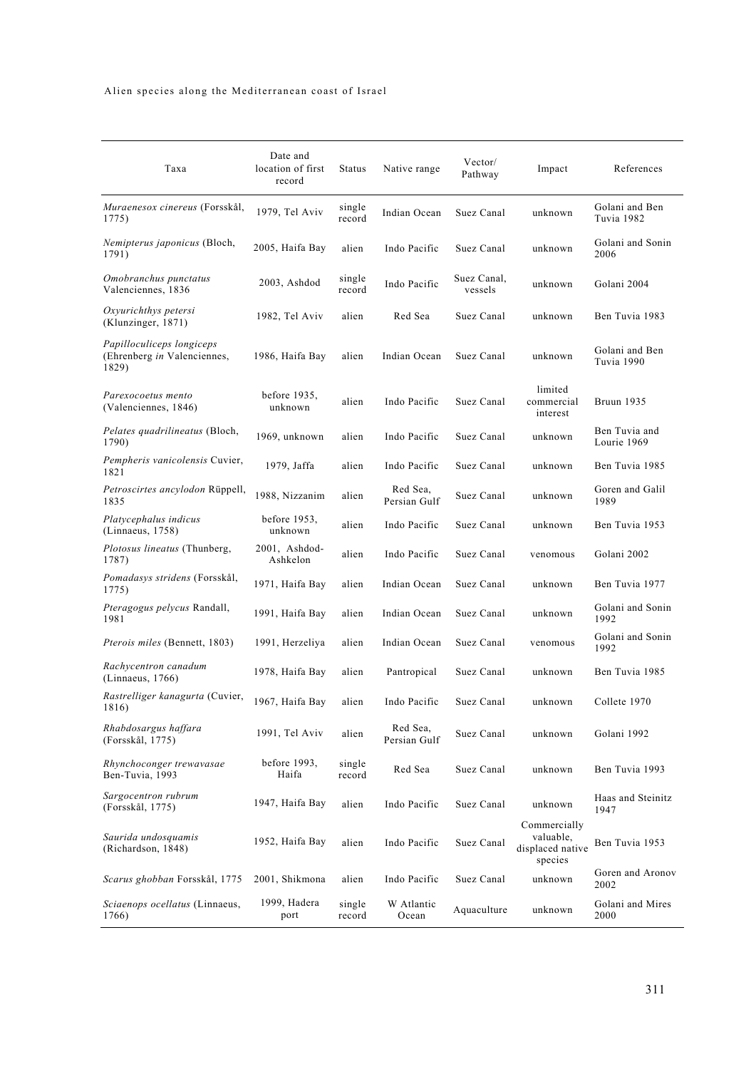| Taxa                                                              | Date and<br>location of first<br>record | Status           | Native range             | Vector/<br>Pathway     | Impact                                                   | References                   |
|-------------------------------------------------------------------|-----------------------------------------|------------------|--------------------------|------------------------|----------------------------------------------------------|------------------------------|
| Muraenesox cinereus (Forsskål,<br>1775)                           | 1979, Tel Aviv                          | single<br>record | Indian Ocean             | Suez Canal             | unknown                                                  | Golani and Ben<br>Tuvia 1982 |
| <i>Nemipterus japonicus</i> (Bloch,<br>1791)                      | 2005, Haifa Bay                         | alien            | Indo Pacific             | Suez Canal             | unknown                                                  | Golani and Sonin<br>2006     |
| Omobranchus punctatus<br>Valenciennes, 1836                       | 2003, Ashdod                            | single<br>record | Indo Pacific             | Suez Canal,<br>vessels | unknown                                                  | Golani 2004                  |
| Oxyurichthys petersi<br>(Klunzinger, 1871)                        | 1982, Tel Aviv                          | alien            | Red Sea                  | Suez Canal             | unknown                                                  | Ben Tuvia 1983               |
| Papilloculiceps longiceps<br>(Ehrenberg in Valenciennes,<br>1829) | 1986, Haifa Bay                         | alien            | Indian Ocean             | Suez Canal             | unknown                                                  | Golani and Ben<br>Tuvia 1990 |
| Parexocoetus mento<br>(Valenciennes, 1846)                        | before $1935$ ,<br>unknown              | alien            | Indo Pacific             | Suez Canal             | limited<br>commercial<br>interest                        | <b>Bruun 1935</b>            |
| <i>Pelates quadrilineatus</i> (Bloch,<br>1790)                    | 1969, unknown                           | alien            | Indo Pacific             | Suez Canal             | unknown                                                  | Ben Tuvia and<br>Lourie 1969 |
| <i>Pempheris vanicolensis</i> Cuvier,<br>1821                     | 1979, Jaffa                             | alien            | Indo Pacific             | Suez Canal             | unknown                                                  | Ben Tuvia 1985               |
| Petroscirtes ancylodon Rüppell,<br>1835                           | 1988, Nizzanim                          | alien            | Red Sea,<br>Persian Gulf | Suez Canal             | unknown                                                  | Goren and Galil<br>1989      |
| Platycephalus indicus<br>(Linnaeus, 1758)                         | before $1953$ ,<br>unknown              | alien            | Indo Pacific             | Suez Canal             | unknown                                                  | Ben Tuvia 1953               |
| <i>Plotosus lineatus</i> (Thunberg,<br>1787)                      | $2001$ , Ashdod-<br>Ashkelon            | alien            | Indo Pacific             | Suez Canal             | venomous                                                 | Golani 2002                  |
| <i>Pomadasys stridens</i> (Forsskål,<br>1775)                     | 1971, Haifa Bay                         | alien            | Indian Ocean             | Suez Canal             | unknown                                                  | Ben Tuvia 1977               |
| <i>Pteragogus pelycus</i> Randall,<br>1981                        | 1991, Haifa Bay                         | alien            | Indian Ocean             | Suez Canal             | unknown                                                  | Golani and Sonin<br>1992     |
| Pterois miles (Bennett, 1803)                                     | 1991, Herzeliya                         | alien            | Indian Ocean             | Suez Canal             | venomous                                                 | Golani and Sonin<br>1992     |
| Rachycentron canadum<br>(Linnaeus, $1766$ )                       | 1978, Haifa Bay                         | alien            | Pantropical              | Suez Canal             | unknown                                                  | Ben Tuvia 1985               |
| <i>Rastrelliger kanagurta</i> (Cuvier,<br>1816)                   | 1967, Haifa Bay                         | alien            | Indo Pacific             | Suez Canal             | unknown                                                  | Collete 1970                 |
| Rhabdosargus haffara<br>(Forsskål, 1775)                          | 1991, Tel Aviv                          | alien            | Red Sea,<br>Persian Gulf | Suez Canal             | unknown                                                  | Golani 1992                  |
| Rhynchoconger trewavasae<br>Ben-Tuvia, 1993                       | before 1993.<br>Haifa                   | single<br>record | Red Sea                  | Suez Canal             | unknown                                                  | Ben Tuvia 1993               |
| Sargocentron rubrum<br>(Forsskål, 1775)                           | 1947, Haifa Bay                         | alien            | Indo Pacific             | Suez Canal             | unknown                                                  | Haas and Steinitz<br>1947    |
| Saurida undosquamis<br>(Richardson, 1848)                         | 1952, Haifa Bay                         | alien            | Indo Pacific             | Suez Canal             | Commercially<br>valuable,<br>displaced native<br>species | Ben Tuvia 1953               |
| Scarus ghobban Forsskål, 1775                                     | 2001, Shikmona                          | alien            | Indo Pacific             | Suez Canal             | unknown                                                  | Goren and Aronov<br>2002     |
| <i>Sciaenops ocellatus</i> (Linnaeus,<br>1766)                    | 1999, Hadera<br>port                    | single<br>record | W Atlantic<br>Ocean      | Aquaculture            | unknown                                                  | Golani and Mires<br>2000     |
|                                                                   |                                         |                  |                          |                        |                                                          |                              |